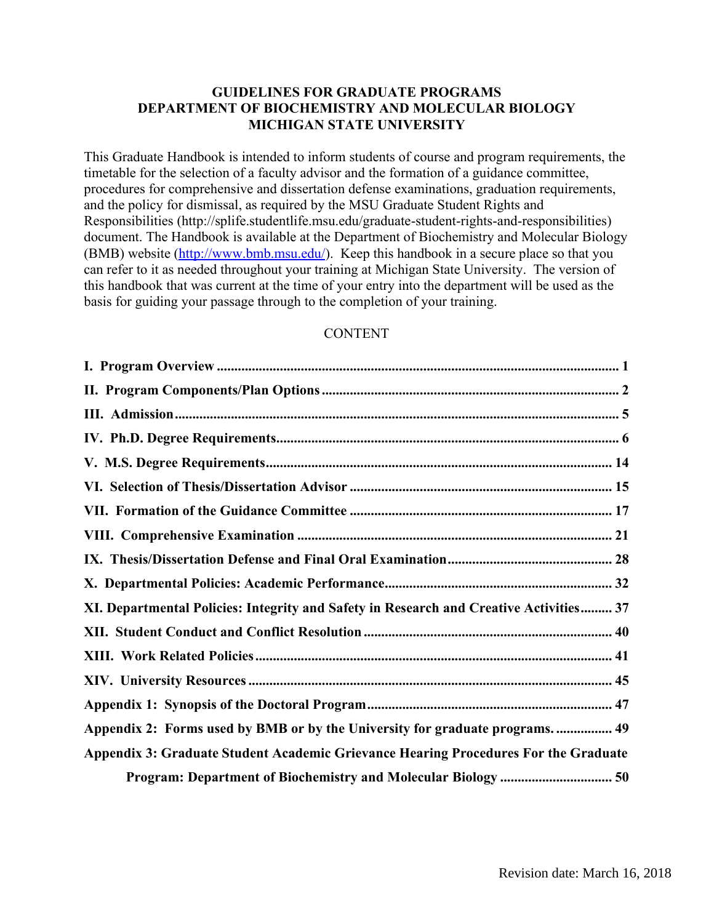# **GUIDELINES FOR GRADUATE PROGRAMS DEPARTMENT OF BIOCHEMISTRY AND MOLECULAR BIOLOGY MICHIGAN STATE UNIVERSITY**

This Graduate Handbook is intended to inform students of course and program requirements, the timetable for the selection of a faculty advisor and the formation of a guidance committee, procedures for comprehensive and dissertation defense examinations, graduation requirements, and the policy for dismissal, as required by the MSU Graduate Student Rights and Responsibilities (http://splife.studentlife.msu.edu/graduate-student-rights-and-responsibilities) document. The Handbook is available at the Department of Biochemistry and Molecular Biology (BMB) website [\(http://www.bmb.msu.edu/\)](http://www.bmb.msu.edu/). Keep this handbook in a secure place so that you can refer to it as needed throughout your training at Michigan State University. The version of this handbook that was current at the time of your entry into the department will be used as the basis for guiding your passage through to the completion of your training.

#### **CONTENT**

| XI. Departmental Policies: Integrity and Safety in Research and Creative Activities 37 |
|----------------------------------------------------------------------------------------|
|                                                                                        |
|                                                                                        |
|                                                                                        |
|                                                                                        |
| Appendix 2: Forms used by BMB or by the University for graduate programs.  49          |
| Appendix 3: Graduate Student Academic Grievance Hearing Procedures For the Graduate    |
| Program: Department of Biochemistry and Molecular Biology  50                          |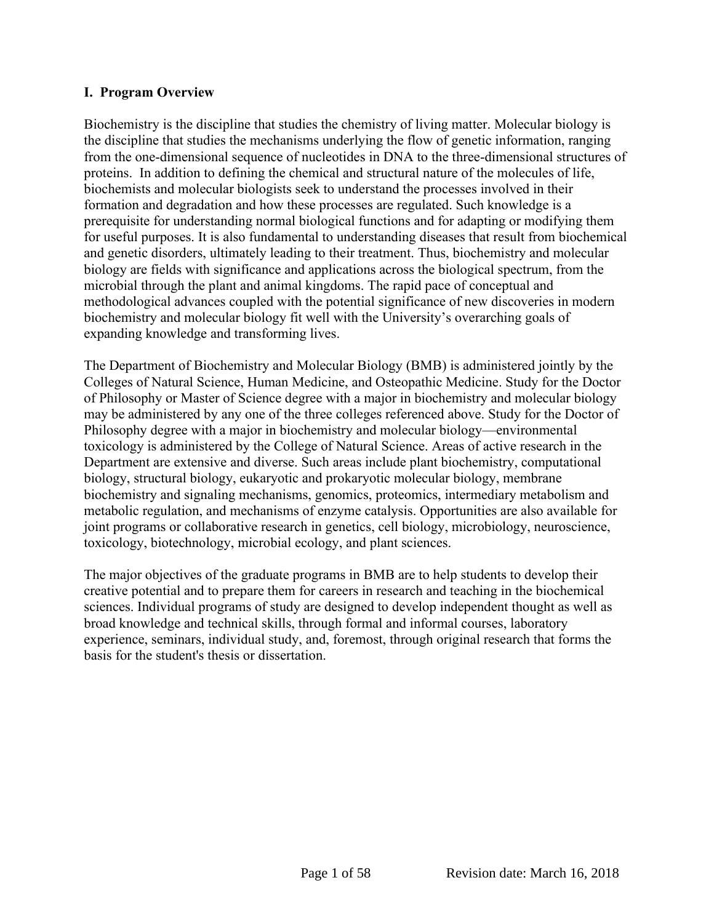# <span id="page-1-0"></span>**I. Program Overview**

Biochemistry is the discipline that studies the chemistry of living matter. Molecular biology is the discipline that studies the mechanisms underlying the flow of genetic information, ranging from the one-dimensional sequence of nucleotides in DNA to the three-dimensional structures of proteins. In addition to defining the chemical and structural nature of the molecules of life, biochemists and molecular biologists seek to understand the processes involved in their formation and degradation and how these processes are regulated. Such knowledge is a prerequisite for understanding normal biological functions and for adapting or modifying them for useful purposes. It is also fundamental to understanding diseases that result from biochemical and genetic disorders, ultimately leading to their treatment. Thus, biochemistry and molecular biology are fields with significance and applications across the biological spectrum, from the microbial through the plant and animal kingdoms. The rapid pace of conceptual and methodological advances coupled with the potential significance of new discoveries in modern biochemistry and molecular biology fit well with the University's overarching goals of expanding knowledge and transforming lives.

The Department of Biochemistry and Molecular Biology (BMB) is administered jointly by the Colleges of Natural Science, Human Medicine, and Osteopathic Medicine. Study for the Doctor of Philosophy or Master of Science degree with a major in biochemistry and molecular biology may be administered by any one of the three colleges referenced above. Study for the Doctor of Philosophy degree with a major in biochemistry and molecular biology—environmental toxicology is administered by the College of Natural Science. Areas of active research in the Department are extensive and diverse. Such areas include plant biochemistry, computational biology, structural biology, eukaryotic and prokaryotic molecular biology, membrane biochemistry and signaling mechanisms, genomics, proteomics, intermediary metabolism and metabolic regulation, and mechanisms of enzyme catalysis. Opportunities are also available for joint programs or collaborative research in genetics, cell biology, microbiology, neuroscience, toxicology, biotechnology, microbial ecology, and plant sciences.

The major objectives of the graduate programs in BMB are to help students to develop their creative potential and to prepare them for careers in research and teaching in the biochemical sciences. Individual programs of study are designed to develop independent thought as well as broad knowledge and technical skills, through formal and informal courses, laboratory experience, seminars, individual study, and, foremost, through original research that forms the basis for the student's thesis or dissertation.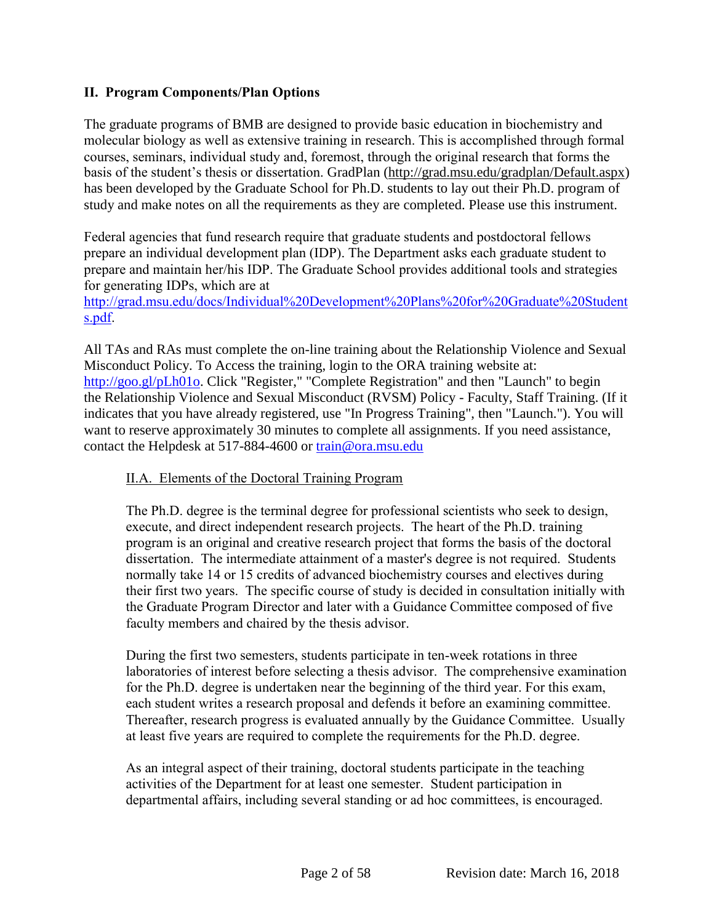# <span id="page-2-0"></span>**II. Program Components/Plan Options**

The graduate programs of BMB are designed to provide basic education in biochemistry and molecular biology as well as extensive training in research. This is accomplished through formal courses, seminars, individual study and, foremost, through the original research that forms the basis of the student's thesis or dissertation. GradPlan [\(http://grad.msu.edu/gradplan/Default.aspx\)](http://grad.msu.edu/gradplan/Default.aspx) has been developed by the Graduate School for Ph.D. students to lay out their Ph.D. program of study and make notes on all the requirements as they are completed. Please use this instrument.

Federal agencies that fund research require that graduate students and postdoctoral fellows prepare an individual development plan (IDP). The Department asks each graduate student to prepare and maintain her/his IDP. The Graduate School provides additional tools and strategies for generating IDPs, which are at

[http://grad.msu.edu/docs/Individual%20Development%20Plans%20for%20Graduate%20Student](http://grad.msu.edu/docs/Individual%20Development%20Plans%20for%20Graduate%20Students.pdf) [s.pdf.](http://grad.msu.edu/docs/Individual%20Development%20Plans%20for%20Graduate%20Students.pdf)

All TAs and RAs must complete the on-line training about the Relationship Violence and Sexual Misconduct Policy. To Access the training, login to the ORA training website at: [http://goo.gl/pLh01o.](http://goo.gl/pLh01o) Click "Register," "Complete Registration" and then "Launch" to begin the Relationship Violence and Sexual Misconduct (RVSM) Policy - Faculty, Staff Training. (If it indicates that you have already registered, use "In Progress Training", then "Launch."). You will want to reserve approximately 30 minutes to complete all assignments. If you need assistance, contact the Helpdesk at 517-884-4600 or [train@ora.msu.edu](mailto:train@ora.msu.edu)

# II.A. Elements of the Doctoral Training Program

The Ph.D. degree is the terminal degree for professional scientists who seek to design, execute, and direct independent research projects. The heart of the Ph.D. training program is an original and creative research project that forms the basis of the doctoral dissertation. The intermediate attainment of a master's degree is not required. Students normally take 14 or 15 credits of advanced biochemistry courses and electives during their first two years. The specific course of study is decided in consultation initially with the Graduate Program Director and later with a Guidance Committee composed of five faculty members and chaired by the thesis advisor.

During the first two semesters, students participate in ten-week rotations in three laboratories of interest before selecting a thesis advisor. The comprehensive examination for the Ph.D. degree is undertaken near the beginning of the third year. For this exam, each student writes a research proposal and defends it before an examining committee. Thereafter, research progress is evaluated annually by the Guidance Committee. Usually at least five years are required to complete the requirements for the Ph.D. degree.

As an integral aspect of their training, doctoral students participate in the teaching activities of the Department for at least one semester. Student participation in departmental affairs, including several standing or ad hoc committees, is encouraged.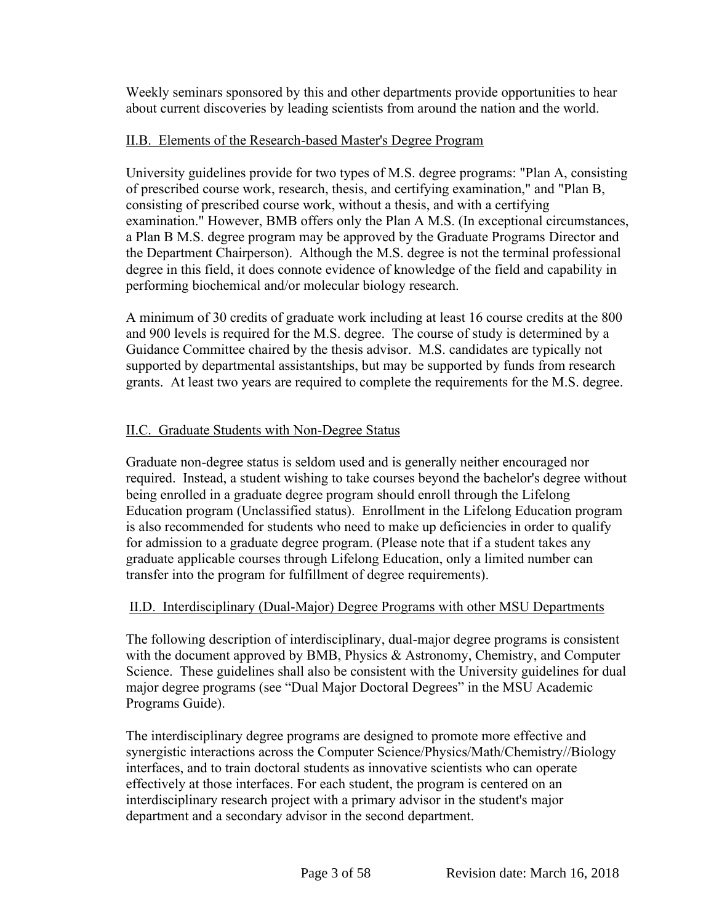Weekly seminars sponsored by this and other departments provide opportunities to hear about current discoveries by leading scientists from around the nation and the world.

# II.B. Elements of the Research-based Master's Degree Program

University guidelines provide for two types of M.S. degree programs: "Plan A, consisting of prescribed course work, research, thesis, and certifying examination," and "Plan B, consisting of prescribed course work, without a thesis, and with a certifying examination." However, BMB offers only the Plan A M.S. (In exceptional circumstances, a Plan B M.S. degree program may be approved by the Graduate Programs Director and the Department Chairperson). Although the M.S. degree is not the terminal professional degree in this field, it does connote evidence of knowledge of the field and capability in performing biochemical and/or molecular biology research.

A minimum of 30 credits of graduate work including at least 16 course credits at the 800 and 900 levels is required for the M.S. degree. The course of study is determined by a Guidance Committee chaired by the thesis advisor. M.S. candidates are typically not supported by departmental assistantships, but may be supported by funds from research grants. At least two years are required to complete the requirements for the M.S. degree.

# II.C. Graduate Students with Non-Degree Status

Graduate non-degree status is seldom used and is generally neither encouraged nor required. Instead, a student wishing to take courses beyond the bachelor's degree without being enrolled in a graduate degree program should enroll through the Lifelong Education program (Unclassified status). Enrollment in the Lifelong Education program is also recommended for students who need to make up deficiencies in order to qualify for admission to a graduate degree program. (Please note that if a student takes any graduate applicable courses through Lifelong Education, only a limited number can transfer into the program for fulfillment of degree requirements).

#### II.D. Interdisciplinary (Dual-Major) Degree Programs with other MSU Departments

The following description of interdisciplinary, dual-major degree programs is consistent with the document approved by BMB, Physics & Astronomy, Chemistry, and Computer Science. These guidelines shall also be consistent with the University guidelines for dual major degree programs (see "Dual Major Doctoral Degrees" in the MSU Academic Programs Guide).

The interdisciplinary degree programs are designed to promote more effective and synergistic interactions across the Computer Science/Physics/Math/Chemistry//Biology interfaces, and to train doctoral students as innovative scientists who can operate effectively at those interfaces. For each student, the program is centered on an interdisciplinary research project with a primary advisor in the student's major department and a secondary advisor in the second department.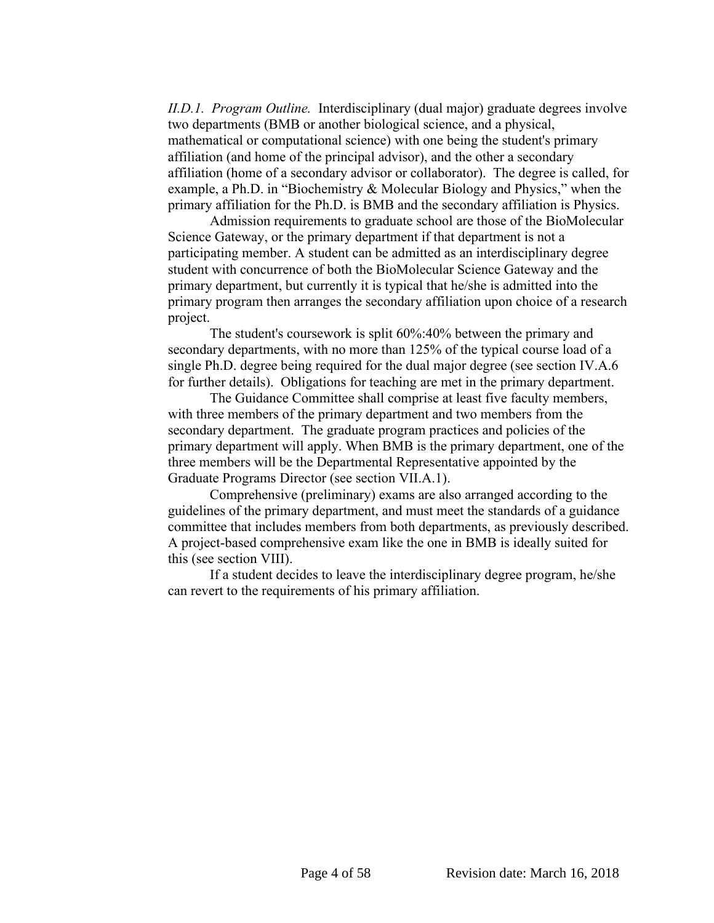*II.D.1. Program Outline.* Interdisciplinary (dual major) graduate degrees involve two departments (BMB or another biological science, and a physical, mathematical or computational science) with one being the student's primary affiliation (and home of the principal advisor), and the other a secondary affiliation (home of a secondary advisor or collaborator). The degree is called, for example, a Ph.D. in "Biochemistry & Molecular Biology and Physics," when the primary affiliation for the Ph.D. is BMB and the secondary affiliation is Physics.

Admission requirements to graduate school are those of the BioMolecular Science Gateway, or the primary department if that department is not a participating member. A student can be admitted as an interdisciplinary degree student with concurrence of both the BioMolecular Science Gateway and the primary department, but currently it is typical that he/she is admitted into the primary program then arranges the secondary affiliation upon choice of a research project.

The student's coursework is split 60%:40% between the primary and secondary departments, with no more than 125% of the typical course load of a single Ph.D. degree being required for the dual major degree (see section IV.A.6 for further details). Obligations for teaching are met in the primary department.

The Guidance Committee shall comprise at least five faculty members, with three members of the primary department and two members from the secondary department. The graduate program practices and policies of the primary department will apply. When BMB is the primary department, one of the three members will be the Departmental Representative appointed by the Graduate Programs Director (see section VII.A.1).

Comprehensive (preliminary) exams are also arranged according to the guidelines of the primary department, and must meet the standards of a guidance committee that includes members from both departments, as previously described. A project-based comprehensive exam like the one in BMB is ideally suited for this (see section VIII).

If a student decides to leave the interdisciplinary degree program, he/she can revert to the requirements of his primary affiliation.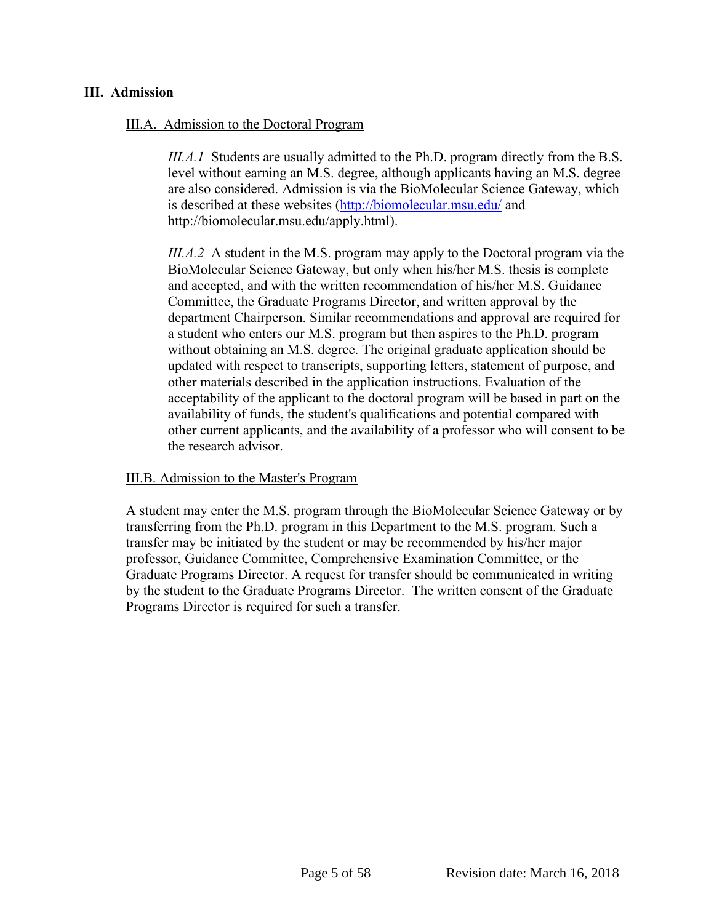#### <span id="page-5-0"></span>**III. Admission**

#### III.A. Admission to the Doctoral Program

*III.A.1* Students are usually admitted to the Ph.D. program directly from the B.S. level without earning an M.S. degree, although applicants having an M.S. degree are also considered. Admission is via the BioMolecular Science Gateway, which is described at these websites [\(http://biomolecular.msu.edu/](http://biomolecular.msu.edu/) and http://biomolecular.msu.edu/apply.html).

*III.A.2* A student in the M.S. program may apply to the Doctoral program via the BioMolecular Science Gateway, but only when his/her M.S. thesis is complete and accepted, and with the written recommendation of his/her M.S. Guidance Committee, the Graduate Programs Director, and written approval by the department Chairperson. Similar recommendations and approval are required for a student who enters our M.S. program but then aspires to the Ph.D. program without obtaining an M.S. degree. The original graduate application should be updated with respect to transcripts, supporting letters, statement of purpose, and other materials described in the application instructions. Evaluation of the acceptability of the applicant to the doctoral program will be based in part on the availability of funds, the student's qualifications and potential compared with other current applicants, and the availability of a professor who will consent to be the research advisor.

#### III.B. Admission to the Master's Program

A student may enter the M.S. program through the BioMolecular Science Gateway or by transferring from the Ph.D. program in this Department to the M.S. program. Such a transfer may be initiated by the student or may be recommended by his/her major professor, Guidance Committee, Comprehensive Examination Committee, or the Graduate Programs Director. A request for transfer should be communicated in writing by the student to the Graduate Programs Director. The written consent of the Graduate Programs Director is required for such a transfer.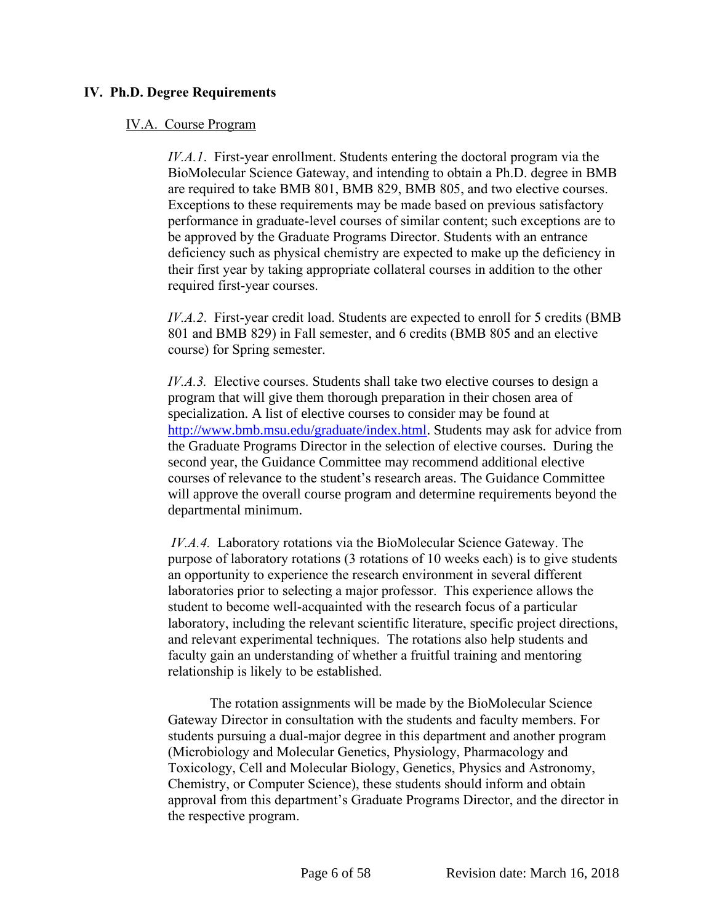# <span id="page-6-0"></span>**IV. Ph.D. Degree Requirements**

#### IV.A. Course Program

*IV.A.1*. First-year enrollment. Students entering the doctoral program via the BioMolecular Science Gateway, and intending to obtain a Ph.D. degree in BMB are required to take BMB 801, BMB 829, BMB 805, and two elective courses. Exceptions to these requirements may be made based on previous satisfactory performance in graduate-level courses of similar content; such exceptions are to be approved by the Graduate Programs Director. Students with an entrance deficiency such as physical chemistry are expected to make up the deficiency in their first year by taking appropriate collateral courses in addition to the other required first-year courses.

*IV.A.2*. First-year credit load. Students are expected to enroll for 5 credits (BMB 801 and BMB 829) in Fall semester, and 6 credits (BMB 805 and an elective course) for Spring semester.

*IV.A.3.* Elective courses. Students shall take two elective courses to design a program that will give them thorough preparation in their chosen area of specialization. A list of elective courses to consider may be found at [http://www.bmb.msu.edu/graduate/index.html.](http://www.bmb.msu.edu/graduate/index.html) Students may ask for advice from the Graduate Programs Director in the selection of elective courses. During the second year, the Guidance Committee may recommend additional elective courses of relevance to the student's research areas. The Guidance Committee will approve the overall course program and determine requirements beyond the departmental minimum.

*IV.A.4.* Laboratory rotations via the BioMolecular Science Gateway. The purpose of laboratory rotations (3 rotations of 10 weeks each) is to give students an opportunity to experience the research environment in several different laboratories prior to selecting a major professor. This experience allows the student to become well-acquainted with the research focus of a particular laboratory, including the relevant scientific literature, specific project directions, and relevant experimental techniques. The rotations also help students and faculty gain an understanding of whether a fruitful training and mentoring relationship is likely to be established.

The rotation assignments will be made by the BioMolecular Science Gateway Director in consultation with the students and faculty members. For students pursuing a dual-major degree in this department and another program (Microbiology and Molecular Genetics, Physiology, Pharmacology and Toxicology, Cell and Molecular Biology, Genetics, Physics and Astronomy, Chemistry, or Computer Science), these students should inform and obtain approval from this department's Graduate Programs Director, and the director in the respective program.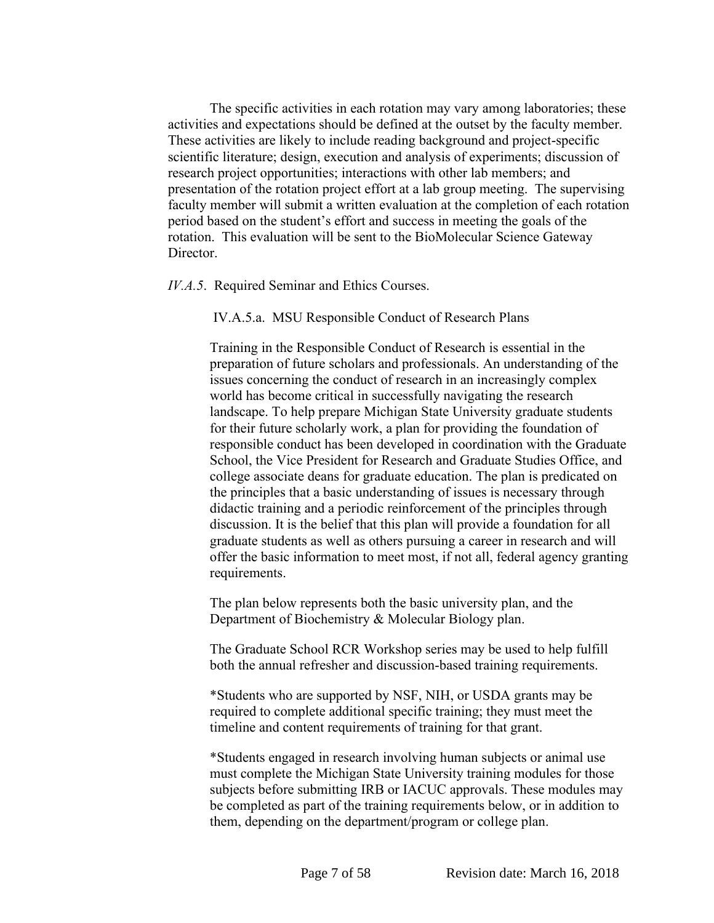The specific activities in each rotation may vary among laboratories; these activities and expectations should be defined at the outset by the faculty member. These activities are likely to include reading background and project-specific scientific literature; design, execution and analysis of experiments; discussion of research project opportunities; interactions with other lab members; and presentation of the rotation project effort at a lab group meeting. The supervising faculty member will submit a written evaluation at the completion of each rotation period based on the student's effort and success in meeting the goals of the rotation. This evaluation will be sent to the BioMolecular Science Gateway Director.

*IV.A.5*. Required Seminar and Ethics Courses.

IV.A.5.a. MSU Responsible Conduct of Research Plans

Training in the Responsible Conduct of Research is essential in the preparation of future scholars and professionals. An understanding of the issues concerning the conduct of research in an increasingly complex world has become critical in successfully navigating the research landscape. To help prepare Michigan State University graduate students for their future scholarly work, a plan for providing the foundation of responsible conduct has been developed in coordination with the Graduate School, the Vice President for Research and Graduate Studies Office, and college associate deans for graduate education. The plan is predicated on the principles that a basic understanding of issues is necessary through didactic training and a periodic reinforcement of the principles through discussion. It is the belief that this plan will provide a foundation for all graduate students as well as others pursuing a career in research and will offer the basic information to meet most, if not all, federal agency granting requirements.

The plan below represents both the basic university plan, and the Department of Biochemistry & Molecular Biology plan.

The Graduate School RCR Workshop series may be used to help fulfill both the annual refresher and discussion-based training requirements.

\*Students who are supported by NSF, NIH, or USDA grants may be required to complete additional specific training; they must meet the timeline and content requirements of training for that grant.

\*Students engaged in research involving human subjects or animal use must complete the Michigan State University training modules for those subjects before submitting IRB or IACUC approvals. These modules may be completed as part of the training requirements below, or in addition to them, depending on the department/program or college plan.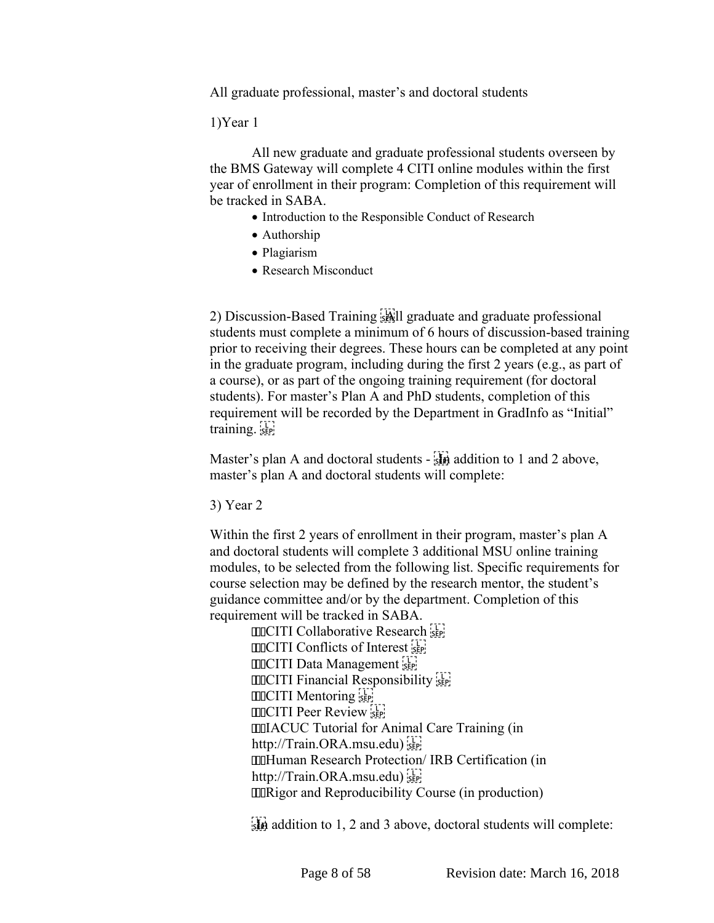All graduate professional, master's and doctoral students

1)Year 1

All new graduate and graduate professional students overseen by the BMS Gateway will complete 4 CITI online modules within the first year of enrollment in their program: Completion of this requirement will be tracked in SABA.

- Introduction to the Responsible Conduct of Research
- Authorship
- Plagiarism
- Research Misconduct

2) Discussion-Based Training All graduate and graduate professional students must complete a minimum of 6 hours of discussion-based training prior to receiving their degrees. These hours can be completed at any point in the graduate program, including during the first 2 years (e.g., as part of a course), or as part of the ongoing training requirement (for doctoral students). For master's Plan A and PhD students, completion of this requirement will be recorded by the Department in GradInfo as "Initial" training.

Master's plan A and doctoral students -  $\frac{1}{500}$  addition to 1 and 2 above, master's plan A and doctoral students will complete:

3) Year 2

Within the first 2 years of enrollment in their program, master's plan A and doctoral students will complete 3 additional MSU online training modules, to be selected from the following list. Specific requirements for course selection may be defined by the research mentor, the student's guidance committee and/or by the department. Completion of this requirement will be tracked in SABA.

**COLLAD** Collaborative Research  $[III]$  Conflicts of Interest  $[III]$ **CITI Data Management COOCITI Financial Responsibility CITI Mentoring CITI Peer Review IIIIACUC Tutorial for Animal Care Training (in** http://Train.ORA.msu.edu) **IIIHuman Research Protection/ IRB Certification (in** http://Train.ORA.msu.edu) **IIIRigor and Reproducibility Course (in production)** 

 $\frac{1}{2}$  addition to 1, 2 and 3 above, doctoral students will complete: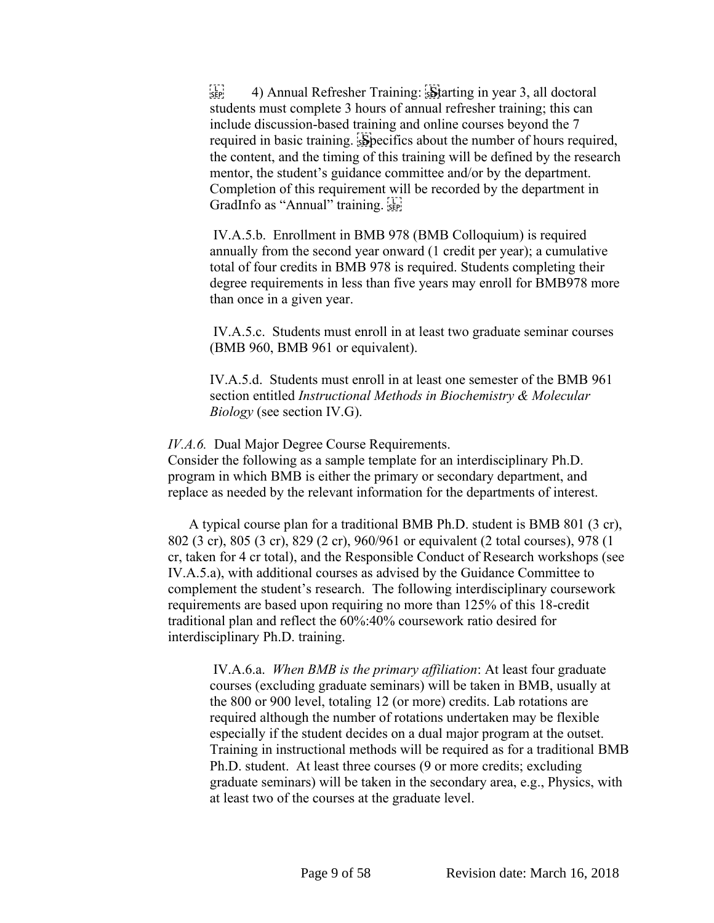$\frac{1}{15}$  (see 4) Annual Refresher Training:  $\frac{1}{15}$  and in year 3, all doctoral students must complete 3 hours of annual refresher training; this can include discussion-based training and online courses beyond the 7 required in basic training. Specifics about the number of hours required, the content, and the timing of this training will be defined by the research mentor, the student's guidance committee and/or by the department. Completion of this requirement will be recorded by the department in GradInfo as "Annual" training.

IV.A.5.b. Enrollment in BMB 978 (BMB Colloquium) is required annually from the second year onward (1 credit per year); a cumulative total of four credits in BMB 978 is required. Students completing their degree requirements in less than five years may enroll for BMB978 more than once in a given year.

IV.A.5.c. Students must enroll in at least two graduate seminar courses (BMB 960, BMB 961 or equivalent).

IV.A.5.d. Students must enroll in at least one semester of the BMB 961 section entitled *Instructional Methods in Biochemistry & Molecular Biology* (see section IV.G).

*IV.A.6.* Dual Major Degree Course Requirements.

Consider the following as a sample template for an interdisciplinary Ph.D. program in which BMB is either the primary or secondary department, and replace as needed by the relevant information for the departments of interest.

A typical course plan for a traditional BMB Ph.D. student is BMB 801 (3 cr), 802 (3 cr), 805 (3 cr), 829 (2 cr), 960/961 or equivalent (2 total courses), 978 (1 cr, taken for 4 cr total), and the Responsible Conduct of Research workshops (see IV.A.5.a), with additional courses as advised by the Guidance Committee to complement the student's research. The following interdisciplinary coursework requirements are based upon requiring no more than 125% of this 18-credit traditional plan and reflect the 60%:40% coursework ratio desired for interdisciplinary Ph.D. training.

IV.A.6.a. *When BMB is the primary affiliation*: At least four graduate courses (excluding graduate seminars) will be taken in BMB, usually at the 800 or 900 level, totaling 12 (or more) credits. Lab rotations are required although the number of rotations undertaken may be flexible especially if the student decides on a dual major program at the outset. Training in instructional methods will be required as for a traditional BMB Ph.D. student. At least three courses (9 or more credits; excluding graduate seminars) will be taken in the secondary area, e.g., Physics, with at least two of the courses at the graduate level.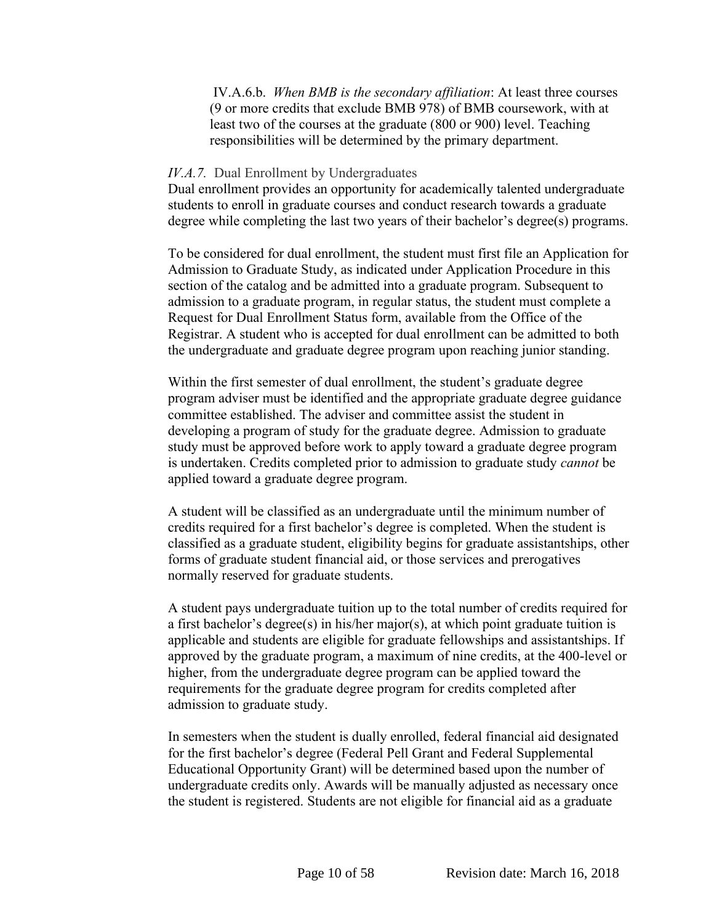IV.A.6.b. *When BMB is the secondary affiliation*: At least three courses (9 or more credits that exclude BMB 978) of BMB coursework, with at least two of the courses at the graduate (800 or 900) level. Teaching responsibilities will be determined by the primary department.

#### *IV.A.7.* Dual Enrollment by Undergraduates

Dual enrollment provides an opportunity for academically talented undergraduate students to enroll in graduate courses and conduct research towards a graduate degree while completing the last two years of their bachelor's degree(s) programs.

To be considered for dual enrollment, the student must first file an Application for Admission to Graduate Study, as indicated under Application Procedure in this section of the catalog and be admitted into a graduate program. Subsequent to admission to a graduate program, in regular status, the student must complete a Request for Dual Enrollment Status form, available from the Office of the Registrar. A student who is accepted for dual enrollment can be admitted to both the undergraduate and graduate degree program upon reaching junior standing.

Within the first semester of dual enrollment, the student's graduate degree program adviser must be identified and the appropriate graduate degree guidance committee established. The adviser and committee assist the student in developing a program of study for the graduate degree. Admission to graduate study must be approved before work to apply toward a graduate degree program is undertaken. Credits completed prior to admission to graduate study *cannot* be applied toward a graduate degree program.

A student will be classified as an undergraduate until the minimum number of credits required for a first bachelor's degree is completed. When the student is classified as a graduate student, eligibility begins for graduate assistantships, other forms of graduate student financial aid, or those services and prerogatives normally reserved for graduate students.

A student pays undergraduate tuition up to the total number of credits required for a first bachelor's degree(s) in his/her major(s), at which point graduate tuition is applicable and students are eligible for graduate fellowships and assistantships. If approved by the graduate program, a maximum of nine credits, at the 400-level or higher, from the undergraduate degree program can be applied toward the requirements for the graduate degree program for credits completed after admission to graduate study.

In semesters when the student is dually enrolled, federal financial aid designated for the first bachelor's degree (Federal Pell Grant and Federal Supplemental Educational Opportunity Grant) will be determined based upon the number of undergraduate credits only. Awards will be manually adjusted as necessary once the student is registered. Students are not eligible for financial aid as a graduate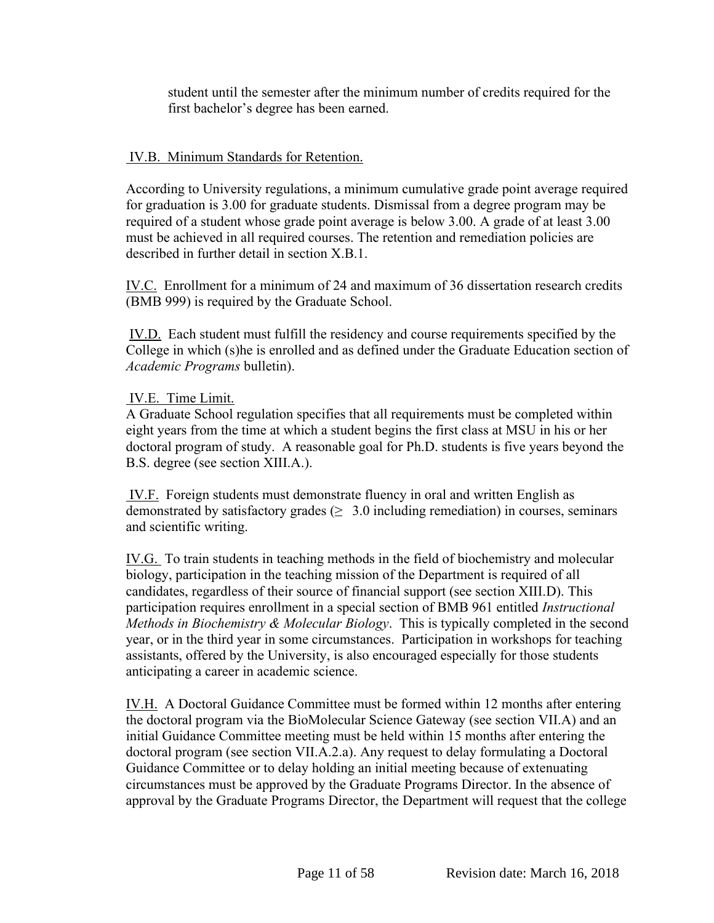student until the semester after the minimum number of credits required for the first bachelor's degree has been earned.

# IV.B. Minimum Standards for Retention.

According to University regulations, a minimum cumulative grade point average required for graduation is 3.00 for graduate students. Dismissal from a degree program may be required of a student whose grade point average is below 3.00. A grade of at least 3.00 must be achieved in all required courses. The retention and remediation policies are described in further detail in section X.B.1.

IV.C. Enrollment for a minimum of 24 and maximum of 36 dissertation research credits (BMB 999) is required by the Graduate School.

IV.D. Each student must fulfill the residency and course requirements specified by the College in which (s)he is enrolled and as defined under the Graduate Education section of *Academic Programs* bulletin).

# IV.E. Time Limit.

A Graduate School regulation specifies that all requirements must be completed within eight years from the time at which a student begins the first class at MSU in his or her doctoral program of study. A reasonable goal for Ph.D. students is five years beyond the B.S. degree (see section XIII.A.).

IV.F. Foreign students must demonstrate fluency in oral and written English as demonstrated by satisfactory grades ( $\geq 3.0$  including remediation) in courses, seminars and scientific writing.

IV.G. To train students in teaching methods in the field of biochemistry and molecular biology, participation in the teaching mission of the Department is required of all candidates, regardless of their source of financial support (see section XIII.D). This participation requires enrollment in a special section of BMB 961 entitled *Instructional Methods in Biochemistry & Molecular Biology*. This is typically completed in the second year, or in the third year in some circumstances. Participation in workshops for teaching assistants, offered by the University, is also encouraged especially for those students anticipating a career in academic science.

IV.H. A Doctoral Guidance Committee must be formed within 12 months after entering the doctoral program via the BioMolecular Science Gateway (see section VII.A) and an initial Guidance Committee meeting must be held within 15 months after entering the doctoral program (see section VII.A.2.a). Any request to delay formulating a Doctoral Guidance Committee or to delay holding an initial meeting because of extenuating circumstances must be approved by the Graduate Programs Director. In the absence of approval by the Graduate Programs Director, the Department will request that the college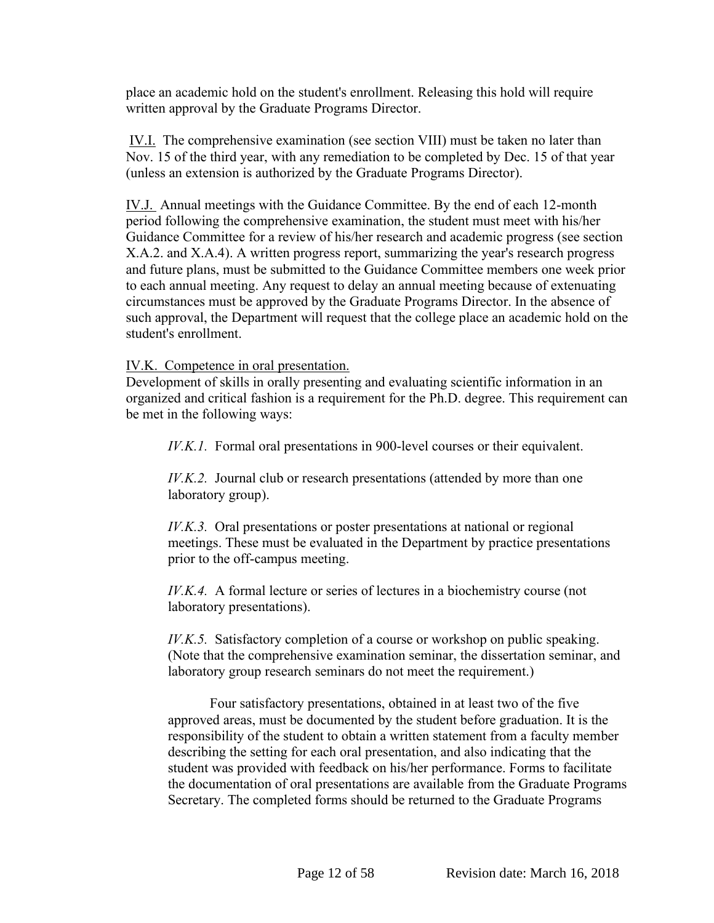place an academic hold on the student's enrollment. Releasing this hold will require written approval by the Graduate Programs Director.

IV.I. The comprehensive examination (see section VIII) must be taken no later than Nov. 15 of the third year, with any remediation to be completed by Dec. 15 of that year (unless an extension is authorized by the Graduate Programs Director).

IV.J. Annual meetings with the Guidance Committee. By the end of each 12-month period following the comprehensive examination, the student must meet with his/her Guidance Committee for a review of his/her research and academic progress (see section X.A.2. and X.A.4). A written progress report, summarizing the year's research progress and future plans, must be submitted to the Guidance Committee members one week prior to each annual meeting. Any request to delay an annual meeting because of extenuating circumstances must be approved by the Graduate Programs Director. In the absence of such approval, the Department will request that the college place an academic hold on the student's enrollment.

IV.K. Competence in oral presentation.

Development of skills in orally presenting and evaluating scientific information in an organized and critical fashion is a requirement for the Ph.D. degree. This requirement can be met in the following ways:

*IV.K.1.* Formal oral presentations in 900-level courses or their equivalent.

*IV.K.2.* Journal club or research presentations (attended by more than one laboratory group).

*IV.K.3.* Oral presentations or poster presentations at national or regional meetings. These must be evaluated in the Department by practice presentations prior to the off-campus meeting.

*IV.K.4.* A formal lecture or series of lectures in a biochemistry course (not laboratory presentations).

*IV.K.5.* Satisfactory completion of a course or workshop on public speaking. (Note that the comprehensive examination seminar, the dissertation seminar, and laboratory group research seminars do not meet the requirement.)

Four satisfactory presentations, obtained in at least two of the five approved areas, must be documented by the student before graduation. It is the responsibility of the student to obtain a written statement from a faculty member describing the setting for each oral presentation, and also indicating that the student was provided with feedback on his/her performance. Forms to facilitate the documentation of oral presentations are available from the Graduate Programs Secretary. The completed forms should be returned to the Graduate Programs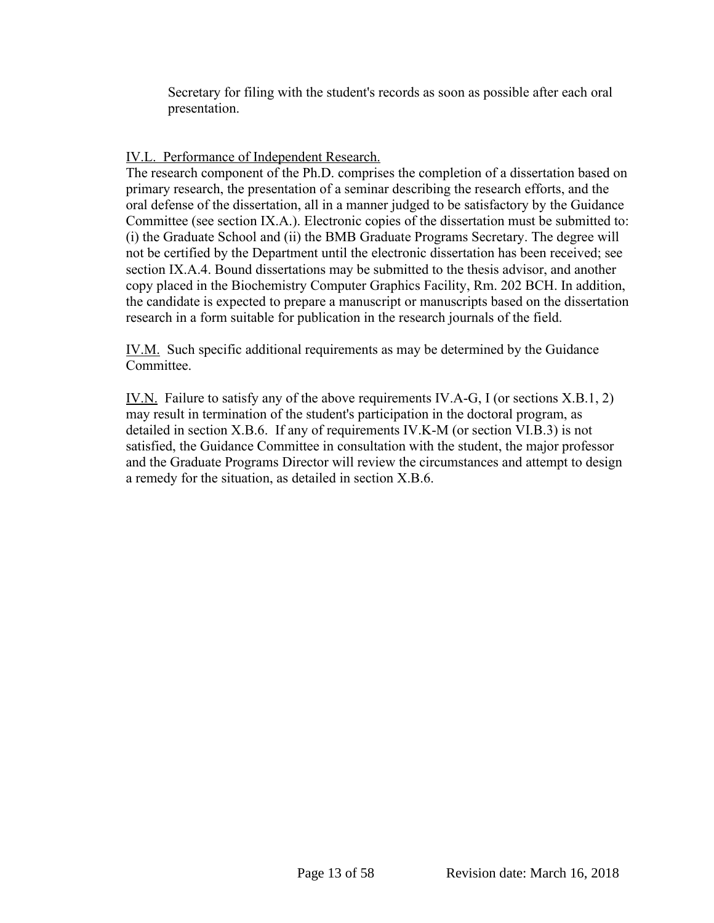Secretary for filing with the student's records as soon as possible after each oral presentation.

IV.L. Performance of Independent Research.

The research component of the Ph.D. comprises the completion of a dissertation based on primary research, the presentation of a seminar describing the research efforts, and the oral defense of the dissertation, all in a manner judged to be satisfactory by the Guidance Committee (see section IX.A.). Electronic copies of the dissertation must be submitted to: (i) the Graduate School and (ii) the BMB Graduate Programs Secretary. The degree will not be certified by the Department until the electronic dissertation has been received; see section IX.A.4. Bound dissertations may be submitted to the thesis advisor, and another copy placed in the Biochemistry Computer Graphics Facility, Rm. 202 BCH. In addition, the candidate is expected to prepare a manuscript or manuscripts based on the dissertation research in a form suitable for publication in the research journals of the field.

IV.M. Such specific additional requirements as may be determined by the Guidance Committee.

IV.N. Failure to satisfy any of the above requirements IV.A-G, I (or sections X.B.1, 2) may result in termination of the student's participation in the doctoral program, as detailed in section X.B.6. If any of requirements IV.K-M (or section VI.B.3) is not satisfied, the Guidance Committee in consultation with the student, the major professor and the Graduate Programs Director will review the circumstances and attempt to design a remedy for the situation, as detailed in section X.B.6.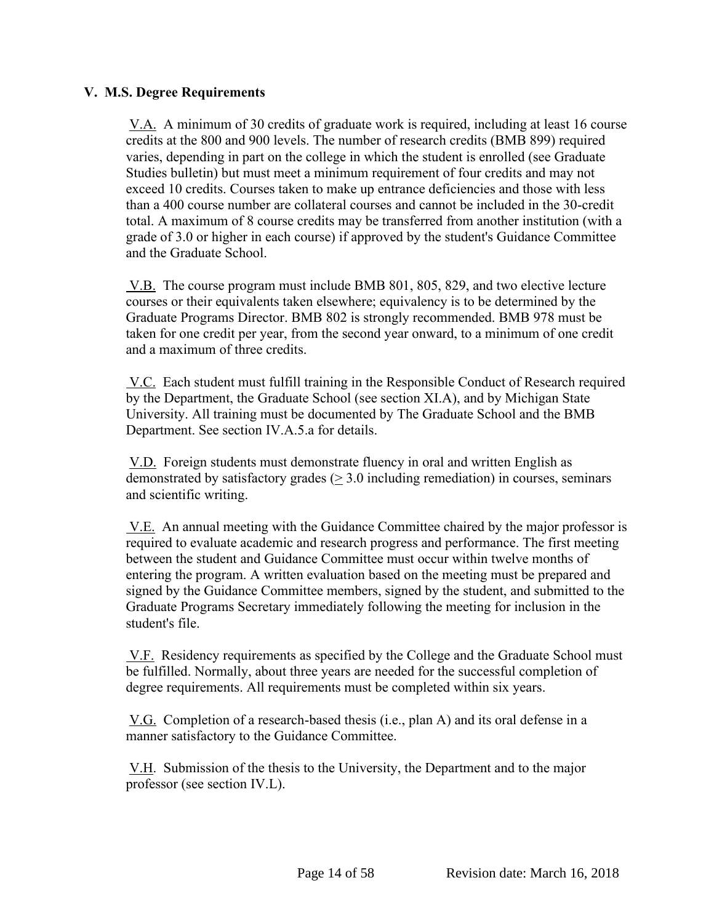## <span id="page-14-0"></span>**V. M.S. Degree Requirements**

V.A. A minimum of 30 credits of graduate work is required, including at least 16 course credits at the 800 and 900 levels. The number of research credits (BMB 899) required varies, depending in part on the college in which the student is enrolled (see Graduate Studies bulletin) but must meet a minimum requirement of four credits and may not exceed 10 credits. Courses taken to make up entrance deficiencies and those with less than a 400 course number are collateral courses and cannot be included in the 30-credit total. A maximum of 8 course credits may be transferred from another institution (with a grade of 3.0 or higher in each course) if approved by the student's Guidance Committee and the Graduate School.

V.B. The course program must include BMB 801, 805, 829, and two elective lecture courses or their equivalents taken elsewhere; equivalency is to be determined by the Graduate Programs Director. BMB 802 is strongly recommended. BMB 978 must be taken for one credit per year, from the second year onward, to a minimum of one credit and a maximum of three credits.

V.C. Each student must fulfill training in the Responsible Conduct of Research required by the Department, the Graduate School (see section XI.A), and by Michigan State University. All training must be documented by The Graduate School and the BMB Department. See section IV.A.5.a for details.

V.D. Foreign students must demonstrate fluency in oral and written English as demonstrated by satisfactory grades  $(> 3.0)$  including remediation) in courses, seminars and scientific writing.

V.E. An annual meeting with the Guidance Committee chaired by the major professor is required to evaluate academic and research progress and performance. The first meeting between the student and Guidance Committee must occur within twelve months of entering the program. A written evaluation based on the meeting must be prepared and signed by the Guidance Committee members, signed by the student, and submitted to the Graduate Programs Secretary immediately following the meeting for inclusion in the student's file.

V.F. Residency requirements as specified by the College and the Graduate School must be fulfilled. Normally, about three years are needed for the successful completion of degree requirements. All requirements must be completed within six years.

V.G. Completion of a research-based thesis (i.e., plan A) and its oral defense in a manner satisfactory to the Guidance Committee.

V.H. Submission of the thesis to the University, the Department and to the major professor (see section IV.L).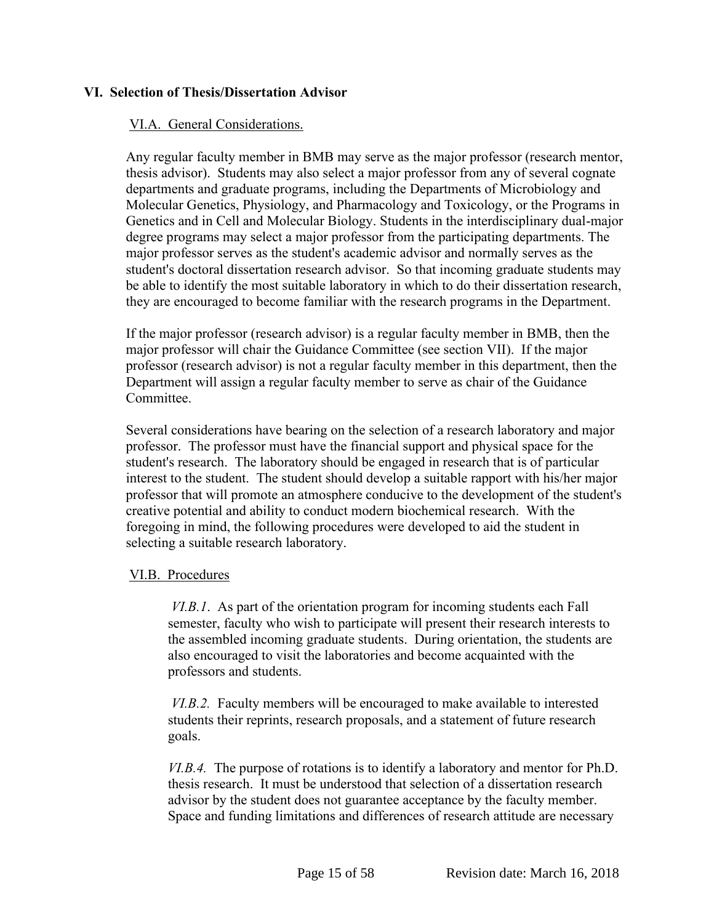# <span id="page-15-0"></span>**VI. Selection of Thesis/Dissertation Advisor**

#### VI.A. General Considerations.

Any regular faculty member in BMB may serve as the major professor (research mentor, thesis advisor). Students may also select a major professor from any of several cognate departments and graduate programs, including the Departments of Microbiology and Molecular Genetics, Physiology, and Pharmacology and Toxicology, or the Programs in Genetics and in Cell and Molecular Biology. Students in the interdisciplinary dual-major degree programs may select a major professor from the participating departments. The major professor serves as the student's academic advisor and normally serves as the student's doctoral dissertation research advisor. So that incoming graduate students may be able to identify the most suitable laboratory in which to do their dissertation research, they are encouraged to become familiar with the research programs in the Department.

If the major professor (research advisor) is a regular faculty member in BMB, then the major professor will chair the Guidance Committee (see section VII). If the major professor (research advisor) is not a regular faculty member in this department, then the Department will assign a regular faculty member to serve as chair of the Guidance Committee.

Several considerations have bearing on the selection of a research laboratory and major professor. The professor must have the financial support and physical space for the student's research. The laboratory should be engaged in research that is of particular interest to the student. The student should develop a suitable rapport with his/her major professor that will promote an atmosphere conducive to the development of the student's creative potential and ability to conduct modern biochemical research. With the foregoing in mind, the following procedures were developed to aid the student in selecting a suitable research laboratory.

#### VI.B. Procedures

*VI.B.1*. As part of the orientation program for incoming students each Fall semester, faculty who wish to participate will present their research interests to the assembled incoming graduate students. During orientation, the students are also encouraged to visit the laboratories and become acquainted with the professors and students.

*VI.B.2.* Faculty members will be encouraged to make available to interested students their reprints, research proposals, and a statement of future research goals.

*VI.B.4.* The purpose of rotations is to identify a laboratory and mentor for Ph.D. thesis research. It must be understood that selection of a dissertation research advisor by the student does not guarantee acceptance by the faculty member. Space and funding limitations and differences of research attitude are necessary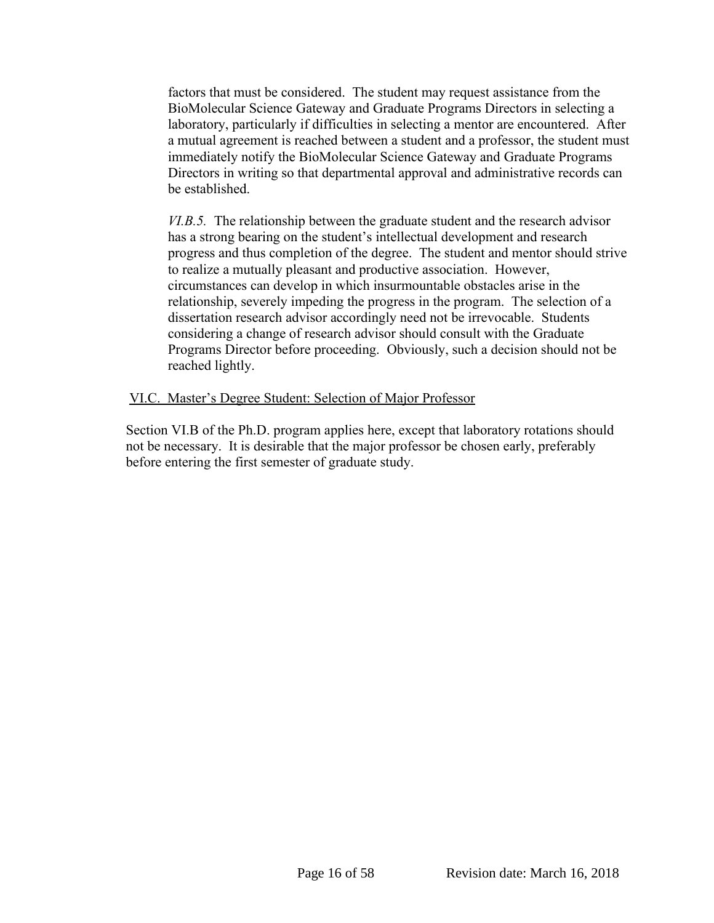factors that must be considered. The student may request assistance from the BioMolecular Science Gateway and Graduate Programs Directors in selecting a laboratory, particularly if difficulties in selecting a mentor are encountered. After a mutual agreement is reached between a student and a professor, the student must immediately notify the BioMolecular Science Gateway and Graduate Programs Directors in writing so that departmental approval and administrative records can be established.

*VI.B.5.* The relationship between the graduate student and the research advisor has a strong bearing on the student's intellectual development and research progress and thus completion of the degree. The student and mentor should strive to realize a mutually pleasant and productive association. However, circumstances can develop in which insurmountable obstacles arise in the relationship, severely impeding the progress in the program. The selection of a dissertation research advisor accordingly need not be irrevocable. Students considering a change of research advisor should consult with the Graduate Programs Director before proceeding. Obviously, such a decision should not be reached lightly.

# VI.C. Master's Degree Student: Selection of Major Professor

Section VI.B of the Ph.D. program applies here, except that laboratory rotations should not be necessary. It is desirable that the major professor be chosen early, preferably before entering the first semester of graduate study.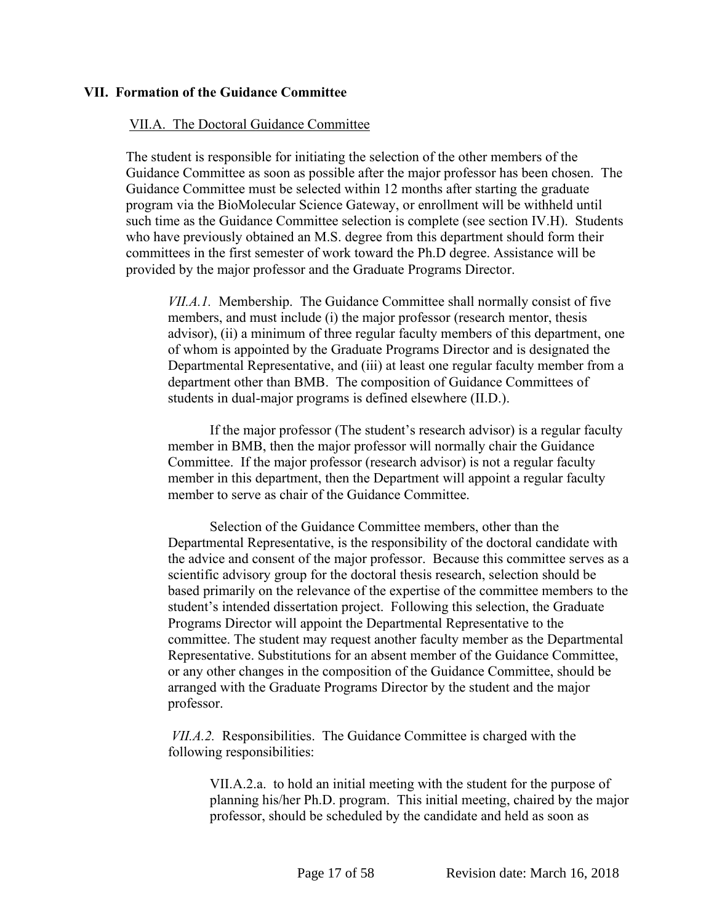#### <span id="page-17-0"></span>**VII. Formation of the Guidance Committee**

#### VII.A. The Doctoral Guidance Committee

The student is responsible for initiating the selection of the other members of the Guidance Committee as soon as possible after the major professor has been chosen. The Guidance Committee must be selected within 12 months after starting the graduate program via the BioMolecular Science Gateway, or enrollment will be withheld until such time as the Guidance Committee selection is complete (see section IV.H). Students who have previously obtained an M.S. degree from this department should form their committees in the first semester of work toward the Ph.D degree. Assistance will be provided by the major professor and the Graduate Programs Director.

*VII.A.1.* Membership. The Guidance Committee shall normally consist of five members, and must include (i) the major professor (research mentor, thesis advisor), (ii) a minimum of three regular faculty members of this department, one of whom is appointed by the Graduate Programs Director and is designated the Departmental Representative, and (iii) at least one regular faculty member from a department other than BMB. The composition of Guidance Committees of students in dual-major programs is defined elsewhere (II.D.).

If the major professor (The student's research advisor) is a regular faculty member in BMB, then the major professor will normally chair the Guidance Committee. If the major professor (research advisor) is not a regular faculty member in this department, then the Department will appoint a regular faculty member to serve as chair of the Guidance Committee.

Selection of the Guidance Committee members, other than the Departmental Representative, is the responsibility of the doctoral candidate with the advice and consent of the major professor. Because this committee serves as a scientific advisory group for the doctoral thesis research, selection should be based primarily on the relevance of the expertise of the committee members to the student's intended dissertation project. Following this selection, the Graduate Programs Director will appoint the Departmental Representative to the committee. The student may request another faculty member as the Departmental Representative. Substitutions for an absent member of the Guidance Committee, or any other changes in the composition of the Guidance Committee, should be arranged with the Graduate Programs Director by the student and the major professor.

*VII.A.2.* Responsibilities. The Guidance Committee is charged with the following responsibilities:

VII.A.2.a. to hold an initial meeting with the student for the purpose of planning his/her Ph.D. program. This initial meeting, chaired by the major professor, should be scheduled by the candidate and held as soon as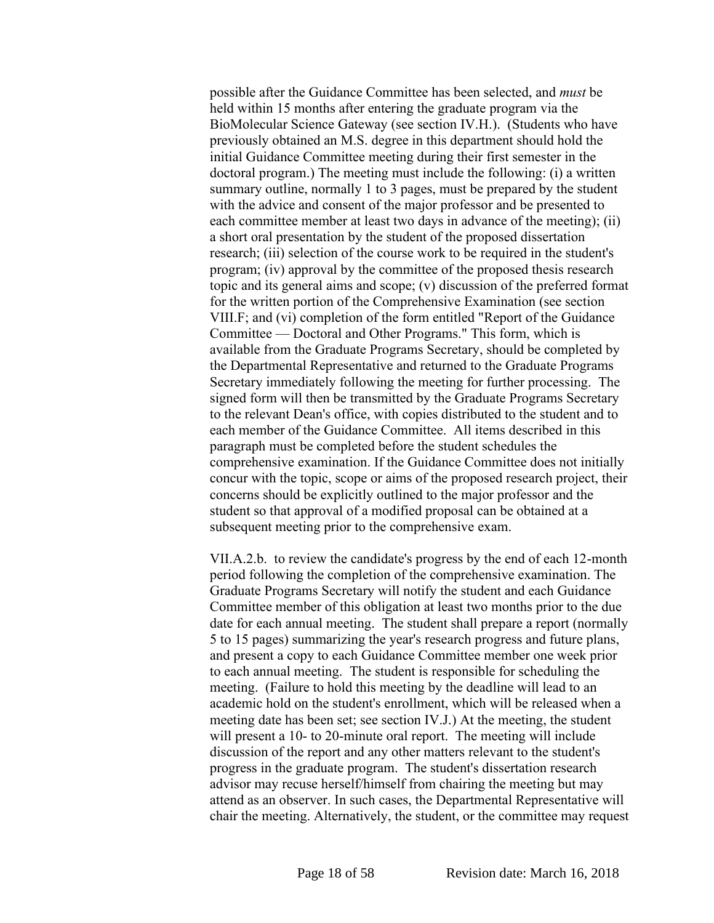possible after the Guidance Committee has been selected, and *must* be held within 15 months after entering the graduate program via the BioMolecular Science Gateway (see section IV.H.). (Students who have previously obtained an M.S. degree in this department should hold the initial Guidance Committee meeting during their first semester in the doctoral program.) The meeting must include the following: (i) a written summary outline, normally 1 to 3 pages, must be prepared by the student with the advice and consent of the major professor and be presented to each committee member at least two days in advance of the meeting); (ii) a short oral presentation by the student of the proposed dissertation research; (iii) selection of the course work to be required in the student's program; (iv) approval by the committee of the proposed thesis research topic and its general aims and scope; (v) discussion of the preferred format for the written portion of the Comprehensive Examination (see section VIII.F; and (vi) completion of the form entitled "Report of the Guidance Committee — Doctoral and Other Programs." This form, which is available from the Graduate Programs Secretary, should be completed by the Departmental Representative and returned to the Graduate Programs Secretary immediately following the meeting for further processing. The signed form will then be transmitted by the Graduate Programs Secretary to the relevant Dean's office, with copies distributed to the student and to each member of the Guidance Committee. All items described in this paragraph must be completed before the student schedules the comprehensive examination. If the Guidance Committee does not initially concur with the topic, scope or aims of the proposed research project, their concerns should be explicitly outlined to the major professor and the student so that approval of a modified proposal can be obtained at a subsequent meeting prior to the comprehensive exam.

VII.A.2.b. to review the candidate's progress by the end of each 12-month period following the completion of the comprehensive examination. The Graduate Programs Secretary will notify the student and each Guidance Committee member of this obligation at least two months prior to the due date for each annual meeting. The student shall prepare a report (normally 5 to 15 pages) summarizing the year's research progress and future plans, and present a copy to each Guidance Committee member one week prior to each annual meeting. The student is responsible for scheduling the meeting. (Failure to hold this meeting by the deadline will lead to an academic hold on the student's enrollment, which will be released when a meeting date has been set; see section IV.J.) At the meeting, the student will present a 10- to 20-minute oral report. The meeting will include discussion of the report and any other matters relevant to the student's progress in the graduate program. The student's dissertation research advisor may recuse herself/himself from chairing the meeting but may attend as an observer. In such cases, the Departmental Representative will chair the meeting. Alternatively, the student, or the committee may request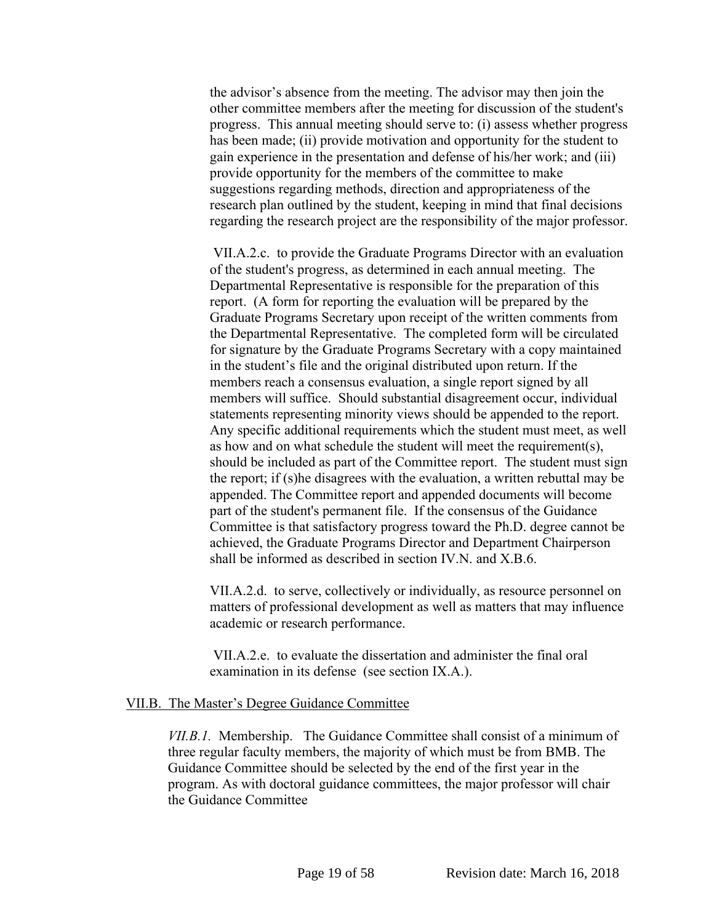the advisor's absence from the meeting. The advisor may then join the other committee members after the meeting for discussion of the student's progress. This annual meeting should serve to: (i) assess whether progress has been made; (ii) provide motivation and opportunity for the student to gain experience in the presentation and defense of his/her work; and (iii) provide opportunity for the members of the committee to make suggestions regarding methods, direction and appropriateness of the research plan outlined by the student, keeping in mind that final decisions regarding the research project are the responsibility of the major professor.

VII.A.2.c. to provide the Graduate Programs Director with an evaluation of the student's progress, as determined in each annual meeting. The Departmental Representative is responsible for the preparation of this report. (A form for reporting the evaluation will be prepared by the Graduate Programs Secretary upon receipt of the written comments from the Departmental Representative. The completed form will be circulated for signature by the Graduate Programs Secretary with a copy maintained in the student's file and the original distributed upon return. If the members reach a consensus evaluation, a single report signed by all members will suffice. Should substantial disagreement occur, individual statements representing minority views should be appended to the report. Any specific additional requirements which the student must meet, as well as how and on what schedule the student will meet the requirement(s), should be included as part of the Committee report. The student must sign the report; if (s)he disagrees with the evaluation, a written rebuttal may be appended. The Committee report and appended documents will become part of the student's permanent file. If the consensus of the Guidance Committee is that satisfactory progress toward the Ph.D. degree cannot be achieved, the Graduate Programs Director and Department Chairperson shall be informed as described in section IV.N. and X.B.6.

VII.A.2.d. to serve, collectively or individually, as resource personnel on matters of professional development as well as matters that may influence academic or research performance.

VII.A.2.e. to evaluate the dissertation and administer the final oral examination in its defense (see section IX.A.).

#### VII.B. The Master's Degree Guidance Committee

*VII.B.1.* Membership. The Guidance Committee shall consist of a minimum of three regular faculty members, the majority of which must be from BMB. The Guidance Committee should be selected by the end of the first year in the program. As with doctoral guidance committees, the major professor will chair the Guidance Committee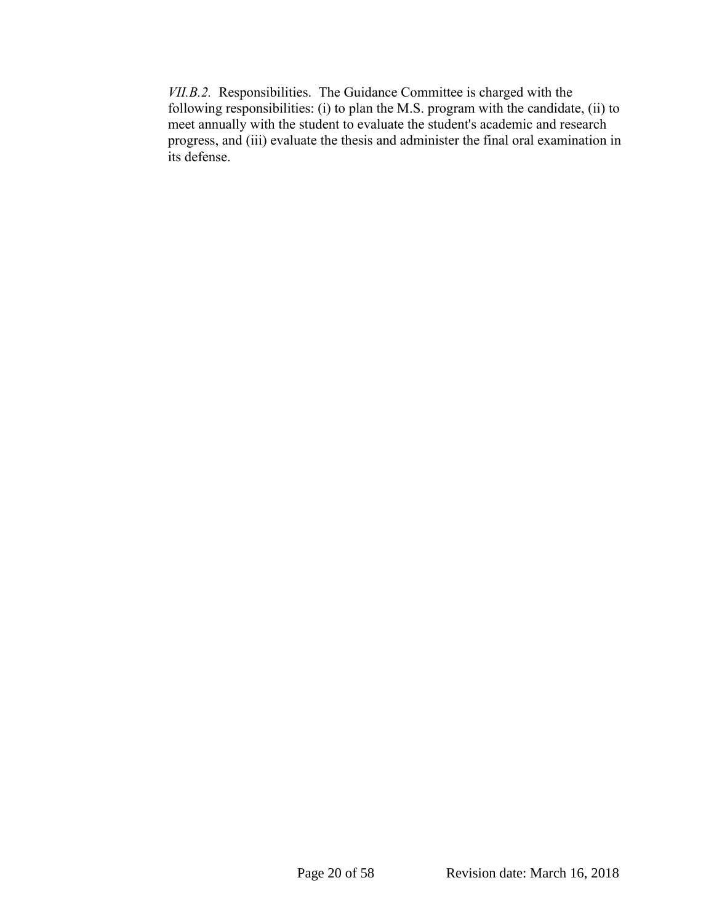*VII.B.2.* Responsibilities. The Guidance Committee is charged with the following responsibilities: (i) to plan the M.S. program with the candidate, (ii) to meet annually with the student to evaluate the student's academic and research progress, and (iii) evaluate the thesis and administer the final oral examination in its defense.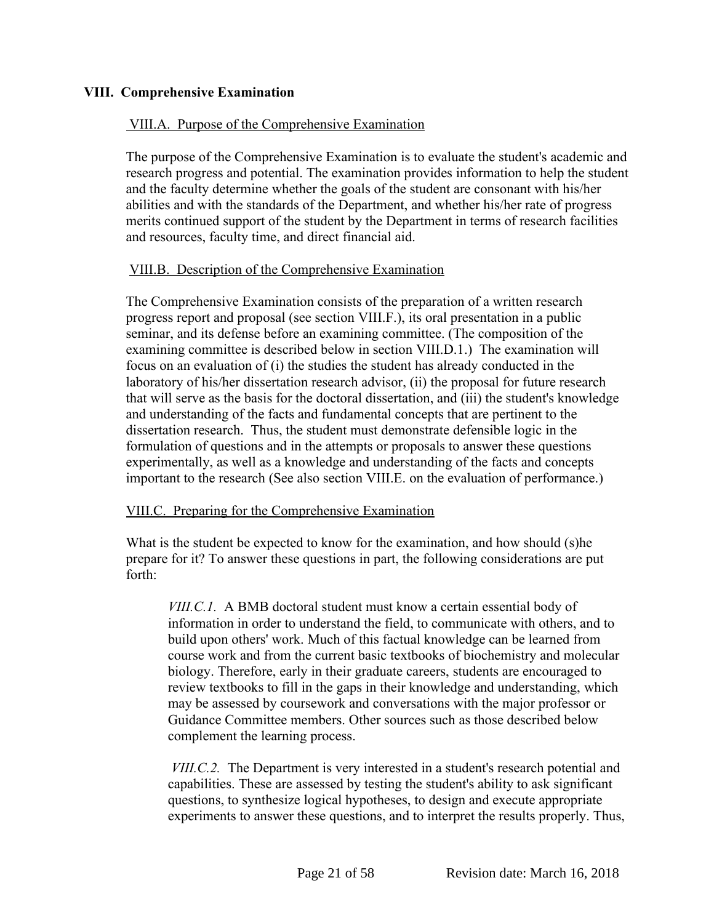# <span id="page-21-0"></span>**VIII. Comprehensive Examination**

# VIII.A. Purpose of the Comprehensive Examination

The purpose of the Comprehensive Examination is to evaluate the student's academic and research progress and potential. The examination provides information to help the student and the faculty determine whether the goals of the student are consonant with his/her abilities and with the standards of the Department, and whether his/her rate of progress merits continued support of the student by the Department in terms of research facilities and resources, faculty time, and direct financial aid.

# VIII.B. Description of the Comprehensive Examination

The Comprehensive Examination consists of the preparation of a written research progress report and proposal (see section VIII.F.), its oral presentation in a public seminar, and its defense before an examining committee. (The composition of the examining committee is described below in section VIII.D.1.) The examination will focus on an evaluation of (i) the studies the student has already conducted in the laboratory of his/her dissertation research advisor, (ii) the proposal for future research that will serve as the basis for the doctoral dissertation, and (iii) the student's knowledge and understanding of the facts and fundamental concepts that are pertinent to the dissertation research. Thus, the student must demonstrate defensible logic in the formulation of questions and in the attempts or proposals to answer these questions experimentally, as well as a knowledge and understanding of the facts and concepts important to the research (See also section VIII.E. on the evaluation of performance.)

#### VIII.C. Preparing for the Comprehensive Examination

What is the student be expected to know for the examination, and how should (s)he prepare for it? To answer these questions in part, the following considerations are put forth:

*VIII.C.1.* A BMB doctoral student must know a certain essential body of information in order to understand the field, to communicate with others, and to build upon others' work. Much of this factual knowledge can be learned from course work and from the current basic textbooks of biochemistry and molecular biology. Therefore, early in their graduate careers, students are encouraged to review textbooks to fill in the gaps in their knowledge and understanding, which may be assessed by coursework and conversations with the major professor or Guidance Committee members. Other sources such as those described below complement the learning process.

*VIII.C.2.* The Department is very interested in a student's research potential and capabilities. These are assessed by testing the student's ability to ask significant questions, to synthesize logical hypotheses, to design and execute appropriate experiments to answer these questions, and to interpret the results properly. Thus,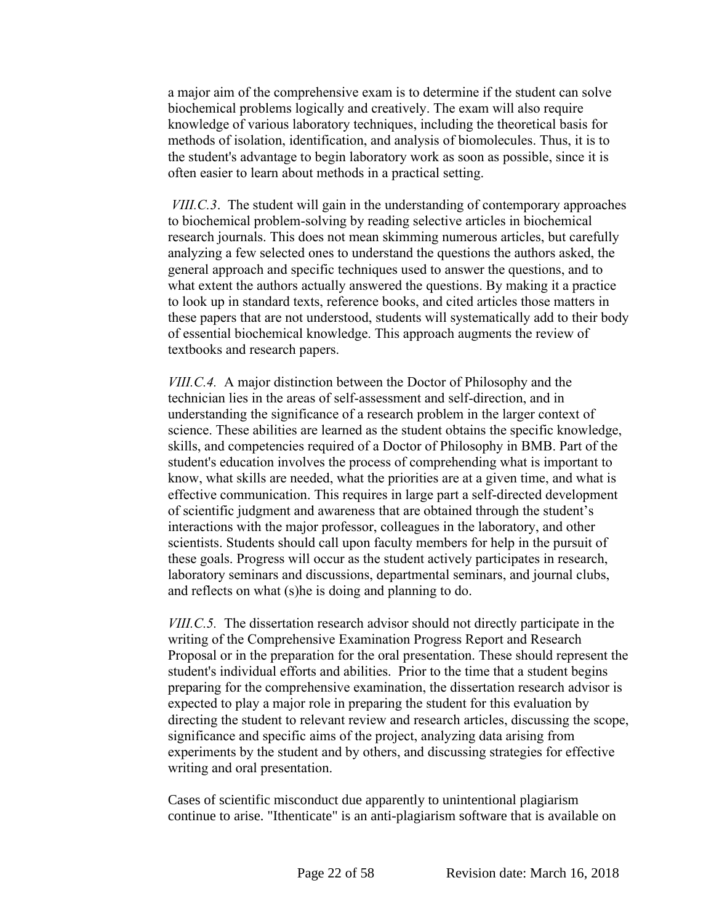a major aim of the comprehensive exam is to determine if the student can solve biochemical problems logically and creatively. The exam will also require knowledge of various laboratory techniques, including the theoretical basis for methods of isolation, identification, and analysis of biomolecules. Thus, it is to the student's advantage to begin laboratory work as soon as possible, since it is often easier to learn about methods in a practical setting.

*VIII.C.3*. The student will gain in the understanding of contemporary approaches to biochemical problem-solving by reading selective articles in biochemical research journals. This does not mean skimming numerous articles, but carefully analyzing a few selected ones to understand the questions the authors asked, the general approach and specific techniques used to answer the questions, and to what extent the authors actually answered the questions. By making it a practice to look up in standard texts, reference books, and cited articles those matters in these papers that are not understood, students will systematically add to their body of essential biochemical knowledge. This approach augments the review of textbooks and research papers.

*VIII.C.4.* A major distinction between the Doctor of Philosophy and the technician lies in the areas of self-assessment and self-direction, and in understanding the significance of a research problem in the larger context of science. These abilities are learned as the student obtains the specific knowledge, skills, and competencies required of a Doctor of Philosophy in BMB. Part of the student's education involves the process of comprehending what is important to know, what skills are needed, what the priorities are at a given time, and what is effective communication. This requires in large part a self-directed development of scientific judgment and awareness that are obtained through the student's interactions with the major professor, colleagues in the laboratory, and other scientists. Students should call upon faculty members for help in the pursuit of these goals. Progress will occur as the student actively participates in research, laboratory seminars and discussions, departmental seminars, and journal clubs, and reflects on what (s)he is doing and planning to do.

*VIII.C.5.* The dissertation research advisor should not directly participate in the writing of the Comprehensive Examination Progress Report and Research Proposal or in the preparation for the oral presentation. These should represent the student's individual efforts and abilities. Prior to the time that a student begins preparing for the comprehensive examination, the dissertation research advisor is expected to play a major role in preparing the student for this evaluation by directing the student to relevant review and research articles, discussing the scope, significance and specific aims of the project, analyzing data arising from experiments by the student and by others, and discussing strategies for effective writing and oral presentation.

Cases of scientific misconduct due apparently to unintentional plagiarism continue to arise. "Ithenticate" is an anti-plagiarism software that is available on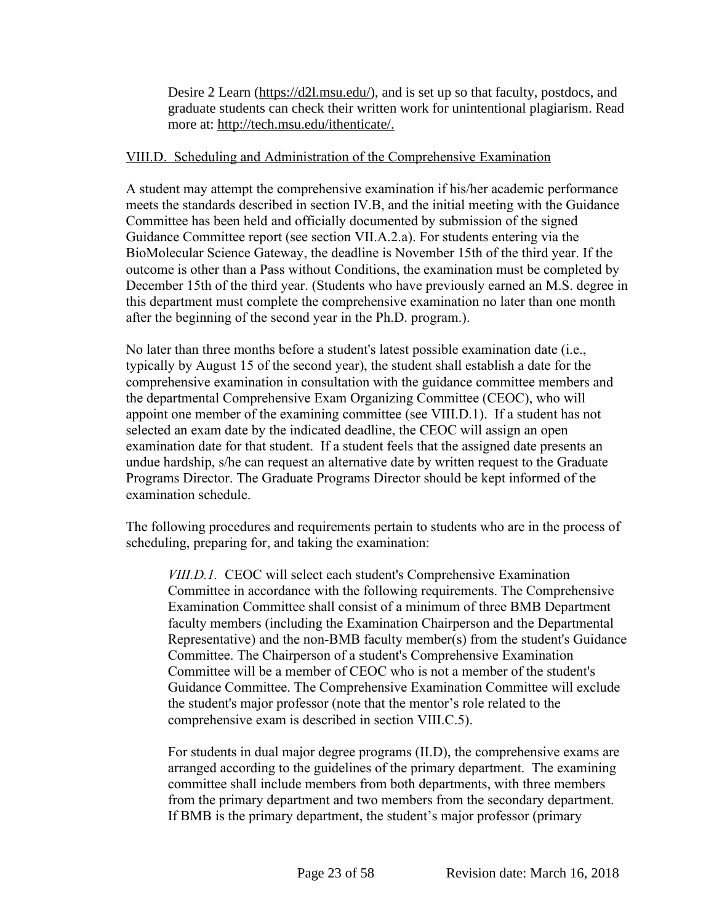Desire 2 Learn [\(https://d2l.msu.edu/\)](https://d2l.msu.edu/), and is set up so that faculty, postdocs, and graduate students can check their written work for unintentional plagiarism. Read more at: [http://tech.msu.edu/ithenticate/.](http://tech.msu.edu/ithenticate/)

#### VIII.D. Scheduling and Administration of the Comprehensive Examination

A student may attempt the comprehensive examination if his/her academic performance meets the standards described in section IV.B, and the initial meeting with the Guidance Committee has been held and officially documented by submission of the signed Guidance Committee report (see section VII.A.2.a). For students entering via the BioMolecular Science Gateway, the deadline is November 15th of the third year. If the outcome is other than a Pass without Conditions, the examination must be completed by December 15th of the third year. (Students who have previously earned an M.S. degree in this department must complete the comprehensive examination no later than one month after the beginning of the second year in the Ph.D. program.).

No later than three months before a student's latest possible examination date (i.e., typically by August 15 of the second year), the student shall establish a date for the comprehensive examination in consultation with the guidance committee members and the departmental Comprehensive Exam Organizing Committee (CEOC), who will appoint one member of the examining committee (see VIII.D.1). If a student has not selected an exam date by the indicated deadline, the CEOC will assign an open examination date for that student. If a student feels that the assigned date presents an undue hardship, s/he can request an alternative date by written request to the Graduate Programs Director. The Graduate Programs Director should be kept informed of the examination schedule.

The following procedures and requirements pertain to students who are in the process of scheduling, preparing for, and taking the examination:

*VIII.D.1.* CEOC will select each student's Comprehensive Examination Committee in accordance with the following requirements. The Comprehensive Examination Committee shall consist of a minimum of three BMB Department faculty members (including the Examination Chairperson and the Departmental Representative) and the non-BMB faculty member(s) from the student's Guidance Committee. The Chairperson of a student's Comprehensive Examination Committee will be a member of CEOC who is not a member of the student's Guidance Committee. The Comprehensive Examination Committee will exclude the student's major professor (note that the mentor's role related to the comprehensive exam is described in section VIII.C.5).

For students in dual major degree programs (II.D), the comprehensive exams are arranged according to the guidelines of the primary department. The examining committee shall include members from both departments, with three members from the primary department and two members from the secondary department. If BMB is the primary department, the student's major professor (primary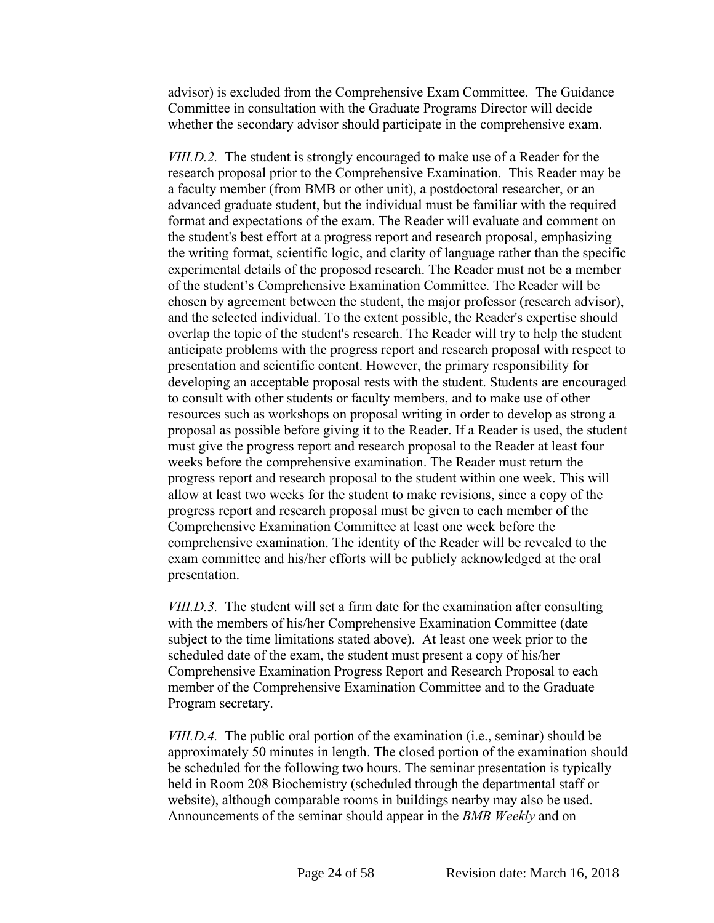advisor) is excluded from the Comprehensive Exam Committee. The Guidance Committee in consultation with the Graduate Programs Director will decide whether the secondary advisor should participate in the comprehensive exam.

*VIII.D.2.* The student is strongly encouraged to make use of a Reader for the research proposal prior to the Comprehensive Examination. This Reader may be a faculty member (from BMB or other unit), a postdoctoral researcher, or an advanced graduate student, but the individual must be familiar with the required format and expectations of the exam. The Reader will evaluate and comment on the student's best effort at a progress report and research proposal, emphasizing the writing format, scientific logic, and clarity of language rather than the specific experimental details of the proposed research. The Reader must not be a member of the student's Comprehensive Examination Committee. The Reader will be chosen by agreement between the student, the major professor (research advisor), and the selected individual. To the extent possible, the Reader's expertise should overlap the topic of the student's research. The Reader will try to help the student anticipate problems with the progress report and research proposal with respect to presentation and scientific content. However, the primary responsibility for developing an acceptable proposal rests with the student. Students are encouraged to consult with other students or faculty members, and to make use of other resources such as workshops on proposal writing in order to develop as strong a proposal as possible before giving it to the Reader. If a Reader is used, the student must give the progress report and research proposal to the Reader at least four weeks before the comprehensive examination. The Reader must return the progress report and research proposal to the student within one week. This will allow at least two weeks for the student to make revisions, since a copy of the progress report and research proposal must be given to each member of the Comprehensive Examination Committee at least one week before the comprehensive examination. The identity of the Reader will be revealed to the exam committee and his/her efforts will be publicly acknowledged at the oral presentation.

*VIII.D.3.* The student will set a firm date for the examination after consulting with the members of his/her Comprehensive Examination Committee (date subject to the time limitations stated above). At least one week prior to the scheduled date of the exam, the student must present a copy of his/her Comprehensive Examination Progress Report and Research Proposal to each member of the Comprehensive Examination Committee and to the Graduate Program secretary.

*VIII.D.4.* The public oral portion of the examination (i.e., seminar) should be approximately 50 minutes in length. The closed portion of the examination should be scheduled for the following two hours. The seminar presentation is typically held in Room 208 Biochemistry (scheduled through the departmental staff or website), although comparable rooms in buildings nearby may also be used. Announcements of the seminar should appear in the *BMB Weekly* and on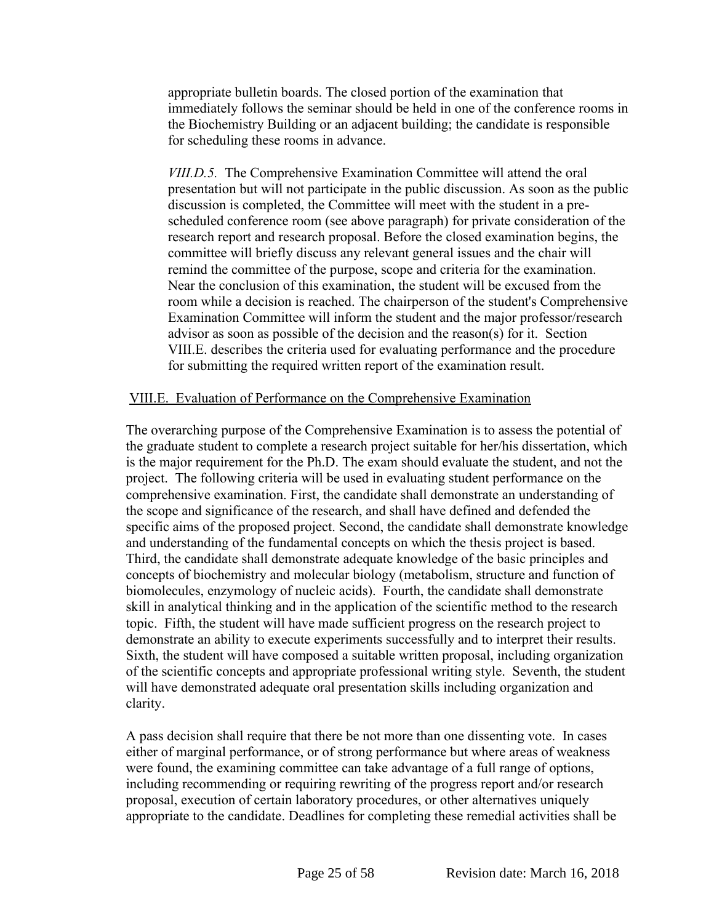appropriate bulletin boards. The closed portion of the examination that immediately follows the seminar should be held in one of the conference rooms in the Biochemistry Building or an adjacent building; the candidate is responsible for scheduling these rooms in advance.

*VIII.D.5.* The Comprehensive Examination Committee will attend the oral presentation but will not participate in the public discussion. As soon as the public discussion is completed, the Committee will meet with the student in a prescheduled conference room (see above paragraph) for private consideration of the research report and research proposal. Before the closed examination begins, the committee will briefly discuss any relevant general issues and the chair will remind the committee of the purpose, scope and criteria for the examination. Near the conclusion of this examination, the student will be excused from the room while a decision is reached. The chairperson of the student's Comprehensive Examination Committee will inform the student and the major professor/research advisor as soon as possible of the decision and the reason(s) for it. Section VIII.E. describes the criteria used for evaluating performance and the procedure for submitting the required written report of the examination result.

#### VIII.E. Evaluation of Performance on the Comprehensive Examination

The overarching purpose of the Comprehensive Examination is to assess the potential of the graduate student to complete a research project suitable for her/his dissertation, which is the major requirement for the Ph.D. The exam should evaluate the student, and not the project. The following criteria will be used in evaluating student performance on the comprehensive examination. First, the candidate shall demonstrate an understanding of the scope and significance of the research, and shall have defined and defended the specific aims of the proposed project. Second, the candidate shall demonstrate knowledge and understanding of the fundamental concepts on which the thesis project is based. Third, the candidate shall demonstrate adequate knowledge of the basic principles and concepts of biochemistry and molecular biology (metabolism, structure and function of biomolecules, enzymology of nucleic acids). Fourth, the candidate shall demonstrate skill in analytical thinking and in the application of the scientific method to the research topic. Fifth, the student will have made sufficient progress on the research project to demonstrate an ability to execute experiments successfully and to interpret their results. Sixth, the student will have composed a suitable written proposal, including organization of the scientific concepts and appropriate professional writing style. Seventh, the student will have demonstrated adequate oral presentation skills including organization and clarity.

A pass decision shall require that there be not more than one dissenting vote. In cases either of marginal performance, or of strong performance but where areas of weakness were found, the examining committee can take advantage of a full range of options, including recommending or requiring rewriting of the progress report and/or research proposal, execution of certain laboratory procedures, or other alternatives uniquely appropriate to the candidate. Deadlines for completing these remedial activities shall be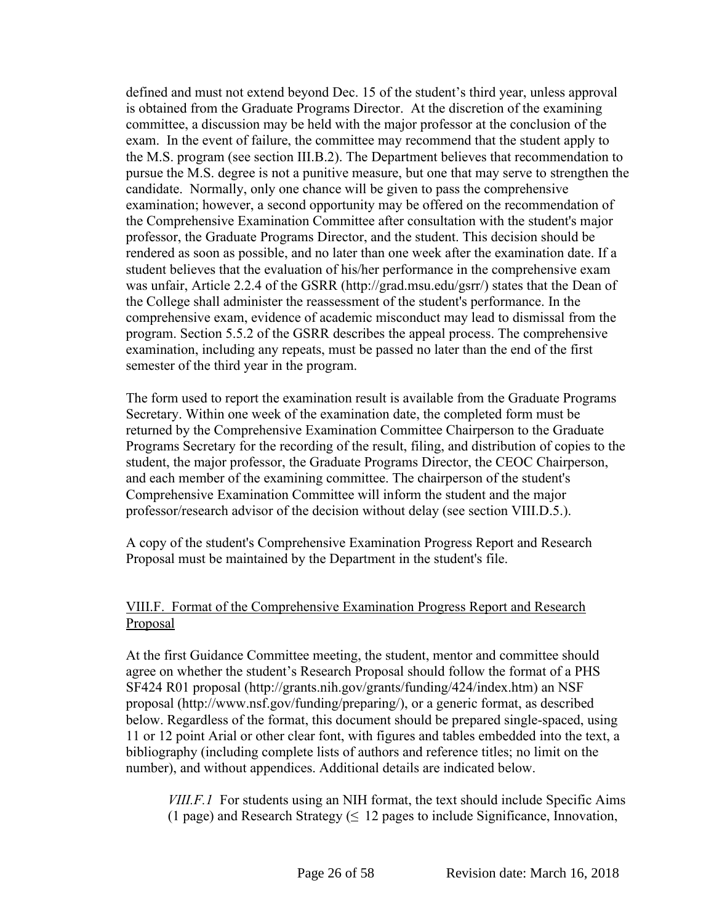defined and must not extend beyond Dec. 15 of the student's third year, unless approval is obtained from the Graduate Programs Director. At the discretion of the examining committee, a discussion may be held with the major professor at the conclusion of the exam. In the event of failure, the committee may recommend that the student apply to the M.S. program (see section III.B.2). The Department believes that recommendation to pursue the M.S. degree is not a punitive measure, but one that may serve to strengthen the candidate. Normally, only one chance will be given to pass the comprehensive examination; however, a second opportunity may be offered on the recommendation of the Comprehensive Examination Committee after consultation with the student's major professor, the Graduate Programs Director, and the student. This decision should be rendered as soon as possible, and no later than one week after the examination date. If a student believes that the evaluation of his/her performance in the comprehensive exam was unfair, Article 2.2.4 of the GSRR (http://grad.msu.edu/gsrr/) states that the Dean of the College shall administer the reassessment of the student's performance. In the comprehensive exam, evidence of academic misconduct may lead to dismissal from the program. Section 5.5.2 of the GSRR describes the appeal process. The comprehensive examination, including any repeats, must be passed no later than the end of the first semester of the third year in the program.

The form used to report the examination result is available from the Graduate Programs Secretary. Within one week of the examination date, the completed form must be returned by the Comprehensive Examination Committee Chairperson to the Graduate Programs Secretary for the recording of the result, filing, and distribution of copies to the student, the major professor, the Graduate Programs Director, the CEOC Chairperson, and each member of the examining committee. The chairperson of the student's Comprehensive Examination Committee will inform the student and the major professor/research advisor of the decision without delay (see section VIII.D.5.).

A copy of the student's Comprehensive Examination Progress Report and Research Proposal must be maintained by the Department in the student's file.

# VIII.F. Format of the Comprehensive Examination Progress Report and Research Proposal

At the first Guidance Committee meeting, the student, mentor and committee should agree on whether the student's Research Proposal should follow the format of a PHS SF424 R01 proposal (http://grants.nih.gov/grants/funding/424/index.htm) an NSF proposal (http://www.nsf.gov/funding/preparing/), or a generic format, as described below. Regardless of the format, this document should be prepared single-spaced, using 11 or 12 point Arial or other clear font, with figures and tables embedded into the text, a bibliography (including complete lists of authors and reference titles; no limit on the number), and without appendices. Additional details are indicated below.

*VIII.F.1* For students using an NIH format, the text should include Specific Aims (1 page) and Research Strategy ( $\leq$  12 pages to include Significance, Innovation,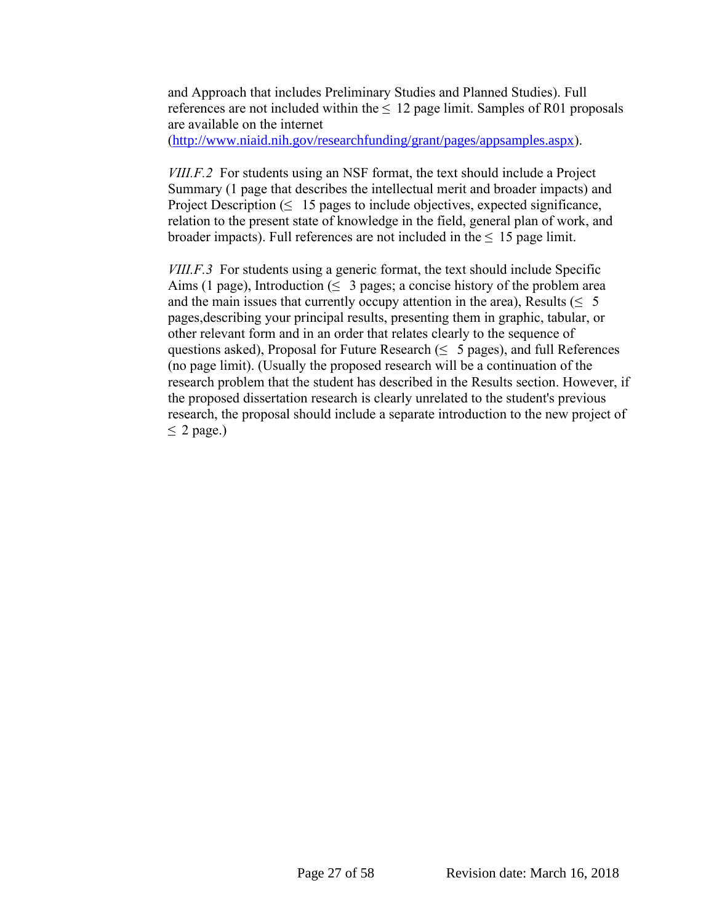and Approach that includes Preliminary Studies and Planned Studies). Full references are not included within the  $\leq 12$  page limit. Samples of R01 proposals are available on the internet

([http://www.niaid.nih.gov/researchfunding/grant/pages/appsamples.aspx](https://mail.cns.msu.edu/owa/redir.aspx?C=PDds2BwRYUKtty9LDIN8aBabxZAN-c8I6it7xcaR9kuMZCY87OLyPIsoH0XIilN8La9aNueNsBc.&URL=http%3a%2f%2fwww.niaid.nih.gov%2fresearchfunding%2fgrant%2fpages%2fappsamples.aspx)).

*VIII.F.2* For students using an NSF format, the text should include a Project Summary (1 page that describes the intellectual merit and broader impacts) and Project Description  $( \leq 15 \text{ pages to include objectives, expected significance,})$ relation to the present state of knowledge in the field, general plan of work, and broader impacts). Full references are not included in the  $\leq 15$  page limit.

*VIII.F.3* For students using a generic format, the text should include Specific Aims (1 page), Introduction ( $\leq 3$  pages; a concise history of the problem area and the main issues that currently occupy attention in the area), Results ( $\leq 5$ pages,describing your principal results, presenting them in graphic, tabular, or other relevant form and in an order that relates clearly to the sequence of questions asked), Proposal for Future Research ( $\leq 5$  pages), and full References (no page limit). (Usually the proposed research will be a continuation of the research problem that the student has described in the Results section. However, if the proposed dissertation research is clearly unrelated to the student's previous research, the proposal should include a separate introduction to the new project of  $< 2$  page.)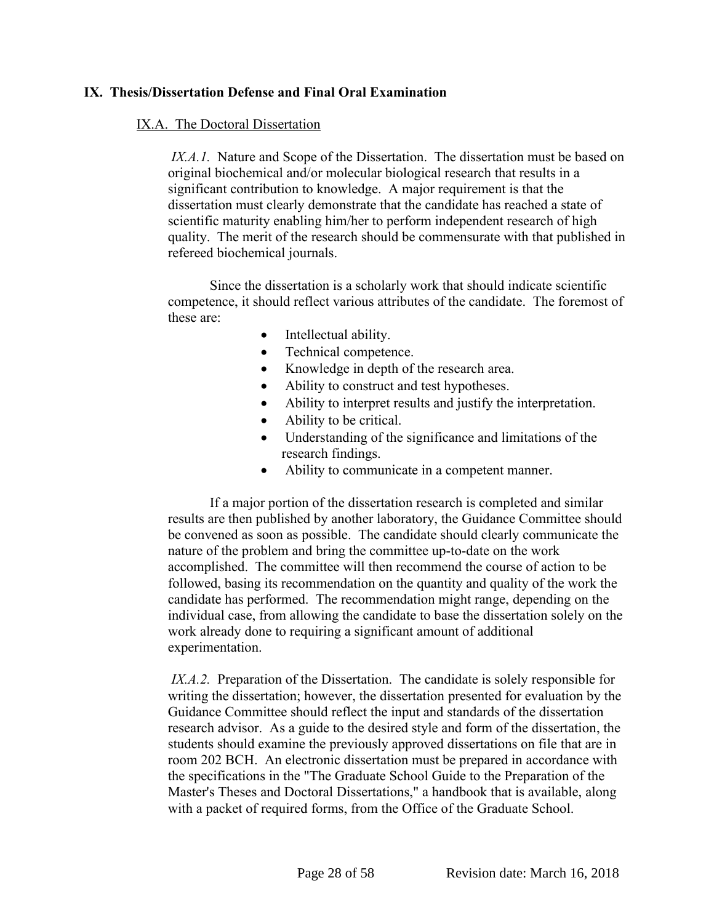# <span id="page-28-0"></span>**IX. Thesis/Dissertation Defense and Final Oral Examination**

#### IX.A. The Doctoral Dissertation

*IX.A.1.* Nature and Scope of the Dissertation. The dissertation must be based on original biochemical and/or molecular biological research that results in a significant contribution to knowledge. A major requirement is that the dissertation must clearly demonstrate that the candidate has reached a state of scientific maturity enabling him/her to perform independent research of high quality. The merit of the research should be commensurate with that published in refereed biochemical journals.

Since the dissertation is a scholarly work that should indicate scientific competence, it should reflect various attributes of the candidate. The foremost of these are:

- Intellectual ability.
- Technical competence.
- Knowledge in depth of the research area.
- Ability to construct and test hypotheses.
- Ability to interpret results and justify the interpretation.
- Ability to be critical.
- Understanding of the significance and limitations of the research findings.
- Ability to communicate in a competent manner.

If a major portion of the dissertation research is completed and similar results are then published by another laboratory, the Guidance Committee should be convened as soon as possible. The candidate should clearly communicate the nature of the problem and bring the committee up-to-date on the work accomplished. The committee will then recommend the course of action to be followed, basing its recommendation on the quantity and quality of the work the candidate has performed. The recommendation might range, depending on the individual case, from allowing the candidate to base the dissertation solely on the work already done to requiring a significant amount of additional experimentation.

*IX.A.2.* Preparation of the Dissertation. The candidate is solely responsible for writing the dissertation; however, the dissertation presented for evaluation by the Guidance Committee should reflect the input and standards of the dissertation research advisor. As a guide to the desired style and form of the dissertation, the students should examine the previously approved dissertations on file that are in room 202 BCH. An electronic dissertation must be prepared in accordance with the specifications in the "The Graduate School Guide to the Preparation of the Master's Theses and Doctoral Dissertations," a handbook that is available, along with a packet of required forms, from the Office of the Graduate School.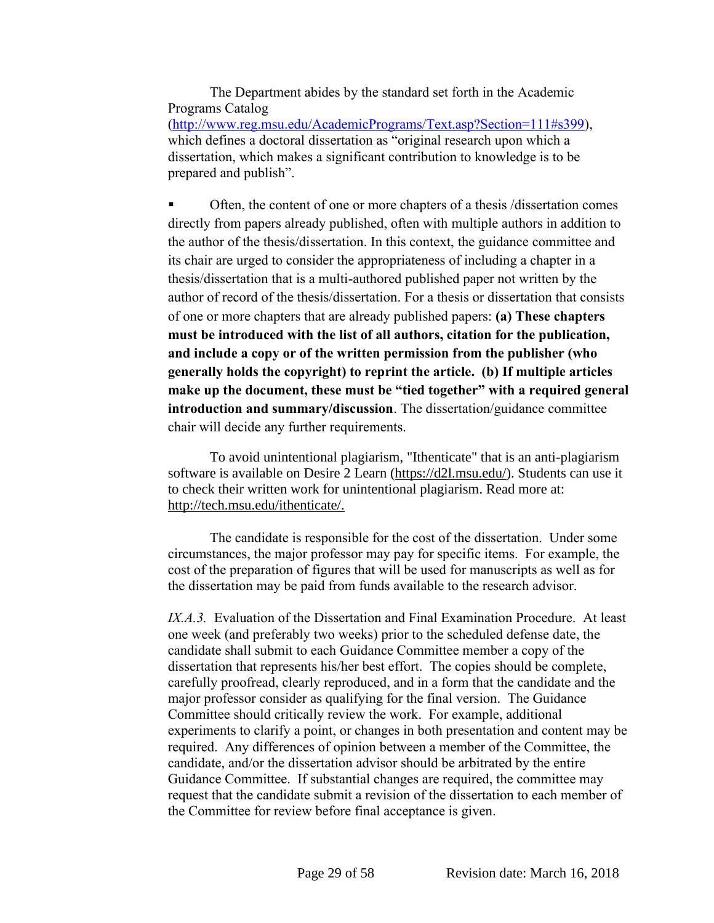The Department abides by the standard set forth in the Academic Programs Catalog [\(http://www.reg.msu.edu/AcademicPrograms/Text.asp?Section=111#s399\)](http://www.reg.msu.edu/AcademicPrograms/Text.asp?Section=111#s399), which defines a doctoral dissertation as "original research upon which a dissertation, which makes a significant contribution to knowledge is to be prepared and publish".

 Often, the content of one or more chapters of a thesis /dissertation comes directly from papers already published, often with multiple authors in addition to the author of the thesis/dissertation. In this context, the guidance committee and its chair are urged to consider the appropriateness of including a chapter in a thesis/dissertation that is a multi-authored published paper not written by the author of record of the thesis/dissertation. For a thesis or dissertation that consists of one or more chapters that are already published papers: **(a) These chapters must be introduced with the list of all authors, citation for the publication, and include a copy or of the written permission from the publisher (who generally holds the copyright) to reprint the article. (b) If multiple articles make up the document, these must be "tied together" with a required general introduction and summary/discussion**. The dissertation/guidance committee chair will decide any further requirements.

To avoid unintentional plagiarism, "Ithenticate" that is an anti-plagiarism software is available on Desire 2 Learn [\(https://d2l.msu.edu/\)](https://d2l.msu.edu/). Students can use it to check their written work for unintentional plagiarism. Read more at: [http://tech.msu.edu/ithenticate/.](http://tech.msu.edu/ithenticate/)

The candidate is responsible for the cost of the dissertation. Under some circumstances, the major professor may pay for specific items. For example, the cost of the preparation of figures that will be used for manuscripts as well as for the dissertation may be paid from funds available to the research advisor.

*IX.A.3.* Evaluation of the Dissertation and Final Examination Procedure. At least one week (and preferably two weeks) prior to the scheduled defense date, the candidate shall submit to each Guidance Committee member a copy of the dissertation that represents his/her best effort. The copies should be complete, carefully proofread, clearly reproduced, and in a form that the candidate and the major professor consider as qualifying for the final version. The Guidance Committee should critically review the work. For example, additional experiments to clarify a point, or changes in both presentation and content may be required. Any differences of opinion between a member of the Committee, the candidate, and/or the dissertation advisor should be arbitrated by the entire Guidance Committee. If substantial changes are required, the committee may request that the candidate submit a revision of the dissertation to each member of the Committee for review before final acceptance is given.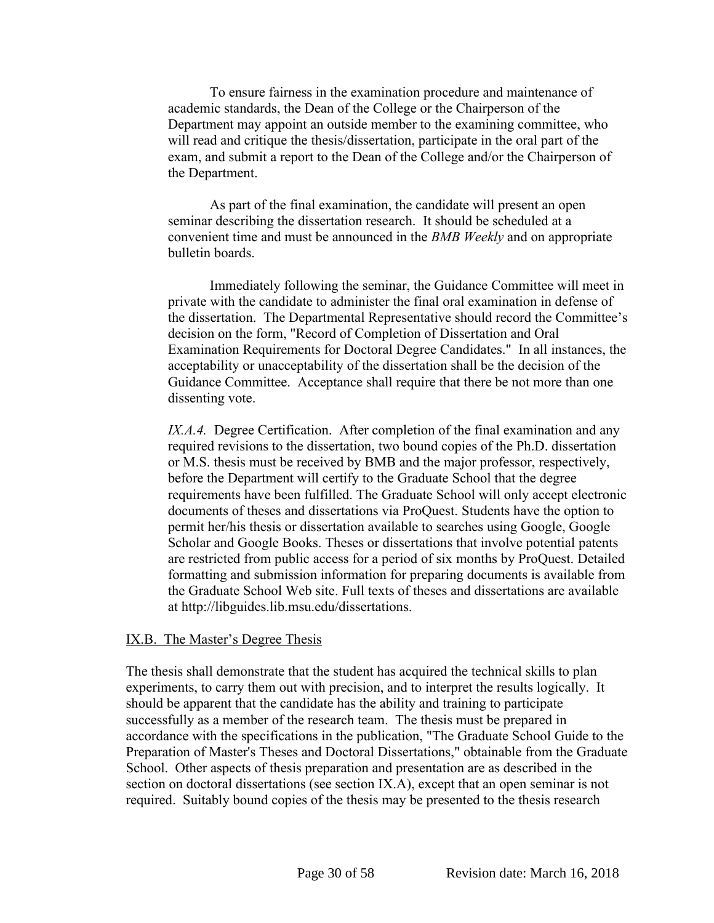To ensure fairness in the examination procedure and maintenance of academic standards, the Dean of the College or the Chairperson of the Department may appoint an outside member to the examining committee, who will read and critique the thesis/dissertation, participate in the oral part of the exam, and submit a report to the Dean of the College and/or the Chairperson of the Department.

As part of the final examination, the candidate will present an open seminar describing the dissertation research. It should be scheduled at a convenient time and must be announced in the *BMB Weekly* and on appropriate bulletin boards.

Immediately following the seminar, the Guidance Committee will meet in private with the candidate to administer the final oral examination in defense of the dissertation. The Departmental Representative should record the Committee's decision on the form, "Record of Completion of Dissertation and Oral Examination Requirements for Doctoral Degree Candidates." In all instances, the acceptability or unacceptability of the dissertation shall be the decision of the Guidance Committee. Acceptance shall require that there be not more than one dissenting vote.

*IX.A.4.* Degree Certification. After completion of the final examination and any required revisions to the dissertation, two bound copies of the Ph.D. dissertation or M.S. thesis must be received by BMB and the major professor, respectively, before the Department will certify to the Graduate School that the degree requirements have been fulfilled. The Graduate School will only accept electronic documents of theses and dissertations via ProQuest. Students have the option to permit her/his thesis or dissertation available to searches using Google, Google Scholar and Google Books. Theses or dissertations that involve potential patents are restricted from public access for a period of six months by ProQuest. Detailed formatting and submission information for preparing documents is available from the Graduate School Web site. Full texts of theses and dissertations are available at http://libguides.lib.msu.edu/dissertations.

#### IX.B. The Master's Degree Thesis

The thesis shall demonstrate that the student has acquired the technical skills to plan experiments, to carry them out with precision, and to interpret the results logically. It should be apparent that the candidate has the ability and training to participate successfully as a member of the research team. The thesis must be prepared in accordance with the specifications in the publication, "The Graduate School Guide to the Preparation of Master's Theses and Doctoral Dissertations," obtainable from the Graduate School. Other aspects of thesis preparation and presentation are as described in the section on doctoral dissertations (see section IX.A), except that an open seminar is not required. Suitably bound copies of the thesis may be presented to the thesis research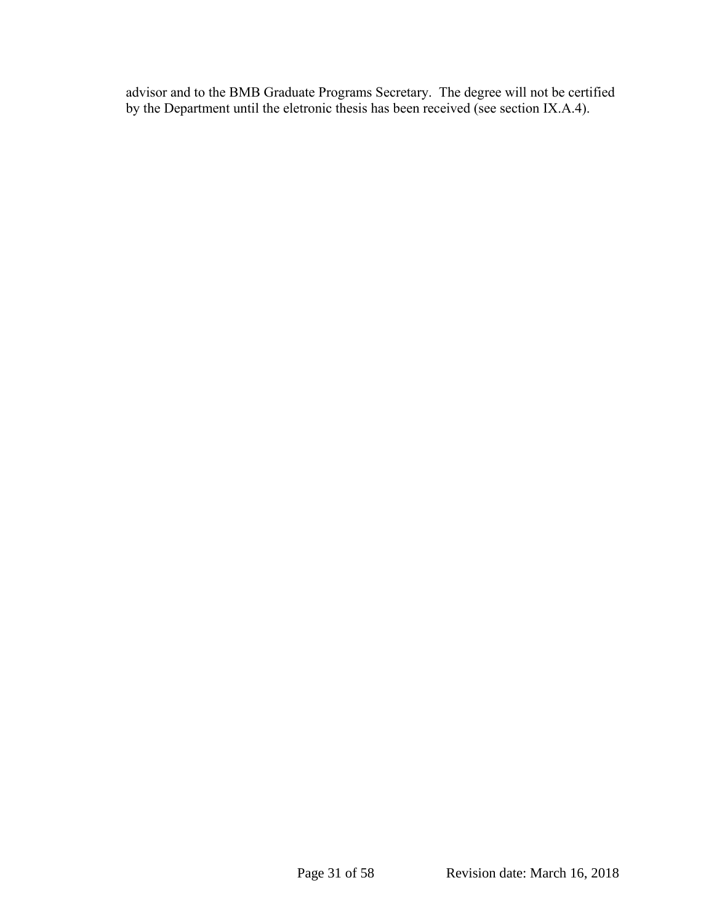advisor and to the BMB Graduate Programs Secretary. The degree will not be certified by the Department until the eletronic thesis has been received (see section IX.A.4).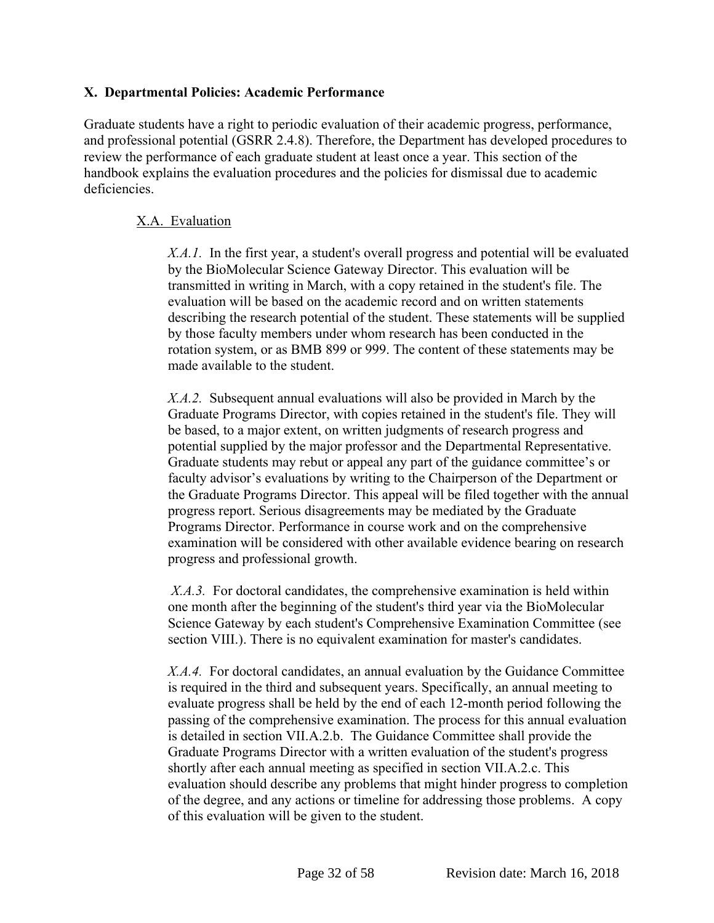# <span id="page-32-0"></span>**X. Departmental Policies: Academic Performance**

Graduate students have a right to periodic evaluation of their academic progress, performance, and professional potential (GSRR 2.4.8). Therefore, the Department has developed procedures to review the performance of each graduate student at least once a year. This section of the handbook explains the evaluation procedures and the policies for dismissal due to academic deficiencies.

# X.A. Evaluation

*X.A.1.* In the first year, a student's overall progress and potential will be evaluated by the BioMolecular Science Gateway Director. This evaluation will be transmitted in writing in March, with a copy retained in the student's file. The evaluation will be based on the academic record and on written statements describing the research potential of the student. These statements will be supplied by those faculty members under whom research has been conducted in the rotation system, or as BMB 899 or 999. The content of these statements may be made available to the student.

*X.A.2.* Subsequent annual evaluations will also be provided in March by the Graduate Programs Director, with copies retained in the student's file. They will be based, to a major extent, on written judgments of research progress and potential supplied by the major professor and the Departmental Representative. Graduate students may rebut or appeal any part of the guidance committee's or faculty advisor's evaluations by writing to the Chairperson of the Department or the Graduate Programs Director. This appeal will be filed together with the annual progress report. Serious disagreements may be mediated by the Graduate Programs Director. Performance in course work and on the comprehensive examination will be considered with other available evidence bearing on research progress and professional growth.

*X.A.3.* For doctoral candidates, the comprehensive examination is held within one month after the beginning of the student's third year via the BioMolecular Science Gateway by each student's Comprehensive Examination Committee (see section VIII.). There is no equivalent examination for master's candidates.

*X.A.4.* For doctoral candidates, an annual evaluation by the Guidance Committee is required in the third and subsequent years. Specifically, an annual meeting to evaluate progress shall be held by the end of each 12-month period following the passing of the comprehensive examination. The process for this annual evaluation is detailed in section VII.A.2.b. The Guidance Committee shall provide the Graduate Programs Director with a written evaluation of the student's progress shortly after each annual meeting as specified in section VII.A.2.c. This evaluation should describe any problems that might hinder progress to completion of the degree, and any actions or timeline for addressing those problems. A copy of this evaluation will be given to the student.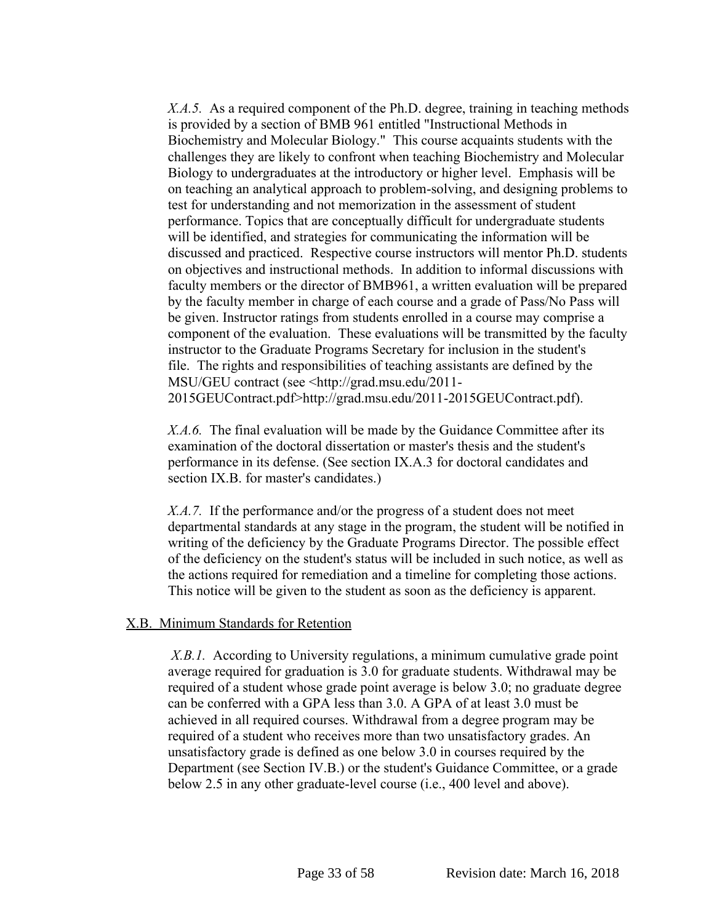*X.A.5.* As a required component of the Ph.D. degree, training in teaching methods is provided by a section of BMB 961 entitled "Instructional Methods in Biochemistry and Molecular Biology." This course acquaints students with the challenges they are likely to confront when teaching Biochemistry and Molecular Biology to undergraduates at the introductory or higher level. Emphasis will be on teaching an analytical approach to problem-solving, and designing problems to test for understanding and not memorization in the assessment of student performance. Topics that are conceptually difficult for undergraduate students will be identified, and strategies for communicating the information will be discussed and practiced. Respective course instructors will mentor Ph.D. students on objectives and instructional methods. In addition to informal discussions with faculty members or the director of BMB961, a written evaluation will be prepared by the faculty member in charge of each course and a grade of Pass/No Pass will be given. Instructor ratings from students enrolled in a course may comprise a component of the evaluation. These evaluations will be transmitted by the faculty instructor to the Graduate Programs Secretary for inclusion in the student's file. The rights and responsibilities of teaching assistants are defined by the MSU/GEU contract (see <http://grad.msu.edu/2011- 2015GEUContract.pdf>http://grad.msu.edu/2011-2015GEUContract.pdf).

*X.A.6.* The final evaluation will be made by the Guidance Committee after its examination of the doctoral dissertation or master's thesis and the student's performance in its defense. (See section IX.A.3 for doctoral candidates and section IX.B. for master's candidates.)

*X.A.7.* If the performance and/or the progress of a student does not meet departmental standards at any stage in the program, the student will be notified in writing of the deficiency by the Graduate Programs Director. The possible effect of the deficiency on the student's status will be included in such notice, as well as the actions required for remediation and a timeline for completing those actions. This notice will be given to the student as soon as the deficiency is apparent.

#### X.B. Minimum Standards for Retention

*X.B.1.* According to University regulations, a minimum cumulative grade point average required for graduation is 3.0 for graduate students. Withdrawal may be required of a student whose grade point average is below 3.0; no graduate degree can be conferred with a GPA less than 3.0. A GPA of at least 3.0 must be achieved in all required courses. Withdrawal from a degree program may be required of a student who receives more than two unsatisfactory grades. An unsatisfactory grade is defined as one below 3.0 in courses required by the Department (see Section IV.B.) or the student's Guidance Committee, or a grade below 2.5 in any other graduate-level course (i.e., 400 level and above).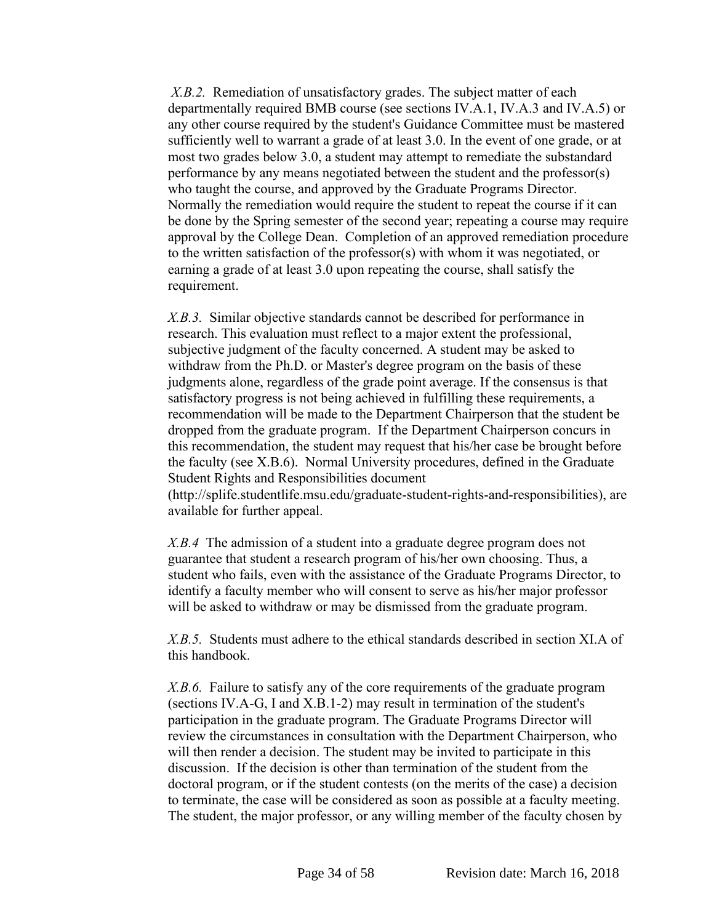*X.B.2.* Remediation of unsatisfactory grades. The subject matter of each departmentally required BMB course (see sections IV.A.1, IV.A.3 and IV.A.5) or any other course required by the student's Guidance Committee must be mastered sufficiently well to warrant a grade of at least 3.0. In the event of one grade, or at most two grades below 3.0, a student may attempt to remediate the substandard performance by any means negotiated between the student and the professor(s) who taught the course, and approved by the Graduate Programs Director. Normally the remediation would require the student to repeat the course if it can be done by the Spring semester of the second year; repeating a course may require approval by the College Dean. Completion of an approved remediation procedure to the written satisfaction of the professor(s) with whom it was negotiated, or earning a grade of at least 3.0 upon repeating the course, shall satisfy the requirement.

*X.B.3.* Similar objective standards cannot be described for performance in research. This evaluation must reflect to a major extent the professional, subjective judgment of the faculty concerned. A student may be asked to withdraw from the Ph.D. or Master's degree program on the basis of these judgments alone, regardless of the grade point average. If the consensus is that satisfactory progress is not being achieved in fulfilling these requirements, a recommendation will be made to the Department Chairperson that the student be dropped from the graduate program. If the Department Chairperson concurs in this recommendation, the student may request that his/her case be brought before the faculty (see X.B.6). Normal University procedures, defined in the Graduate Student Rights and Responsibilities document

(http://splife.studentlife.msu.edu/graduate-student-rights-and-responsibilities), are available for further appeal.

*X.B.4* The admission of a student into a graduate degree program does not guarantee that student a research program of his/her own choosing. Thus, a student who fails, even with the assistance of the Graduate Programs Director, to identify a faculty member who will consent to serve as his/her major professor will be asked to withdraw or may be dismissed from the graduate program.

*X.B.5.* Students must adhere to the ethical standards described in section XI.A of this handbook.

*X.B.6.* Failure to satisfy any of the core requirements of the graduate program (sections IV.A-G, I and X.B.1-2) may result in termination of the student's participation in the graduate program. The Graduate Programs Director will review the circumstances in consultation with the Department Chairperson, who will then render a decision. The student may be invited to participate in this discussion. If the decision is other than termination of the student from the doctoral program, or if the student contests (on the merits of the case) a decision to terminate, the case will be considered as soon as possible at a faculty meeting. The student, the major professor, or any willing member of the faculty chosen by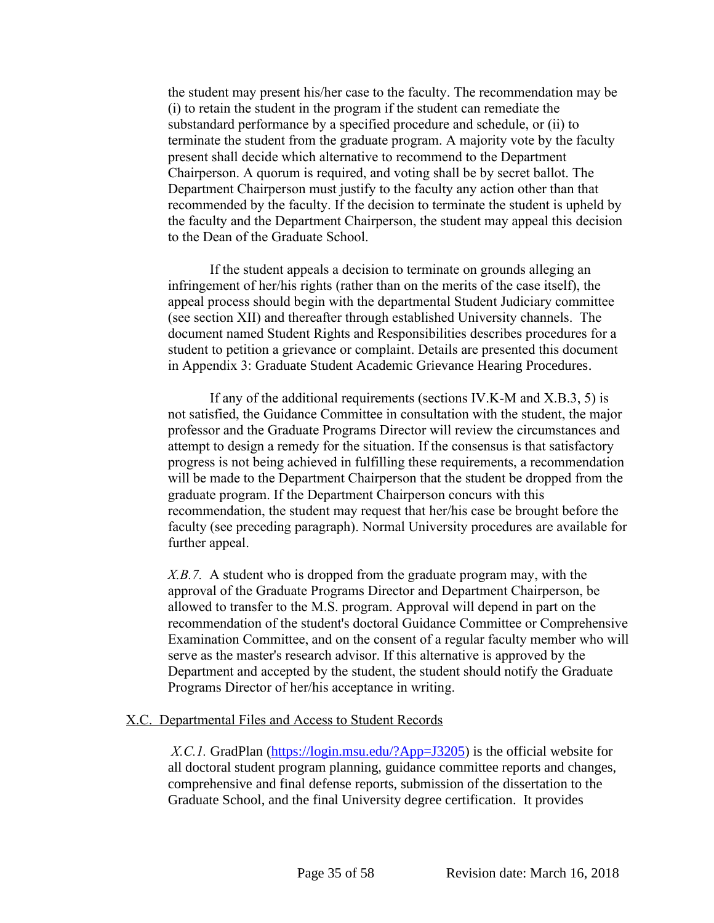the student may present his/her case to the faculty. The recommendation may be (i) to retain the student in the program if the student can remediate the substandard performance by a specified procedure and schedule, or (ii) to terminate the student from the graduate program. A majority vote by the faculty present shall decide which alternative to recommend to the Department Chairperson. A quorum is required, and voting shall be by secret ballot. The Department Chairperson must justify to the faculty any action other than that recommended by the faculty. If the decision to terminate the student is upheld by the faculty and the Department Chairperson, the student may appeal this decision to the Dean of the Graduate School.

If the student appeals a decision to terminate on grounds alleging an infringement of her/his rights (rather than on the merits of the case itself), the appeal process should begin with the departmental Student Judiciary committee (see section XII) and thereafter through established University channels. The document named Student Rights and Responsibilities describes procedures for a student to petition a grievance or complaint. Details are presented this document in Appendix 3: Graduate Student Academic Grievance Hearing Procedures.

If any of the additional requirements (sections IV.K-M and X.B.3, 5) is not satisfied, the Guidance Committee in consultation with the student, the major professor and the Graduate Programs Director will review the circumstances and attempt to design a remedy for the situation. If the consensus is that satisfactory progress is not being achieved in fulfilling these requirements, a recommendation will be made to the Department Chairperson that the student be dropped from the graduate program. If the Department Chairperson concurs with this recommendation, the student may request that her/his case be brought before the faculty (see preceding paragraph). Normal University procedures are available for further appeal.

*X.B.7.* A student who is dropped from the graduate program may, with the approval of the Graduate Programs Director and Department Chairperson, be allowed to transfer to the M.S. program. Approval will depend in part on the recommendation of the student's doctoral Guidance Committee or Comprehensive Examination Committee, and on the consent of a regular faculty member who will serve as the master's research advisor. If this alternative is approved by the Department and accepted by the student, the student should notify the Graduate Programs Director of her/his acceptance in writing.

#### X.C. Departmental Files and Access to Student Records

*X.C.1.* GradPlan [\(https://login.msu.edu/?App=J3205](https://login.msu.edu/?App=J3205)) is the official website for all doctoral student program planning, guidance committee reports and changes, comprehensive and final defense reports, submission of the dissertation to the Graduate School, and the final University degree certification. It provides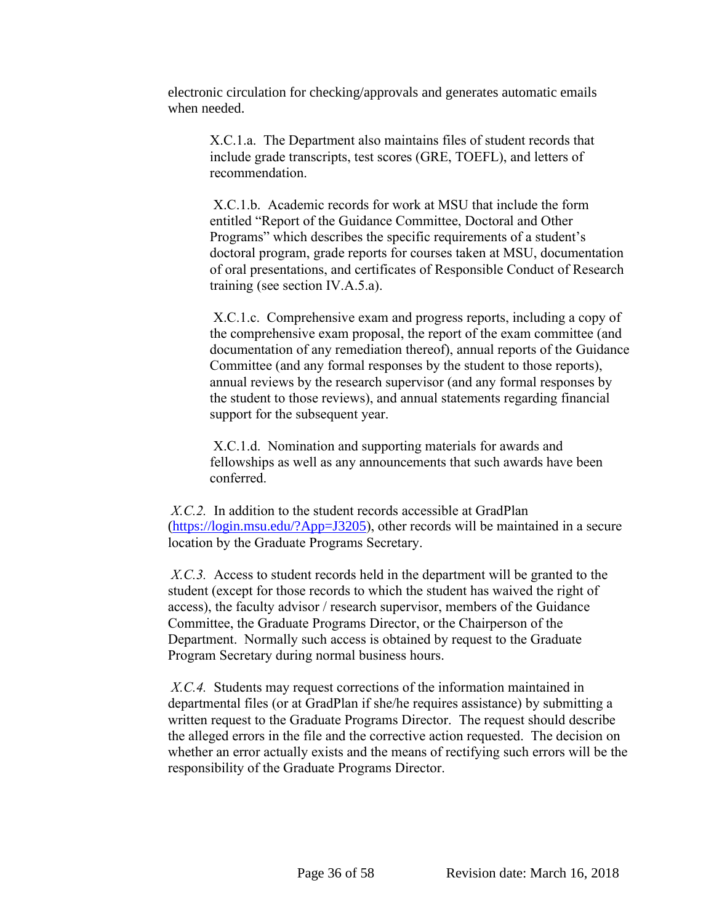electronic circulation for checking/approvals and generates automatic emails when needed.

X.C.1.a. The Department also maintains files of student records that include grade transcripts, test scores (GRE, TOEFL), and letters of recommendation.

X.C.1.b. Academic records for work at MSU that include the form entitled "Report of the Guidance Committee, Doctoral and Other Programs" which describes the specific requirements of a student's doctoral program, grade reports for courses taken at MSU, documentation of oral presentations, and certificates of Responsible Conduct of Research training (see section IV.A.5.a).

X.C.1.c. Comprehensive exam and progress reports, including a copy of the comprehensive exam proposal, the report of the exam committee (and documentation of any remediation thereof), annual reports of the Guidance Committee (and any formal responses by the student to those reports), annual reviews by the research supervisor (and any formal responses by the student to those reviews), and annual statements regarding financial support for the subsequent year.

X.C.1.d. Nomination and supporting materials for awards and fellowships as well as any announcements that such awards have been conferred.

*X.C.2.* In addition to the student records accessible at GradPlan [\(https://login.msu.edu/?App=J3205](https://login.msu.edu/?App=J3205)), other records will be maintained in a secure location by the Graduate Programs Secretary.

*X.C.3.* Access to student records held in the department will be granted to the student (except for those records to which the student has waived the right of access), the faculty advisor / research supervisor, members of the Guidance Committee, the Graduate Programs Director, or the Chairperson of the Department. Normally such access is obtained by request to the Graduate Program Secretary during normal business hours.

*X.C.4.* Students may request corrections of the information maintained in departmental files (or at GradPlan if she/he requires assistance) by submitting a written request to the Graduate Programs Director. The request should describe the alleged errors in the file and the corrective action requested. The decision on whether an error actually exists and the means of rectifying such errors will be the responsibility of the Graduate Programs Director.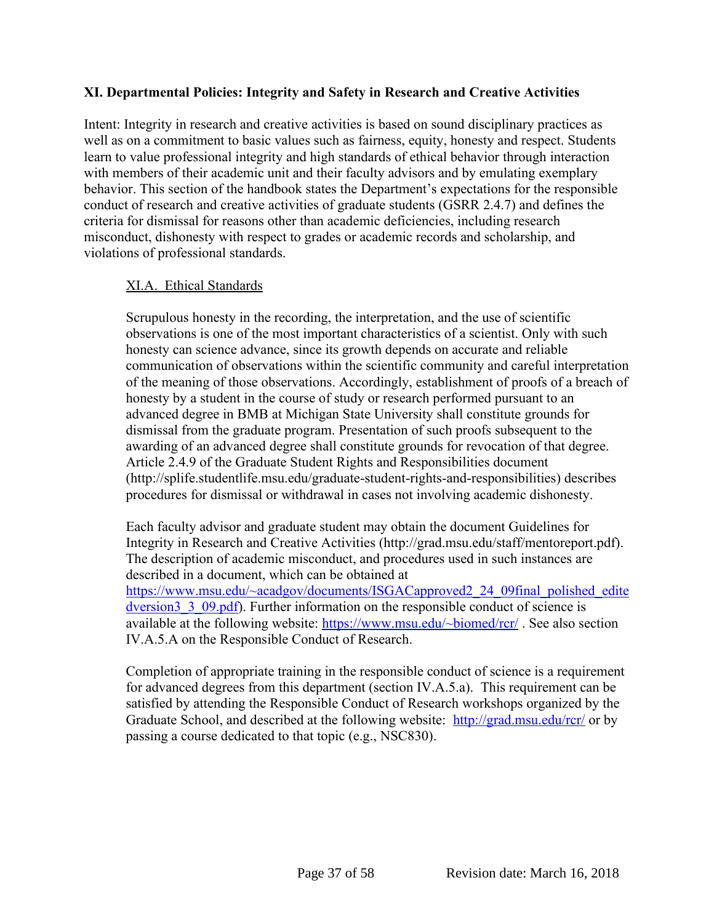# <span id="page-37-0"></span>**XI. Departmental Policies: Integrity and Safety in Research and Creative Activities**

Intent: Integrity in research and creative activities is based on sound disciplinary practices as well as on a commitment to basic values such as fairness, equity, honesty and respect. Students learn to value professional integrity and high standards of ethical behavior through interaction with members of their academic unit and their faculty advisors and by emulating exemplary behavior. This section of the handbook states the Department's expectations for the responsible conduct of research and creative activities of graduate students (GSRR 2.4.7) and defines the criteria for dismissal for reasons other than academic deficiencies, including research misconduct, dishonesty with respect to grades or academic records and scholarship, and violations of professional standards.

#### XI.A. Ethical Standards

Scrupulous honesty in the recording, the interpretation, and the use of scientific observations is one of the most important characteristics of a scientist. Only with such honesty can science advance, since its growth depends on accurate and reliable communication of observations within the scientific community and careful interpretation of the meaning of those observations. Accordingly, establishment of proofs of a breach of honesty by a student in the course of study or research performed pursuant to an advanced degree in BMB at Michigan State University shall constitute grounds for dismissal from the graduate program. Presentation of such proofs subsequent to the awarding of an advanced degree shall constitute grounds for revocation of that degree. Article 2.4.9 of the Graduate Student Rights and Responsibilities document (http://splife.studentlife.msu.edu/graduate-student-rights-and-responsibilities) describes procedures for dismissal or withdrawal in cases not involving academic dishonesty.

Each faculty advisor and graduate student may obtain the document Guidelines for Integrity in Research and Creative Activities (http://grad.msu.edu/staff/mentoreport.pdf). The description of academic misconduct, and procedures used in such instances are described in a document, which can be obtained at [https://www.msu.edu/~acadgov/documents/ISGACapproved2\\_24\\_09final\\_polished\\_edite](https://www.msu.edu/~acadgov/documents/ISGACapproved2_24_09final_polished_editedversion3_3_09.pdf) dversion 3  $3\,$  09.pdf). Further information on the responsible conduct of science is available at the following website: <https://www.msu.edu/~biomed/rcr/> . See also section IV.A.5.A on the Responsible Conduct of Research.

Completion of appropriate training in the responsible conduct of science is a requirement for advanced degrees from this department (section IV.A.5.a). This requirement can be satisfied by attending the Responsible Conduct of Research workshops organized by the Graduate School, and described at the following website: <http://grad.msu.edu/rcr/> or by passing a course dedicated to that topic (e.g., NSC830).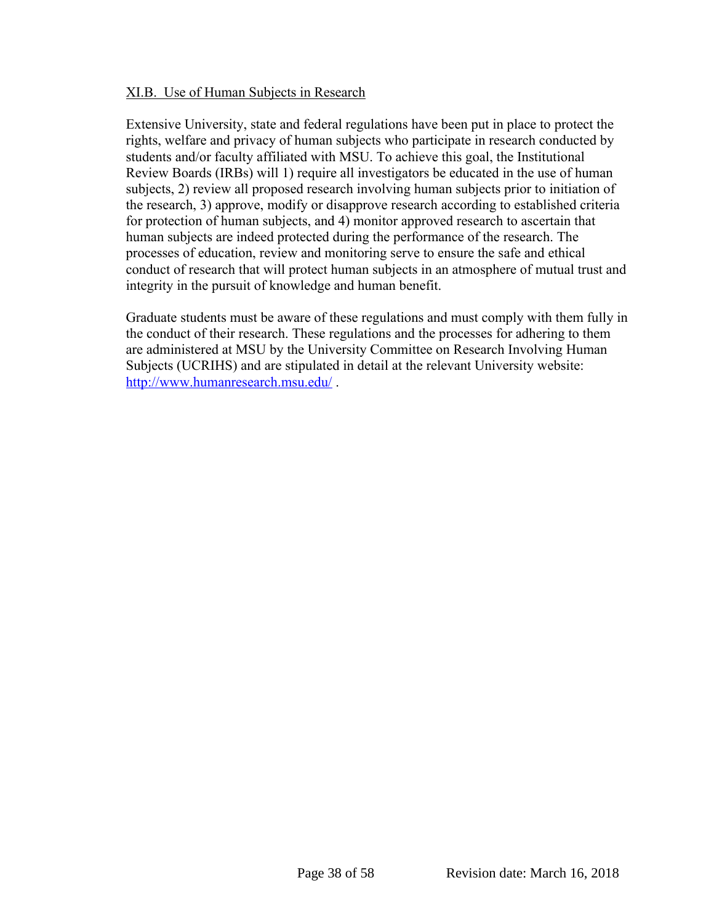#### XI.B. Use of Human Subjects in Research

Extensive University, state and federal regulations have been put in place to protect the rights, welfare and privacy of human subjects who participate in research conducted by students and/or faculty affiliated with MSU. To achieve this goal, the Institutional Review Boards (IRBs) will 1) require all investigators be educated in the use of human subjects, 2) review all proposed research involving human subjects prior to initiation of the research, 3) approve, modify or disapprove research according to established criteria for protection of human subjects, and 4) monitor approved research to ascertain that human subjects are indeed protected during the performance of the research. The processes of education, review and monitoring serve to ensure the safe and ethical conduct of research that will protect human subjects in an atmosphere of mutual trust and integrity in the pursuit of knowledge and human benefit.

Graduate students must be aware of these regulations and must comply with them fully in the conduct of their research. These regulations and the processes for adhering to them are administered at MSU by the University Committee on Research Involving Human Subjects (UCRIHS) and are stipulated in detail at the relevant University website: <http://www.humanresearch.msu.edu/> .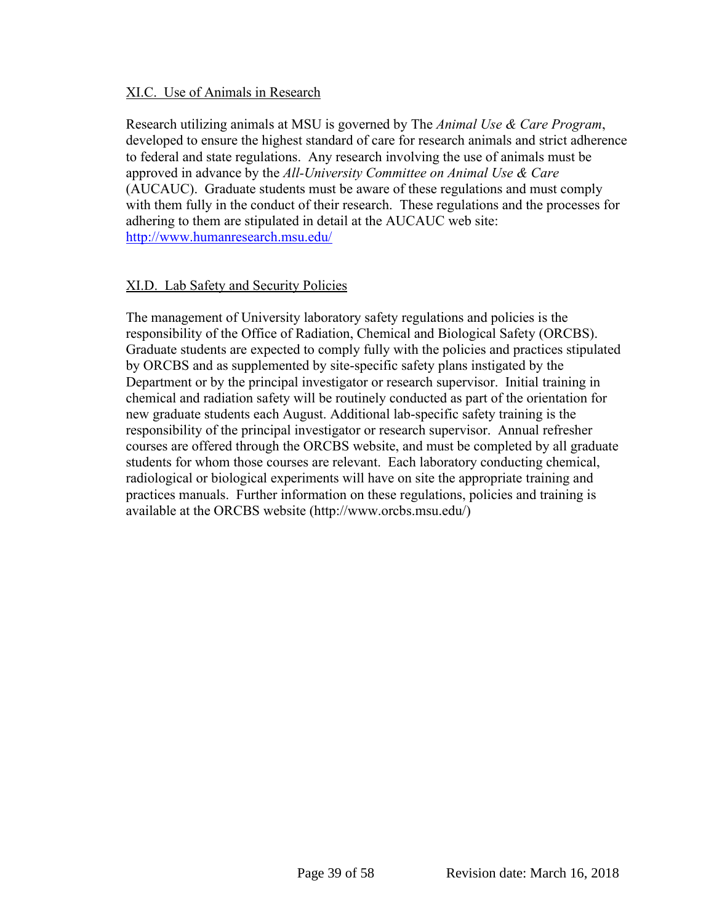#### XI.C. Use of Animals in Research

Research utilizing animals at MSU is governed by The *Animal Use & Care Program*, developed to ensure the highest standard of care for research animals and strict adherence to federal and state regulations. Any research involving the use of animals must be approved in advance by the *All-University Committee on Animal Use & Care* (AUCAUC). Graduate students must be aware of these regulations and must comply with them fully in the conduct of their research. These regulations and the processes for adhering to them are stipulated in detail at the AUCAUC web site: <http://www.humanresearch.msu.edu/>

# XI.D. Lab Safety and Security Policies

The management of University laboratory safety regulations and policies is the responsibility of the Office of Radiation, Chemical and Biological Safety (ORCBS). Graduate students are expected to comply fully with the policies and practices stipulated by ORCBS and as supplemented by site-specific safety plans instigated by the Department or by the principal investigator or research supervisor. Initial training in chemical and radiation safety will be routinely conducted as part of the orientation for new graduate students each August. Additional lab-specific safety training is the responsibility of the principal investigator or research supervisor. Annual refresher courses are offered through the ORCBS website, and must be completed by all graduate students for whom those courses are relevant. Each laboratory conducting chemical, radiological or biological experiments will have on site the appropriate training and practices manuals. Further information on these regulations, policies and training is available at the ORCBS website (http://www.orcbs.msu.edu/)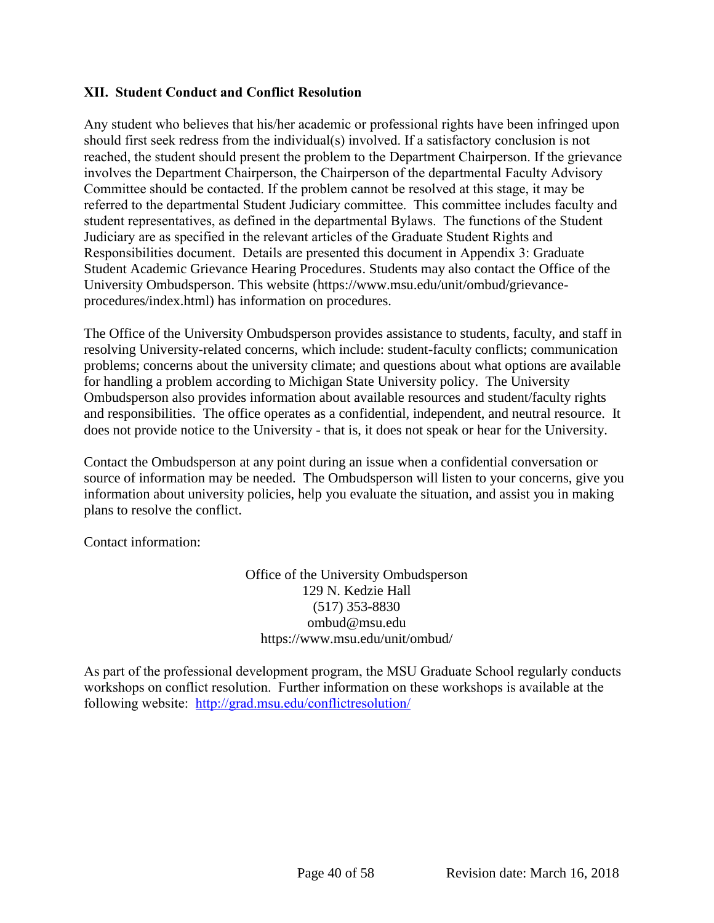# <span id="page-40-0"></span>**XII. Student Conduct and Conflict Resolution**

Any student who believes that his/her academic or professional rights have been infringed upon should first seek redress from the individual(s) involved. If a satisfactory conclusion is not reached, the student should present the problem to the Department Chairperson. If the grievance involves the Department Chairperson, the Chairperson of the departmental Faculty Advisory Committee should be contacted. If the problem cannot be resolved at this stage, it may be referred to the departmental Student Judiciary committee. This committee includes faculty and student representatives, as defined in the departmental Bylaws. The functions of the Student Judiciary are as specified in the relevant articles of the Graduate Student Rights and Responsibilities document. Details are presented this document in Appendix 3: Graduate Student Academic Grievance Hearing Procedures. Students may also contact the Office of the University Ombudsperson. This website (https://www.msu.edu/unit/ombud/grievanceprocedures/index.html) has information on procedures.

The Office of the University Ombudsperson provides assistance to students, faculty, and staff in resolving University-related concerns, which include: student-faculty conflicts; communication problems; concerns about the university climate; and questions about what options are available for handling a problem according to Michigan State University policy. The University Ombudsperson also provides information about available resources and student/faculty rights and responsibilities. The office operates as a confidential, independent, and neutral resource. It does not provide notice to the University - that is, it does not speak or hear for the University.

Contact the Ombudsperson at any point during an issue when a confidential conversation or source of information may be needed. The Ombudsperson will listen to your concerns, give you information about university policies, help you evaluate the situation, and assist you in making plans to resolve the conflict.

Contact information:

Office of the University Ombudsperson 129 N. Kedzie Hall (517) 353-8830 ombud@msu.edu https://www.msu.edu/unit/ombud/

As part of the professional development program, the MSU Graduate School regularly conducts workshops on conflict resolution. Further information on these workshops is available at the following website: <http://grad.msu.edu/conflictresolution/>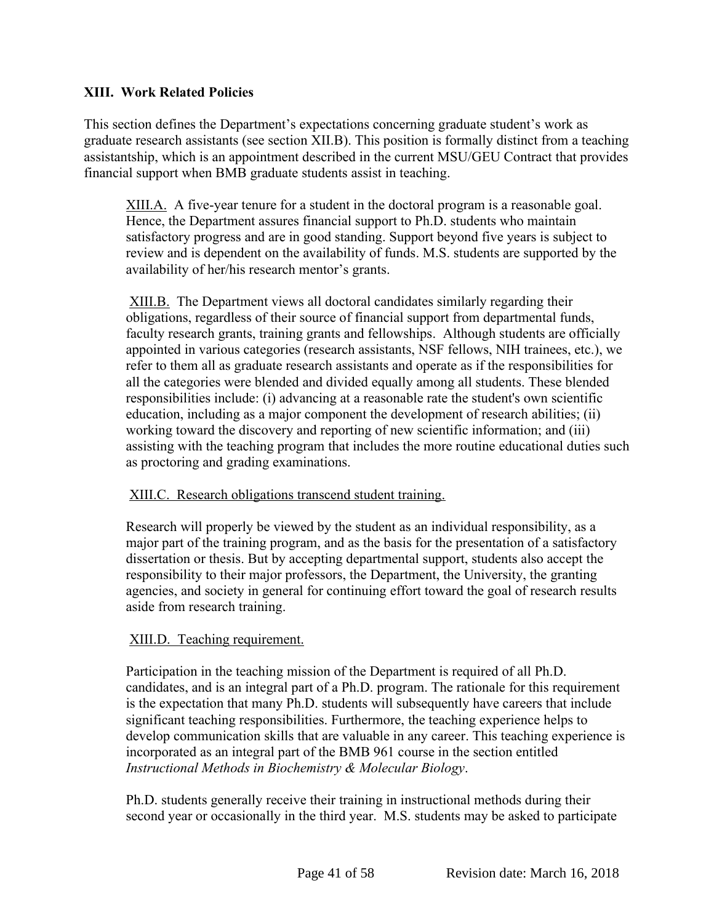# <span id="page-41-0"></span>**XIII. Work Related Policies**

This section defines the Department's expectations concerning graduate student's work as graduate research assistants (see section XII.B). This position is formally distinct from a teaching assistantship, which is an appointment described in the current MSU/GEU Contract that provides financial support when BMB graduate students assist in teaching.

XIII.A. A five-year tenure for a student in the doctoral program is a reasonable goal. Hence, the Department assures financial support to Ph.D. students who maintain satisfactory progress and are in good standing. Support beyond five years is subject to review and is dependent on the availability of funds. M.S. students are supported by the availability of her/his research mentor's grants.

XIII.B. The Department views all doctoral candidates similarly regarding their obligations, regardless of their source of financial support from departmental funds, faculty research grants, training grants and fellowships. Although students are officially appointed in various categories (research assistants, NSF fellows, NIH trainees, etc.), we refer to them all as graduate research assistants and operate as if the responsibilities for all the categories were blended and divided equally among all students. These blended responsibilities include: (i) advancing at a reasonable rate the student's own scientific education, including as a major component the development of research abilities; (ii) working toward the discovery and reporting of new scientific information; and (iii) assisting with the teaching program that includes the more routine educational duties such as proctoring and grading examinations.

XIII.C. Research obligations transcend student training.

Research will properly be viewed by the student as an individual responsibility, as a major part of the training program, and as the basis for the presentation of a satisfactory dissertation or thesis. But by accepting departmental support, students also accept the responsibility to their major professors, the Department, the University, the granting agencies, and society in general for continuing effort toward the goal of research results aside from research training.

# XIII.D. Teaching requirement.

Participation in the teaching mission of the Department is required of all Ph.D. candidates, and is an integral part of a Ph.D. program. The rationale for this requirement is the expectation that many Ph.D. students will subsequently have careers that include significant teaching responsibilities. Furthermore, the teaching experience helps to develop communication skills that are valuable in any career. This teaching experience is incorporated as an integral part of the BMB 961 course in the section entitled *Instructional Methods in Biochemistry & Molecular Biology*.

Ph.D. students generally receive their training in instructional methods during their second year or occasionally in the third year. M.S. students may be asked to participate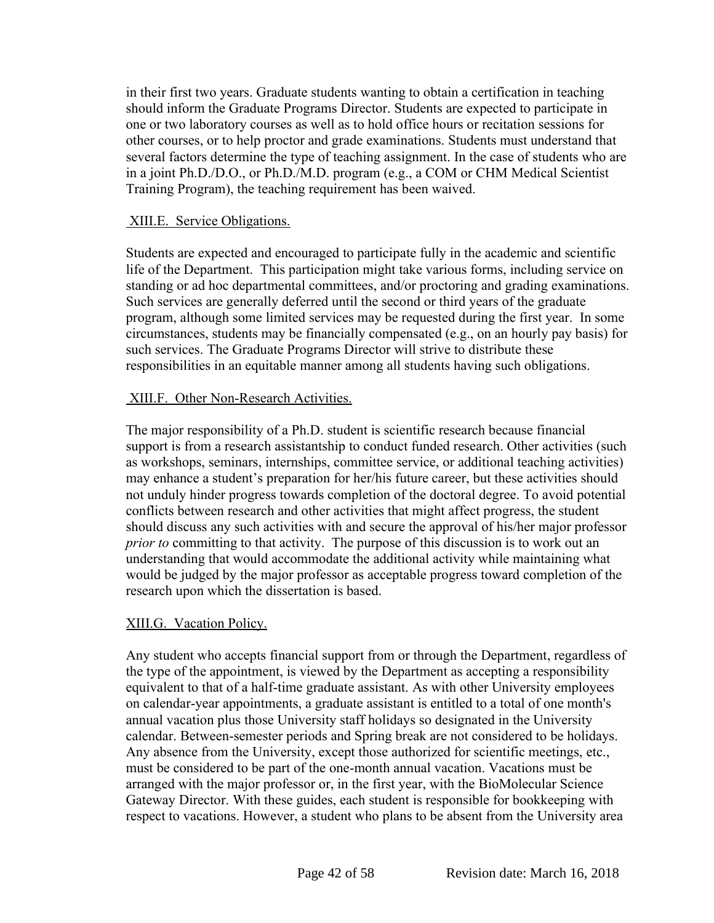in their first two years. Graduate students wanting to obtain a certification in teaching should inform the Graduate Programs Director. Students are expected to participate in one or two laboratory courses as well as to hold office hours or recitation sessions for other courses, or to help proctor and grade examinations. Students must understand that several factors determine the type of teaching assignment. In the case of students who are in a joint Ph.D./D.O., or Ph.D./M.D. program (e.g., a COM or CHM Medical Scientist Training Program), the teaching requirement has been waived.

# XIII.E. Service Obligations.

Students are expected and encouraged to participate fully in the academic and scientific life of the Department. This participation might take various forms, including service on standing or ad hoc departmental committees, and/or proctoring and grading examinations. Such services are generally deferred until the second or third years of the graduate program, although some limited services may be requested during the first year. In some circumstances, students may be financially compensated (e.g., on an hourly pay basis) for such services. The Graduate Programs Director will strive to distribute these responsibilities in an equitable manner among all students having such obligations.

# XIII.F. Other Non-Research Activities.

The major responsibility of a Ph.D. student is scientific research because financial support is from a research assistantship to conduct funded research. Other activities (such as workshops, seminars, internships, committee service, or additional teaching activities) may enhance a student's preparation for her/his future career, but these activities should not unduly hinder progress towards completion of the doctoral degree. To avoid potential conflicts between research and other activities that might affect progress, the student should discuss any such activities with and secure the approval of his/her major professor *prior to* committing to that activity. The purpose of this discussion is to work out an understanding that would accommodate the additional activity while maintaining what would be judged by the major professor as acceptable progress toward completion of the research upon which the dissertation is based.

# XIII.G. Vacation Policy.

Any student who accepts financial support from or through the Department, regardless of the type of the appointment, is viewed by the Department as accepting a responsibility equivalent to that of a half-time graduate assistant. As with other University employees on calendar-year appointments, a graduate assistant is entitled to a total of one month's annual vacation plus those University staff holidays so designated in the University calendar. Between-semester periods and Spring break are not considered to be holidays. Any absence from the University, except those authorized for scientific meetings, etc., must be considered to be part of the one-month annual vacation. Vacations must be arranged with the major professor or, in the first year, with the BioMolecular Science Gateway Director. With these guides, each student is responsible for bookkeeping with respect to vacations. However, a student who plans to be absent from the University area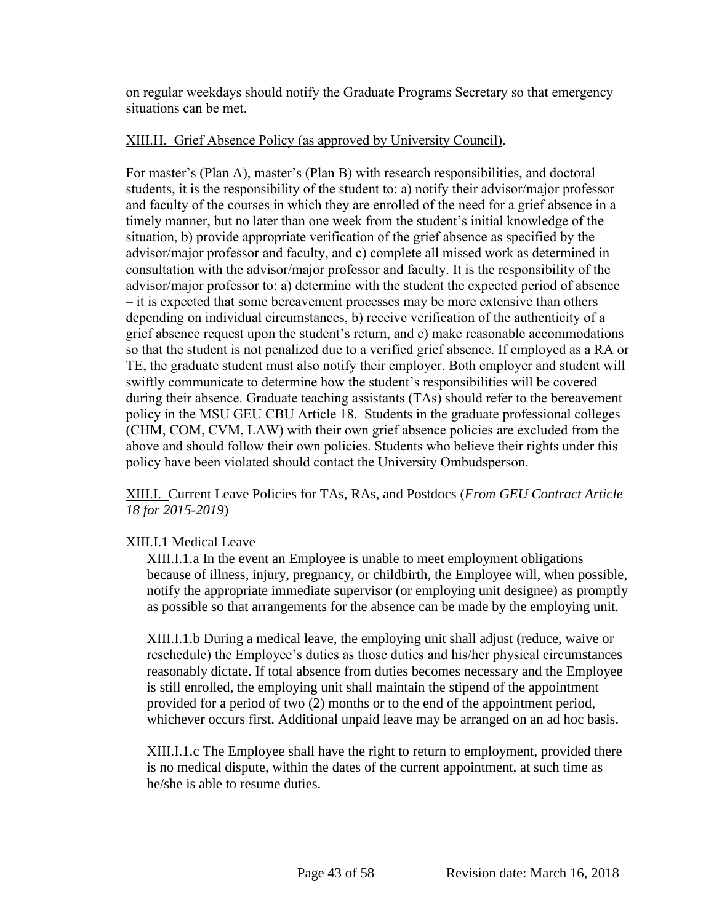on regular weekdays should notify the Graduate Programs Secretary so that emergency situations can be met.

# XIII.H. Grief Absence Policy (as approved by University Council).

For master's (Plan A), master's (Plan B) with research responsibilities, and doctoral students, it is the responsibility of the student to: a) notify their advisor/major professor and faculty of the courses in which they are enrolled of the need for a grief absence in a timely manner, but no later than one week from the student's initial knowledge of the situation, b) provide appropriate verification of the grief absence as specified by the advisor/major professor and faculty, and c) complete all missed work as determined in consultation with the advisor/major professor and faculty. It is the responsibility of the advisor/major professor to: a) determine with the student the expected period of absence – it is expected that some bereavement processes may be more extensive than others depending on individual circumstances, b) receive verification of the authenticity of a grief absence request upon the student's return, and c) make reasonable accommodations so that the student is not penalized due to a verified grief absence. If employed as a RA or TE, the graduate student must also notify their employer. Both employer and student will swiftly communicate to determine how the student's responsibilities will be covered during their absence. Graduate teaching assistants (TAs) should refer to the bereavement policy in the MSU GEU CBU Article 18. Students in the graduate professional colleges (CHM, COM, CVM, LAW) with their own grief absence policies are excluded from the above and should follow their own policies. Students who believe their rights under this policy have been violated should contact the University Ombudsperson.

XIII.I. Current Leave Policies for TAs, RAs, and Postdocs (*From GEU Contract Article 18 for 2015-2019*)

# XIII.I.1 Medical Leave

XIII.I.1.a In the event an Employee is unable to meet employment obligations because of illness, injury, pregnancy, or childbirth, the Employee will, when possible, notify the appropriate immediate supervisor (or employing unit designee) as promptly as possible so that arrangements for the absence can be made by the employing unit.

XIII.I.1.b During a medical leave, the employing unit shall adjust (reduce, waive or reschedule) the Employee's duties as those duties and his/her physical circumstances reasonably dictate. If total absence from duties becomes necessary and the Employee is still enrolled, the employing unit shall maintain the stipend of the appointment provided for a period of two (2) months or to the end of the appointment period, whichever occurs first. Additional unpaid leave may be arranged on an ad hoc basis.

XIII.I.1.c The Employee shall have the right to return to employment, provided there is no medical dispute, within the dates of the current appointment, at such time as he/she is able to resume duties.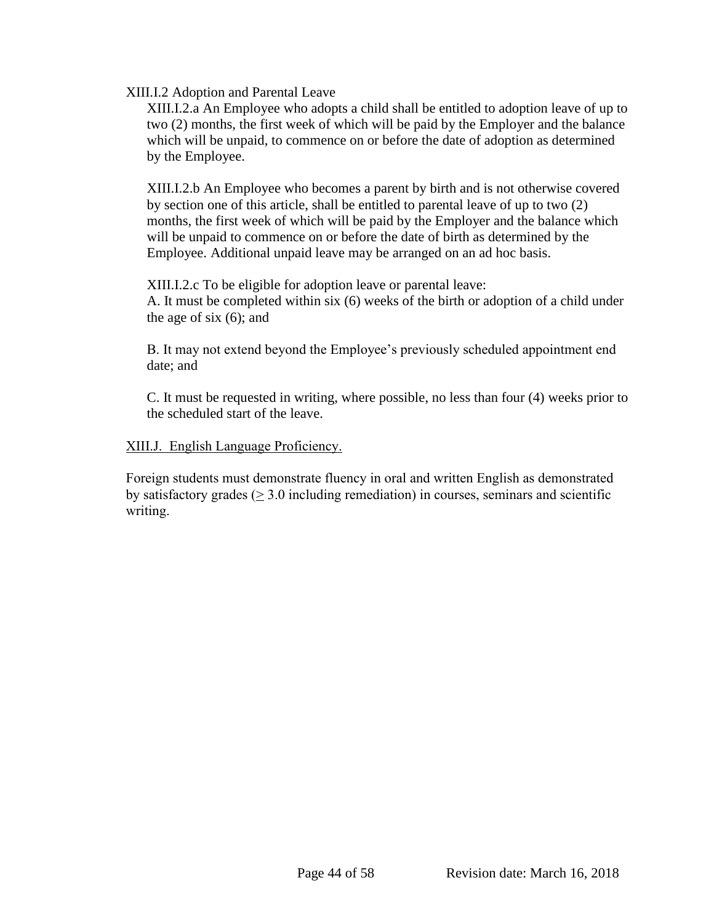#### XIII.I.2 Adoption and Parental Leave

XIII.I.2.a An Employee who adopts a child shall be entitled to adoption leave of up to two (2) months, the first week of which will be paid by the Employer and the balance which will be unpaid, to commence on or before the date of adoption as determined by the Employee.

XIII.I.2.b An Employee who becomes a parent by birth and is not otherwise covered by section one of this article, shall be entitled to parental leave of up to two (2) months, the first week of which will be paid by the Employer and the balance which will be unpaid to commence on or before the date of birth as determined by the Employee. Additional unpaid leave may be arranged on an ad hoc basis.

XIII.I.2.c To be eligible for adoption leave or parental leave: A. It must be completed within six (6) weeks of the birth or adoption of a child under the age of six (6); and

B. It may not extend beyond the Employee's previously scheduled appointment end date; and

C. It must be requested in writing, where possible, no less than four (4) weeks prior to the scheduled start of the leave.

#### XIII.J. English Language Proficiency.

Foreign students must demonstrate fluency in oral and written English as demonstrated by satisfactory grades  $($  > 3.0 including remediation) in courses, seminars and scientific writing.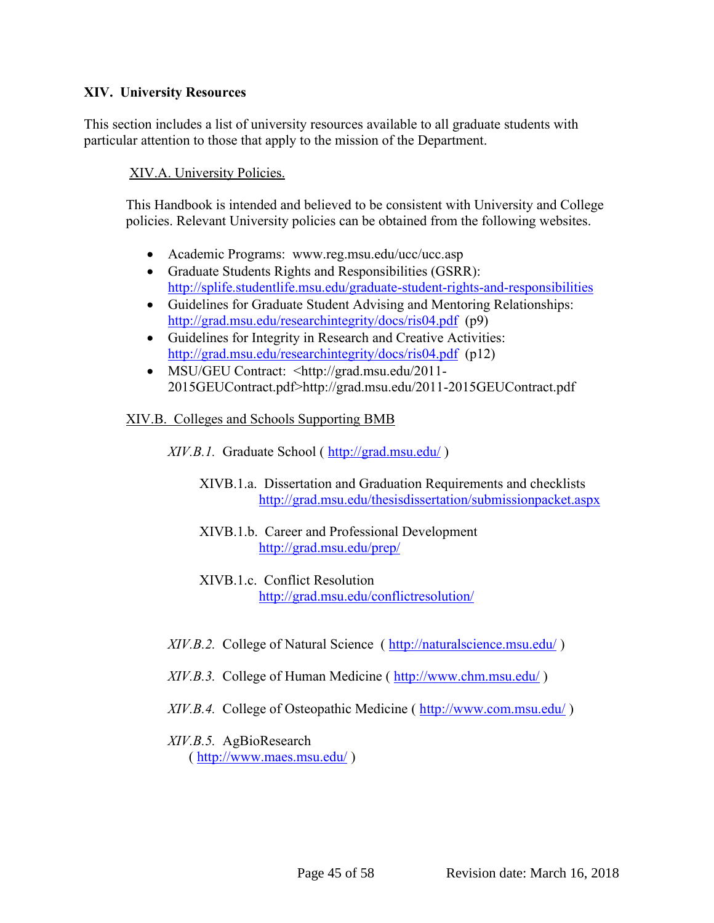# <span id="page-45-0"></span>**XIV. University Resources**

This section includes a list of university resources available to all graduate students with particular attention to those that apply to the mission of the Department.

# XIV.A. University Policies.

This Handbook is intended and believed to be consistent with University and College policies. Relevant University policies can be obtained from the following websites.

- Academic Programs: www.reg.msu.edu/ucc/ucc.asp
- Graduate Students Rights and Responsibilities (GSRR): <http://splife.studentlife.msu.edu/graduate-student-rights-and-responsibilities>
- Guidelines for Graduate Student Advising and Mentoring Relationships: <http://grad.msu.edu/researchintegrity/docs/ris04.pdf>(p9)
- Guidelines for Integrity in Research and Creative Activities: <http://grad.msu.edu/researchintegrity/docs/ris04.pdf>(p12)
- MSU/GEU Contract: <http://grad.msu.edu/2011-2015GEUContract.pdf>http://grad.msu.edu/2011-2015GEUContract.pdf

#### XIV.B. Colleges and Schools Supporting BMB

*XIV.B.1.* Graduate School (http://grad.msu.edu/)

- XIVB.1.a. Dissertation and Graduation Requirements and checklists <http://grad.msu.edu/thesisdissertation/submissionpacket.aspx>
- XIVB.1.b. Career and Professional Development <http://grad.msu.edu/prep/>
- XIVB.1.c. Conflict Resolution <http://grad.msu.edu/conflictresolution/>
- *XIV.B.2.* College of Natural Science (<http://naturalscience.msu.edu/> )
- *XIV.B.3.* College of Human Medicine (<http://www.chm.msu.edu/> )
- *XIV.B.4.* College of Osteopathic Medicine (<http://www.com.msu.edu/> )

# *XIV.B.5.* AgBioResearch

(<http://www.maes.msu.edu/> )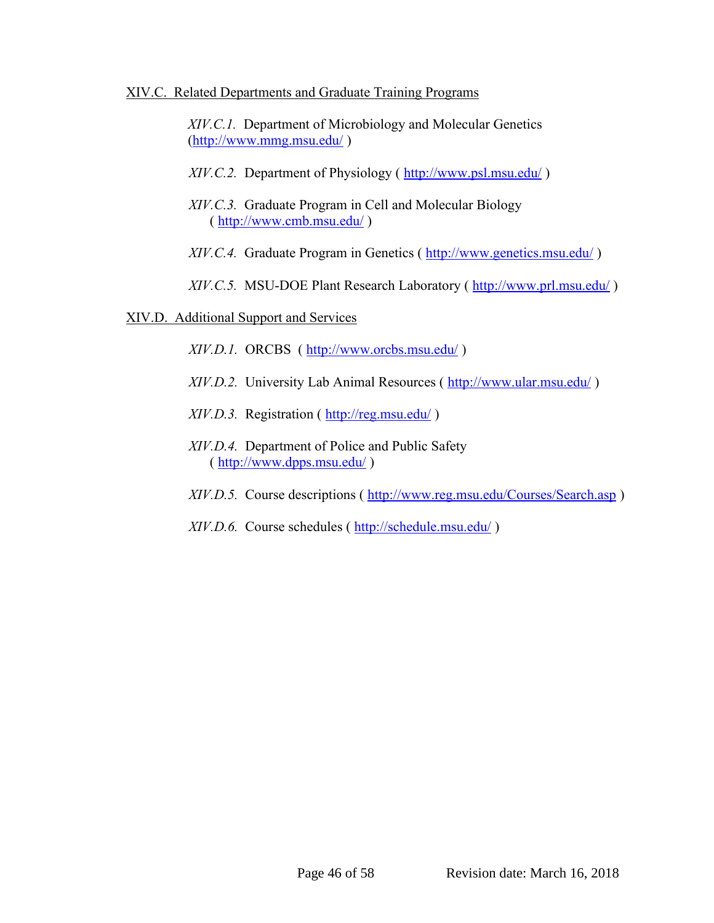#### XIV.C. Related Departments and Graduate Training Programs

*XIV.C.1.* Department of Microbiology and Molecular Genetics [\(http://www.mmg.msu.edu/](http://www.mmg.msu.edu/) )

- XIV.C.2. Department of Physiology (http://www.psl.msu.edu/)
- *XIV.C.3.* Graduate Program in Cell and Molecular Biology (<http://www.cmb.msu.edu/> )
- *XIV.C.4.* Graduate Program in Genetics (<http://www.genetics.msu.edu/> )
- *XIV.C.5.* MSU-DOE Plant Research Laboratory (http://www.prl.msu.edu/)

# XIV.D. Additional Support and Services

- *XIV.D.1.* ORCBS (<http://www.orcbs.msu.edu/> )
- *XIV.D.2.* University Lab Animal Resources (<http://www.ular.msu.edu/> )
- *XIV.D.3.* Registration (<http://reg.msu.edu/> )
- *XIV.D.4.* Department of Police and Public Safety (<http://www.dpps.msu.edu/> )
- *XIV.D.5.* Course descriptions (<http://www.reg.msu.edu/Courses/Search.asp> )
- *XIV.D.6.* Course schedules (<http://schedule.msu.edu/> )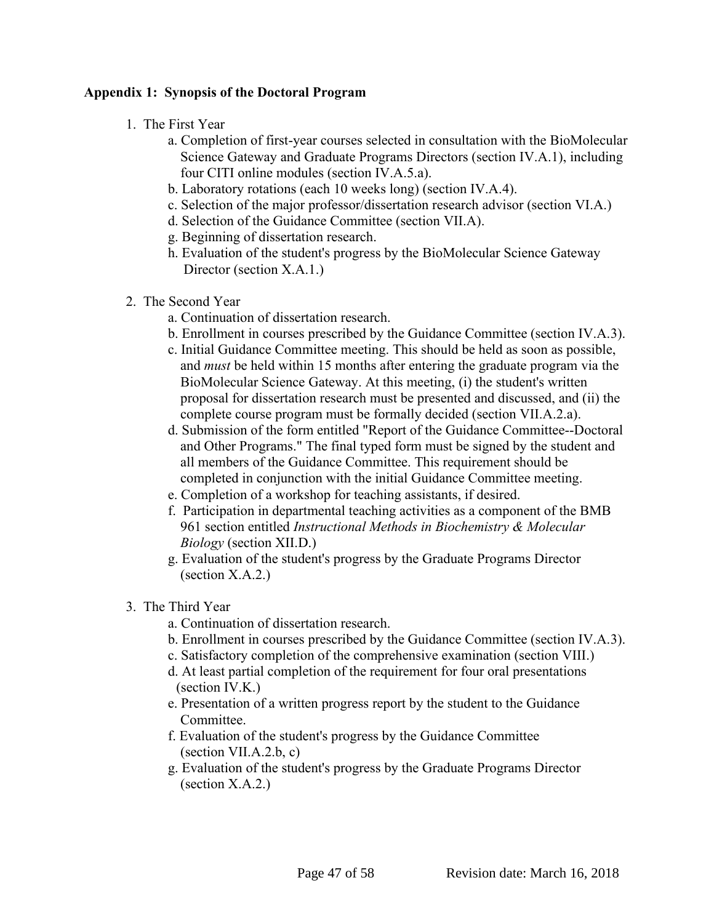# <span id="page-47-0"></span>**Appendix 1: Synopsis of the Doctoral Program**

- 1. The First Year
	- a. Completion of first-year courses selected in consultation with the BioMolecular Science Gateway and Graduate Programs Directors (section IV.A.1), including four CITI online modules (section IV.A.5.a).
	- b. Laboratory rotations (each 10 weeks long) (section IV.A.4).
	- c. Selection of the major professor/dissertation research advisor (section VI.A.)
	- d. Selection of the Guidance Committee (section VII.A).
	- g. Beginning of dissertation research.
	- h. Evaluation of the student's progress by the BioMolecular Science Gateway Director (section X.A.1.)
- 2. The Second Year
	- a. Continuation of dissertation research.
	- b. Enrollment in courses prescribed by the Guidance Committee (section IV.A.3).
	- c. Initial Guidance Committee meeting. This should be held as soon as possible, and *must* be held within 15 months after entering the graduate program via the BioMolecular Science Gateway. At this meeting, (i) the student's written proposal for dissertation research must be presented and discussed, and (ii) the complete course program must be formally decided (section VII.A.2.a).
	- d. Submission of the form entitled "Report of the Guidance Committee--Doctoral and Other Programs." The final typed form must be signed by the student and all members of the Guidance Committee. This requirement should be completed in conjunction with the initial Guidance Committee meeting.
	- e. Completion of a workshop for teaching assistants, if desired.
	- f. Participation in departmental teaching activities as a component of the BMB 961 section entitled *Instructional Methods in Biochemistry & Molecular Biology* (section XII.D.)
	- g. Evaluation of the student's progress by the Graduate Programs Director (section X.A.2.)
- 3. The Third Year
	- a. Continuation of dissertation research.
	- b. Enrollment in courses prescribed by the Guidance Committee (section IV.A.3).
	- c. Satisfactory completion of the comprehensive examination (section VIII.)
	- d. At least partial completion of the requirement for four oral presentations (section IV.K.)
	- e. Presentation of a written progress report by the student to the Guidance Committee.
	- f. Evaluation of the student's progress by the Guidance Committee  $(section VII.A.2.b, c)$
	- g. Evaluation of the student's progress by the Graduate Programs Director (section X.A.2.)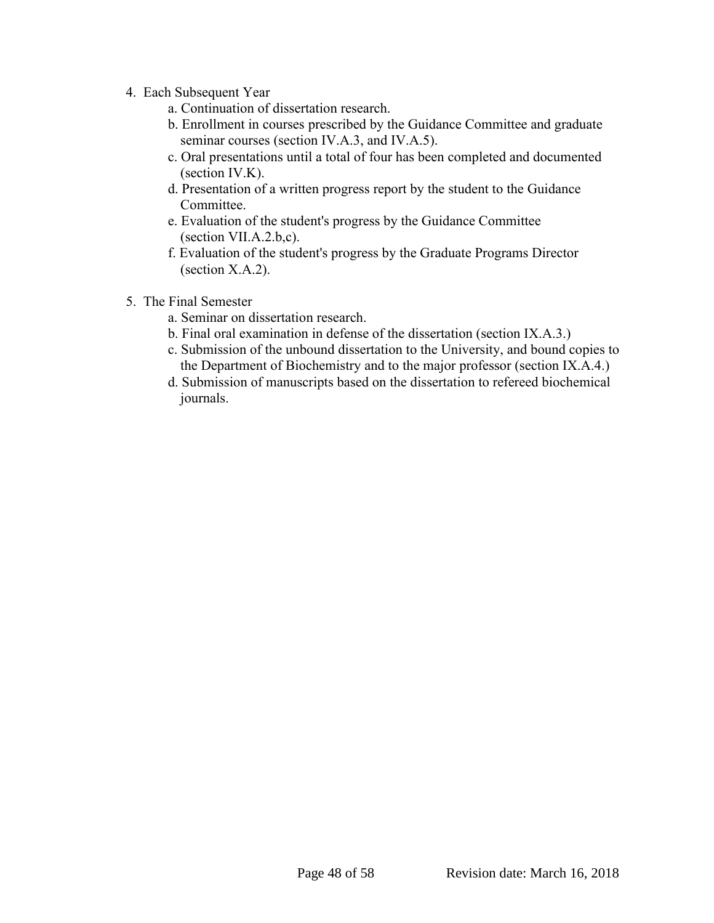- 4. Each Subsequent Year
	- a. Continuation of dissertation research.
	- b. Enrollment in courses prescribed by the Guidance Committee and graduate seminar courses (section IV.A.3, and IV.A.5).
	- c. Oral presentations until a total of four has been completed and documented (section IV.K).
	- d. Presentation of a written progress report by the student to the Guidance Committee.
	- e. Evaluation of the student's progress by the Guidance Committee (section VII.A.2.b,c).
	- f. Evaluation of the student's progress by the Graduate Programs Director (section X.A.2).
- 5. The Final Semester
	- a. Seminar on dissertation research.
	- b. Final oral examination in defense of the dissertation (section IX.A.3.)
	- c. Submission of the unbound dissertation to the University, and bound copies to the Department of Biochemistry and to the major professor (section IX.A.4.)
	- d. Submission of manuscripts based on the dissertation to refereed biochemical journals.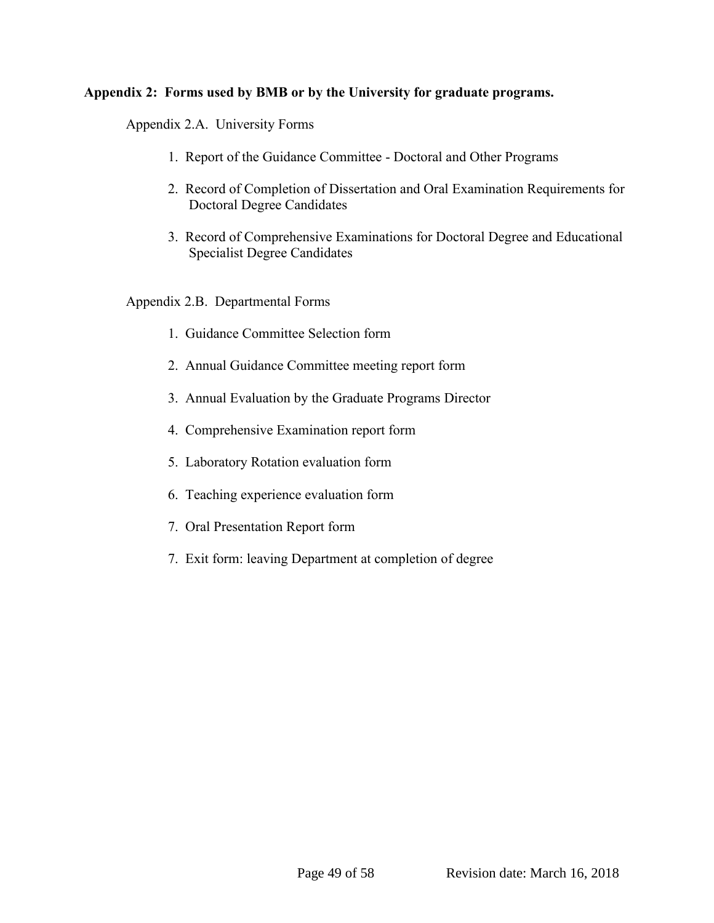# <span id="page-49-0"></span>**Appendix 2: Forms used by BMB or by the University for graduate programs.**

Appendix 2.A. University Forms

- 1. Report of the Guidance Committee Doctoral and Other Programs
- 2. Record of Completion of Dissertation and Oral Examination Requirements for Doctoral Degree Candidates
- 3. Record of Comprehensive Examinations for Doctoral Degree and Educational Specialist Degree Candidates

Appendix 2.B. Departmental Forms

- 1. Guidance Committee Selection form
- 2. Annual Guidance Committee meeting report form
- 3. Annual Evaluation by the Graduate Programs Director
- 4. Comprehensive Examination report form
- 5. Laboratory Rotation evaluation form
- 6. Teaching experience evaluation form
- 7. Oral Presentation Report form
- 7. Exit form: leaving Department at completion of degree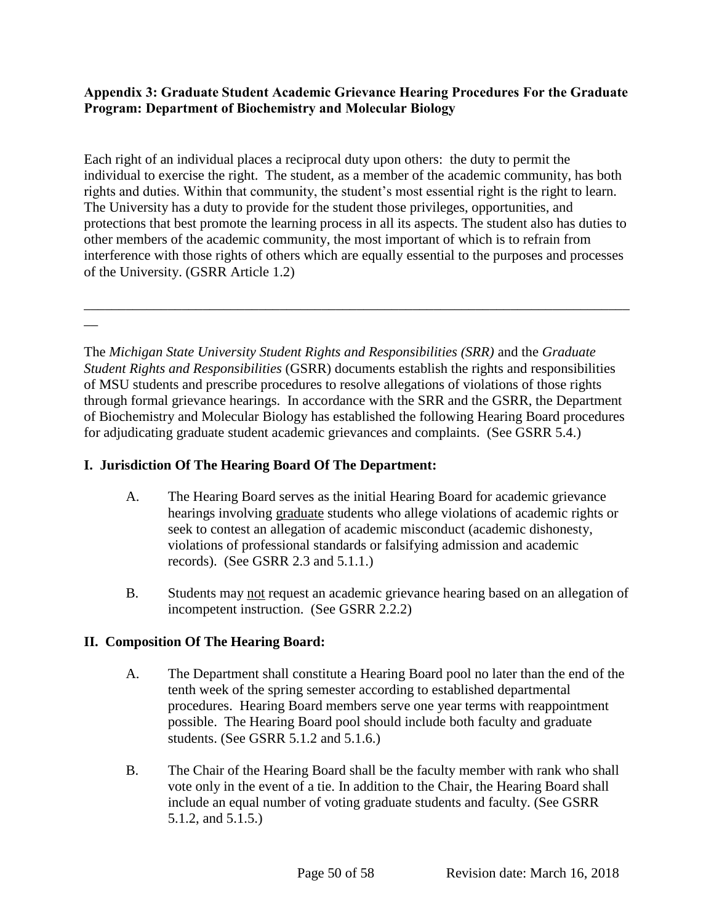# <span id="page-50-0"></span>**Appendix 3: Graduate Student Academic Grievance Hearing Procedures For the Graduate Program: Department of Biochemistry and Molecular Biology**

Each right of an individual places a reciprocal duty upon others: the duty to permit the individual to exercise the right. The student, as a member of the academic community, has both rights and duties. Within that community, the student's most essential right is the right to learn. The University has a duty to provide for the student those privileges, opportunities, and protections that best promote the learning process in all its aspects. The student also has duties to other members of the academic community, the most important of which is to refrain from interference with those rights of others which are equally essential to the purposes and processes of the University. (GSRR Article 1.2)

\_\_\_\_\_\_\_\_\_\_\_\_\_\_\_\_\_\_\_\_\_\_\_\_\_\_\_\_\_\_\_\_\_\_\_\_\_\_\_\_\_\_\_\_\_\_\_\_\_\_\_\_\_\_\_\_\_\_\_\_\_\_\_\_\_\_\_\_\_\_\_\_\_\_\_\_\_\_

 $\overline{\phantom{a}}$ 

The *Michigan State University Student Rights and Responsibilities (SRR)* and the *Graduate Student Rights and Responsibilities* (GSRR) documents establish the rights and responsibilities of MSU students and prescribe procedures to resolve allegations of violations of those rights through formal grievance hearings. In accordance with the SRR and the GSRR, the Department of Biochemistry and Molecular Biology has established the following Hearing Board procedures for adjudicating graduate student academic grievances and complaints. (See GSRR 5.4.)

# **I. Jurisdiction Of The Hearing Board Of The Department:**

- A. The Hearing Board serves as the initial Hearing Board for academic grievance hearings involving graduate students who allege violations of academic rights or seek to contest an allegation of academic misconduct (academic dishonesty, violations of professional standards or falsifying admission and academic records). (See GSRR 2.3 and 5.1.1.)
- B. Students may not request an academic grievance hearing based on an allegation of incompetent instruction. (See GSRR 2.2.2)

# **II. Composition Of The Hearing Board:**

- A. The Department shall constitute a Hearing Board pool no later than the end of the tenth week of the spring semester according to established departmental procedures. Hearing Board members serve one year terms with reappointment possible. The Hearing Board pool should include both faculty and graduate students. (See GSRR 5.1.2 and 5.1.6.)
- B. The Chair of the Hearing Board shall be the faculty member with rank who shall vote only in the event of a tie. In addition to the Chair, the Hearing Board shall include an equal number of voting graduate students and faculty. (See GSRR 5.1.2, and 5.1.5.)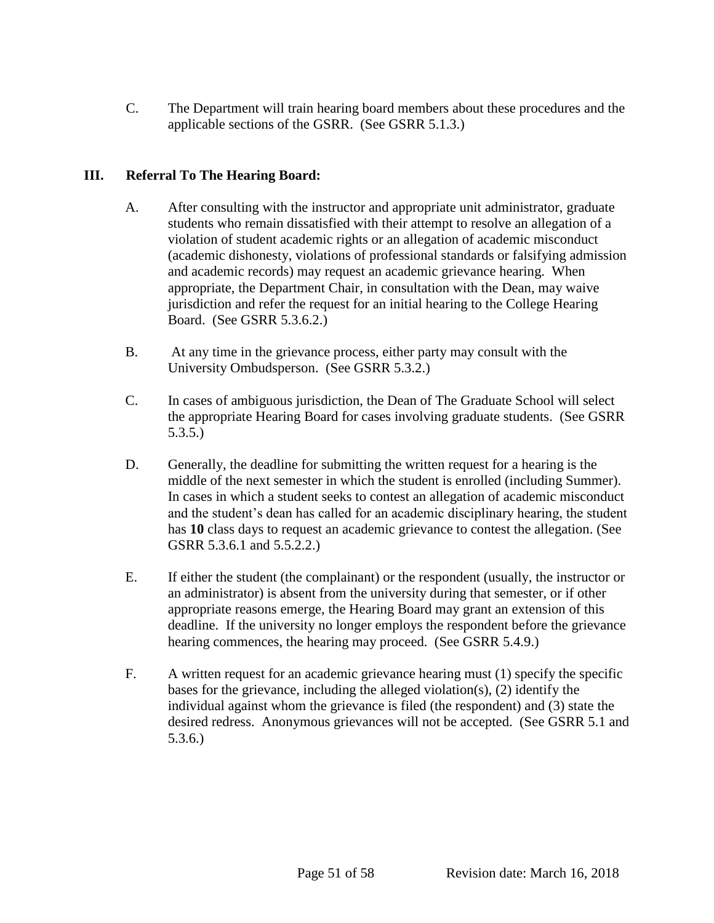C. The Department will train hearing board members about these procedures and the applicable sections of the GSRR. (See GSRR 5.1.3.)

# **III. Referral To The Hearing Board:**

- A. After consulting with the instructor and appropriate unit administrator, graduate students who remain dissatisfied with their attempt to resolve an allegation of a violation of student academic rights or an allegation of academic misconduct (academic dishonesty, violations of professional standards or falsifying admission and academic records) may request an academic grievance hearing. When appropriate, the Department Chair, in consultation with the Dean, may waive jurisdiction and refer the request for an initial hearing to the College Hearing Board. (See GSRR 5.3.6.2.)
- B. At any time in the grievance process, either party may consult with the University Ombudsperson. (See GSRR 5.3.2.)
- C. In cases of ambiguous jurisdiction, the Dean of The Graduate School will select the appropriate Hearing Board for cases involving graduate students. (See GSRR 5.3.5.)
- D. Generally, the deadline for submitting the written request for a hearing is the middle of the next semester in which the student is enrolled (including Summer). In cases in which a student seeks to contest an allegation of academic misconduct and the student's dean has called for an academic disciplinary hearing, the student has **10** class days to request an academic grievance to contest the allegation. (See GSRR 5.3.6.1 and 5.5.2.2.)
- E. If either the student (the complainant) or the respondent (usually, the instructor or an administrator) is absent from the university during that semester, or if other appropriate reasons emerge, the Hearing Board may grant an extension of this deadline. If the university no longer employs the respondent before the grievance hearing commences, the hearing may proceed. (See GSRR 5.4.9.)
- F. A written request for an academic grievance hearing must (1) specify the specific bases for the grievance, including the alleged violation(s), (2) identify the individual against whom the grievance is filed (the respondent) and (3) state the desired redress. Anonymous grievances will not be accepted. (See GSRR 5.1 and 5.3.6.)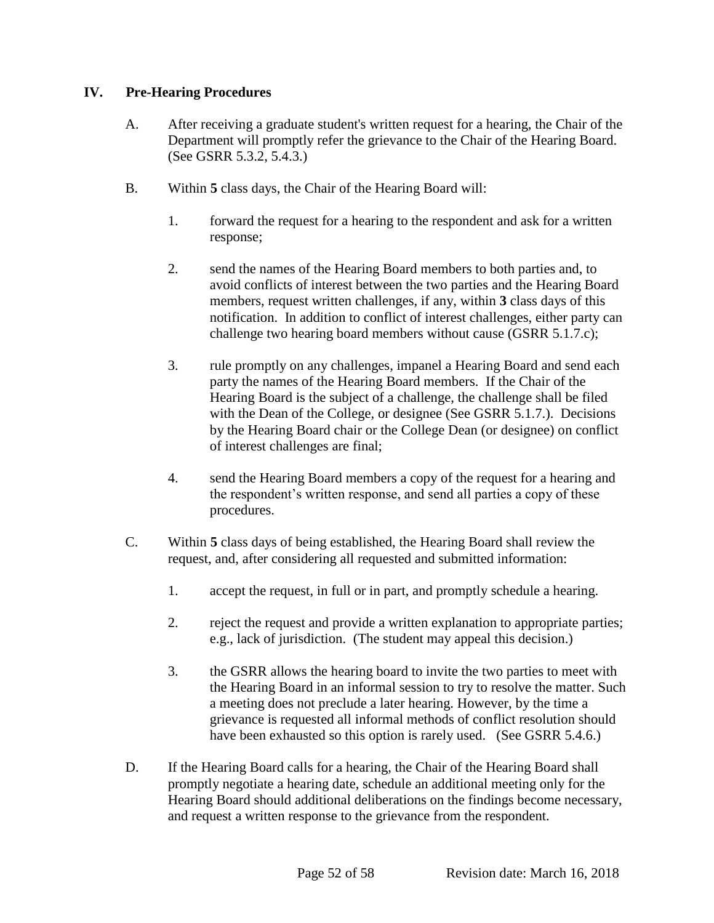# **IV. Pre-Hearing Procedures**

- A. After receiving a graduate student's written request for a hearing, the Chair of the Department will promptly refer the grievance to the Chair of the Hearing Board. (See GSRR 5.3.2, 5.4.3.)
- B. Within **5** class days, the Chair of the Hearing Board will:
	- 1. forward the request for a hearing to the respondent and ask for a written response;
	- 2. send the names of the Hearing Board members to both parties and, to avoid conflicts of interest between the two parties and the Hearing Board members, request written challenges, if any, within **3** class days of this notification. In addition to conflict of interest challenges, either party can challenge two hearing board members without cause (GSRR 5.1.7.c);
	- 3. rule promptly on any challenges, impanel a Hearing Board and send each party the names of the Hearing Board members. If the Chair of the Hearing Board is the subject of a challenge, the challenge shall be filed with the Dean of the College, or designee (See GSRR 5.1.7.). Decisions by the Hearing Board chair or the College Dean (or designee) on conflict of interest challenges are final;
	- 4. send the Hearing Board members a copy of the request for a hearing and the respondent's written response, and send all parties a copy of these procedures.
- C. Within **5** class days of being established, the Hearing Board shall review the request, and, after considering all requested and submitted information:
	- 1. accept the request, in full or in part, and promptly schedule a hearing.
	- 2. reject the request and provide a written explanation to appropriate parties; e.g., lack of jurisdiction. (The student may appeal this decision.)
	- 3. the GSRR allows the hearing board to invite the two parties to meet with the Hearing Board in an informal session to try to resolve the matter. Such a meeting does not preclude a later hearing. However, by the time a grievance is requested all informal methods of conflict resolution should have been exhausted so this option is rarely used. (See GSRR 5.4.6.)
- D. If the Hearing Board calls for a hearing, the Chair of the Hearing Board shall promptly negotiate a hearing date, schedule an additional meeting only for the Hearing Board should additional deliberations on the findings become necessary, and request a written response to the grievance from the respondent.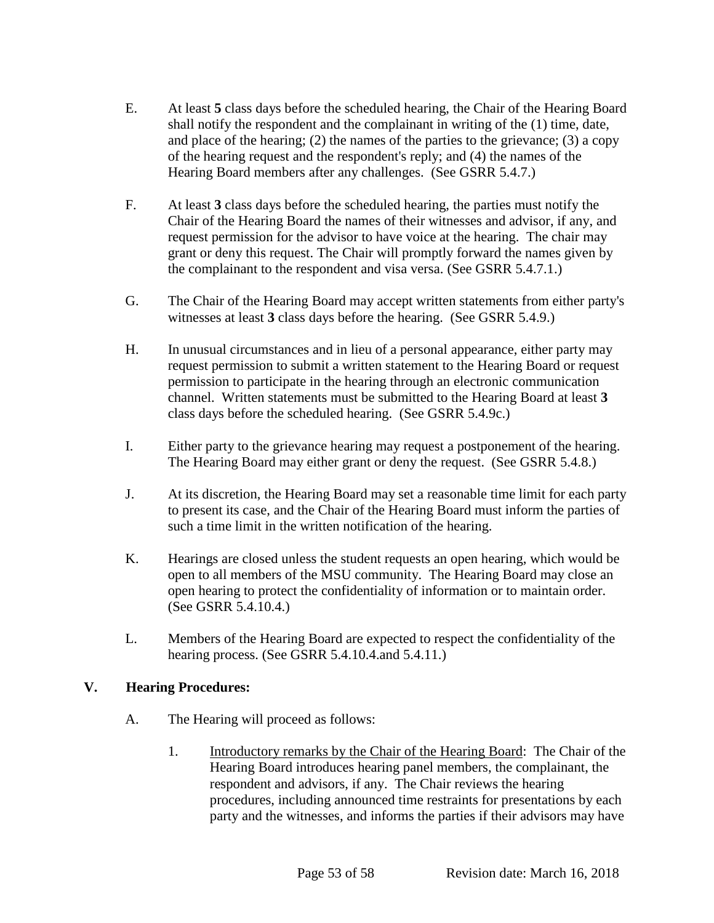- E. At least **5** class days before the scheduled hearing, the Chair of the Hearing Board shall notify the respondent and the complainant in writing of the (1) time, date, and place of the hearing; (2) the names of the parties to the grievance; (3) a copy of the hearing request and the respondent's reply; and (4) the names of the Hearing Board members after any challenges. (See GSRR 5.4.7.)
- F. At least **3** class days before the scheduled hearing, the parties must notify the Chair of the Hearing Board the names of their witnesses and advisor, if any, and request permission for the advisor to have voice at the hearing. The chair may grant or deny this request. The Chair will promptly forward the names given by the complainant to the respondent and visa versa. (See GSRR 5.4.7.1.)
- G. The Chair of the Hearing Board may accept written statements from either party's witnesses at least **3** class days before the hearing. (See GSRR 5.4.9.)
- H. In unusual circumstances and in lieu of a personal appearance, either party may request permission to submit a written statement to the Hearing Board or request permission to participate in the hearing through an electronic communication channel. Written statements must be submitted to the Hearing Board at least **3** class days before the scheduled hearing. (See GSRR 5.4.9c.)
- I. Either party to the grievance hearing may request a postponement of the hearing. The Hearing Board may either grant or deny the request. (See GSRR 5.4.8.)
- J. At its discretion, the Hearing Board may set a reasonable time limit for each party to present its case, and the Chair of the Hearing Board must inform the parties of such a time limit in the written notification of the hearing.
- K. Hearings are closed unless the student requests an open hearing, which would be open to all members of the MSU community. The Hearing Board may close an open hearing to protect the confidentiality of information or to maintain order. (See GSRR 5.4.10.4.)
- L. Members of the Hearing Board are expected to respect the confidentiality of the hearing process. (See GSRR 5.4.10.4.and 5.4.11.)

# **V. Hearing Procedures:**

- A. The Hearing will proceed as follows:
	- 1. Introductory remarks by the Chair of the Hearing Board: The Chair of the Hearing Board introduces hearing panel members, the complainant, the respondent and advisors, if any. The Chair reviews the hearing procedures, including announced time restraints for presentations by each party and the witnesses, and informs the parties if their advisors may have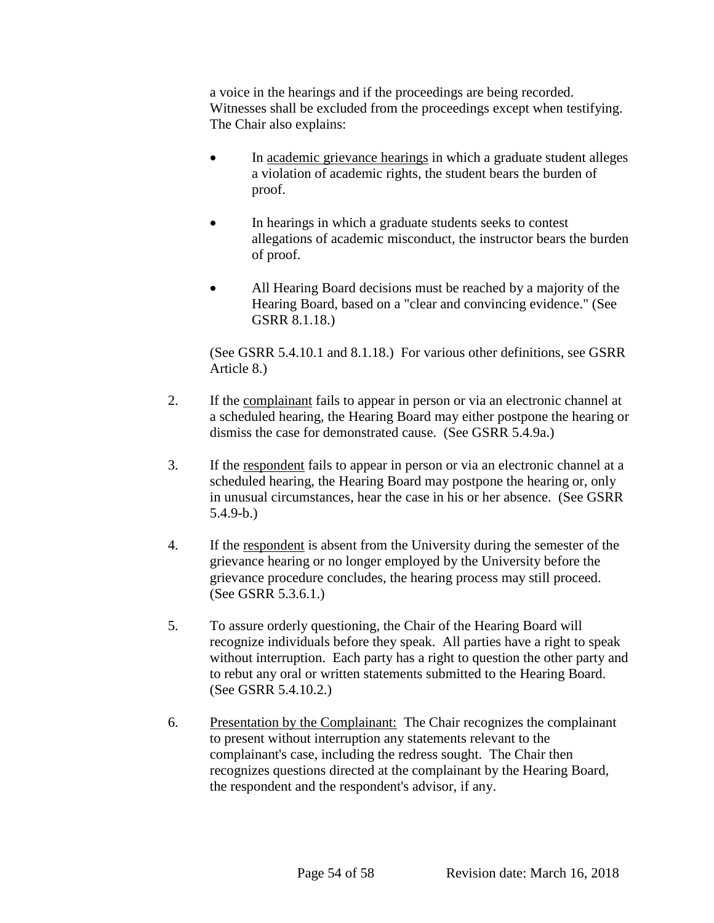a voice in the hearings and if the proceedings are being recorded. Witnesses shall be excluded from the proceedings except when testifying. The Chair also explains:

- In academic grievance hearings in which a graduate student alleges a violation of academic rights, the student bears the burden of proof.
- In hearings in which a graduate students seeks to contest allegations of academic misconduct, the instructor bears the burden of proof.
- All Hearing Board decisions must be reached by a majority of the Hearing Board, based on a "clear and convincing evidence." (See GSRR 8.1.18.)

(See GSRR 5.4.10.1 and 8.1.18.) For various other definitions, see GSRR Article 8.)

- 2. If the complainant fails to appear in person or via an electronic channel at a scheduled hearing, the Hearing Board may either postpone the hearing or dismiss the case for demonstrated cause. (See GSRR 5.4.9a.)
- 3. If the respondent fails to appear in person or via an electronic channel at a scheduled hearing, the Hearing Board may postpone the hearing or, only in unusual circumstances, hear the case in his or her absence. (See GSRR 5.4.9-b.)
- 4. If the respondent is absent from the University during the semester of the grievance hearing or no longer employed by the University before the grievance procedure concludes, the hearing process may still proceed. (See GSRR 5.3.6.1.)
- 5. To assure orderly questioning, the Chair of the Hearing Board will recognize individuals before they speak. All parties have a right to speak without interruption. Each party has a right to question the other party and to rebut any oral or written statements submitted to the Hearing Board. (See GSRR 5.4.10.2.)
- 6. Presentation by the Complainant: The Chair recognizes the complainant to present without interruption any statements relevant to the complainant's case, including the redress sought. The Chair then recognizes questions directed at the complainant by the Hearing Board, the respondent and the respondent's advisor, if any.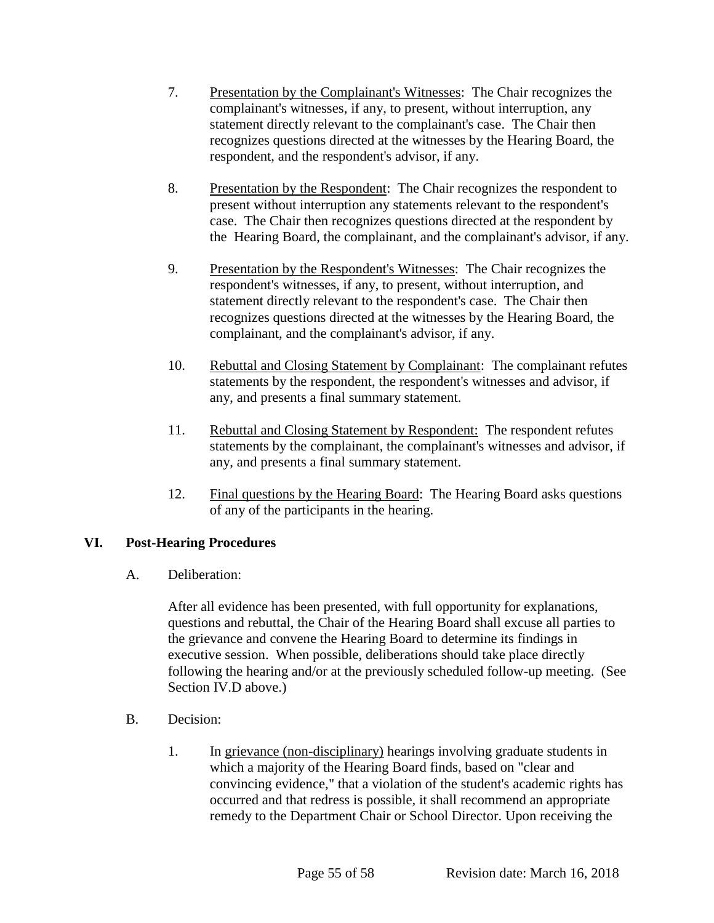- 7. Presentation by the Complainant's Witnesses: The Chair recognizes the complainant's witnesses, if any, to present, without interruption, any statement directly relevant to the complainant's case. The Chair then recognizes questions directed at the witnesses by the Hearing Board, the respondent, and the respondent's advisor, if any.
- 8. Presentation by the Respondent: The Chair recognizes the respondent to present without interruption any statements relevant to the respondent's case. The Chair then recognizes questions directed at the respondent by the Hearing Board, the complainant, and the complainant's advisor, if any.
- 9. Presentation by the Respondent's Witnesses: The Chair recognizes the respondent's witnesses, if any, to present, without interruption, and statement directly relevant to the respondent's case. The Chair then recognizes questions directed at the witnesses by the Hearing Board, the complainant, and the complainant's advisor, if any.
- 10. Rebuttal and Closing Statement by Complainant: The complainant refutes statements by the respondent, the respondent's witnesses and advisor, if any, and presents a final summary statement.
- 11. Rebuttal and Closing Statement by Respondent: The respondent refutes statements by the complainant, the complainant's witnesses and advisor, if any, and presents a final summary statement.
- 12. Final questions by the Hearing Board: The Hearing Board asks questions of any of the participants in the hearing.

# **VI. Post-Hearing Procedures**

A. Deliberation:

After all evidence has been presented, with full opportunity for explanations, questions and rebuttal, the Chair of the Hearing Board shall excuse all parties to the grievance and convene the Hearing Board to determine its findings in executive session. When possible, deliberations should take place directly following the hearing and/or at the previously scheduled follow-up meeting. (See Section IV.D above.)

- B. Decision:
	- 1. In grievance (non-disciplinary) hearings involving graduate students in which a majority of the Hearing Board finds, based on "clear and convincing evidence," that a violation of the student's academic rights has occurred and that redress is possible, it shall recommend an appropriate remedy to the Department Chair or School Director. Upon receiving the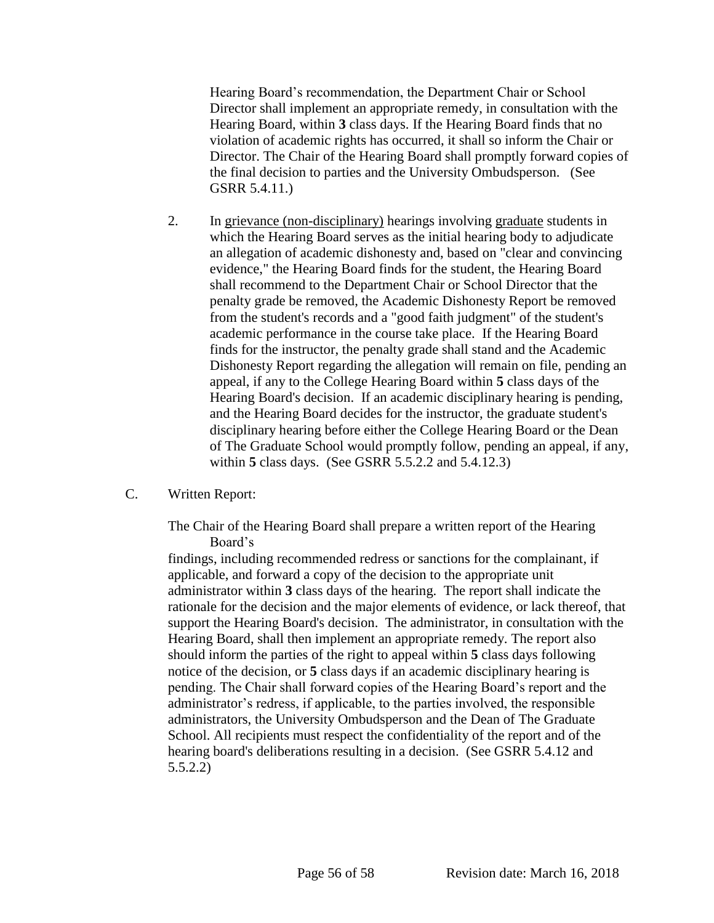Hearing Board's recommendation, the Department Chair or School Director shall implement an appropriate remedy, in consultation with the Hearing Board, within **3** class days. If the Hearing Board finds that no violation of academic rights has occurred, it shall so inform the Chair or Director. The Chair of the Hearing Board shall promptly forward copies of the final decision to parties and the University Ombudsperson. (See GSRR 5.4.11.)

- 2. In grievance (non-disciplinary) hearings involving graduate students in which the Hearing Board serves as the initial hearing body to adjudicate an allegation of academic dishonesty and, based on "clear and convincing evidence," the Hearing Board finds for the student, the Hearing Board shall recommend to the Department Chair or School Director that the penalty grade be removed, the Academic Dishonesty Report be removed from the student's records and a "good faith judgment" of the student's academic performance in the course take place. If the Hearing Board finds for the instructor, the penalty grade shall stand and the Academic Dishonesty Report regarding the allegation will remain on file, pending an appeal, if any to the College Hearing Board within **5** class days of the Hearing Board's decision. If an academic disciplinary hearing is pending, and the Hearing Board decides for the instructor, the graduate student's disciplinary hearing before either the College Hearing Board or the Dean of The Graduate School would promptly follow, pending an appeal, if any, within **5** class days. (See GSRR 5.5.2.2 and 5.4.12.3)
- C. Written Report:

The Chair of the Hearing Board shall prepare a written report of the Hearing Board's

findings, including recommended redress or sanctions for the complainant, if applicable, and forward a copy of the decision to the appropriate unit administrator within **3** class days of the hearing. The report shall indicate the rationale for the decision and the major elements of evidence, or lack thereof, that support the Hearing Board's decision. The administrator, in consultation with the Hearing Board, shall then implement an appropriate remedy. The report also should inform the parties of the right to appeal within **5** class days following notice of the decision, or **5** class days if an academic disciplinary hearing is pending. The Chair shall forward copies of the Hearing Board's report and the administrator's redress, if applicable, to the parties involved, the responsible administrators, the University Ombudsperson and the Dean of The Graduate School. All recipients must respect the confidentiality of the report and of the hearing board's deliberations resulting in a decision. (See GSRR 5.4.12 and 5.5.2.2)